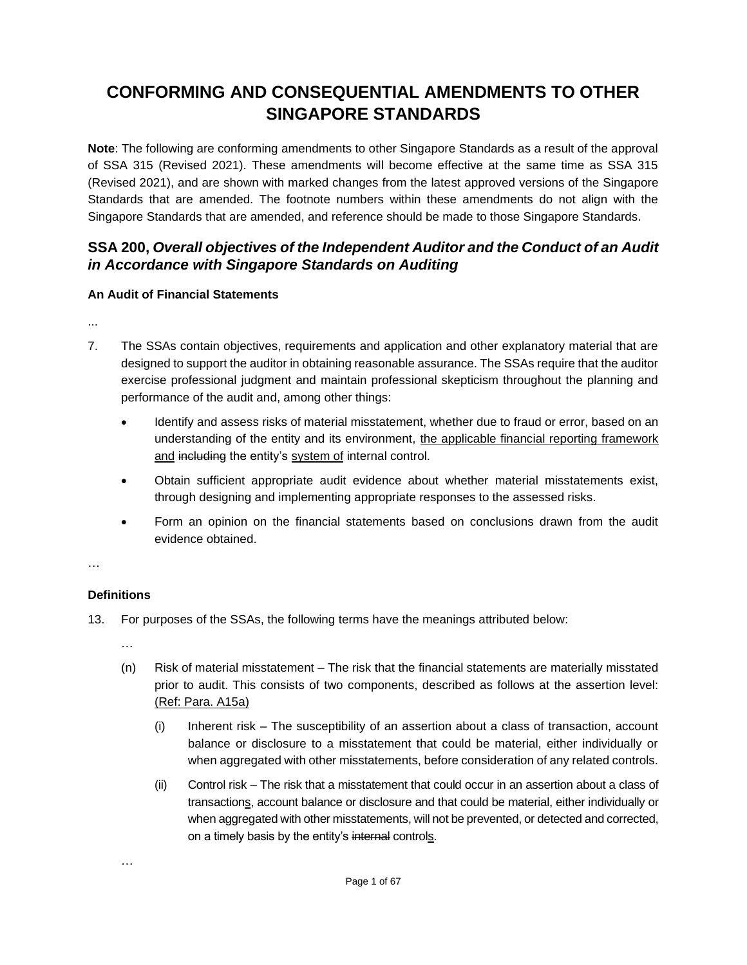# **CONFORMING AND CONSEQUENTIAL AMENDMENTS TO OTHER SINGAPORE STANDARDS**

**Note**: The following are conforming amendments to other Singapore Standards as a result of the approval of SSA 315 (Revised 2021). These amendments will become effective at the same time as SSA 315 (Revised 2021), and are shown with marked changes from the latest approved versions of the Singapore Standards that are amended. The footnote numbers within these amendments do not align with the Singapore Standards that are amended, and reference should be made to those Singapore Standards.

# **SSA 200,** *Overall objectives of the Independent Auditor and the Conduct of an Audit in Accordance with Singapore Standards on Auditing*

## **An Audit of Financial Statements**

...

- 7. The SSAs contain objectives, requirements and application and other explanatory material that are designed to support the auditor in obtaining reasonable assurance. The SSAs require that the auditor exercise professional judgment and maintain professional skepticism throughout the planning and performance of the audit and, among other things:
	- Identify and assess risks of material misstatement, whether due to fraud or error, based on an understanding of the entity and its environment, the applicable financial reporting framework and including the entity's system of internal control.
	- Obtain sufficient appropriate audit evidence about whether material misstatements exist, through designing and implementing appropriate responses to the assessed risks.
	- Form an opinion on the financial statements based on conclusions drawn from the audit evidence obtained.

## **Definitions**

13. For purposes of the SSAs, the following terms have the meanings attributed below:

…

- (n) Risk of material misstatement The risk that the financial statements are materially misstated prior to audit. This consists of two components, described as follows at the assertion level: (Ref: Para. A15a)
	- (i) Inherent risk The susceptibility of an assertion about a class of transaction, account balance or disclosure to a misstatement that could be material, either individually or when aggregated with other misstatements, before consideration of any related controls.
	- (ii) Control risk The risk that a misstatement that could occur in an assertion about a class of transactions, account balance or disclosure and that could be material, either individually or when aggregated with other misstatements, will not be prevented, or detected and corrected, on a timely basis by the entity's internal controls.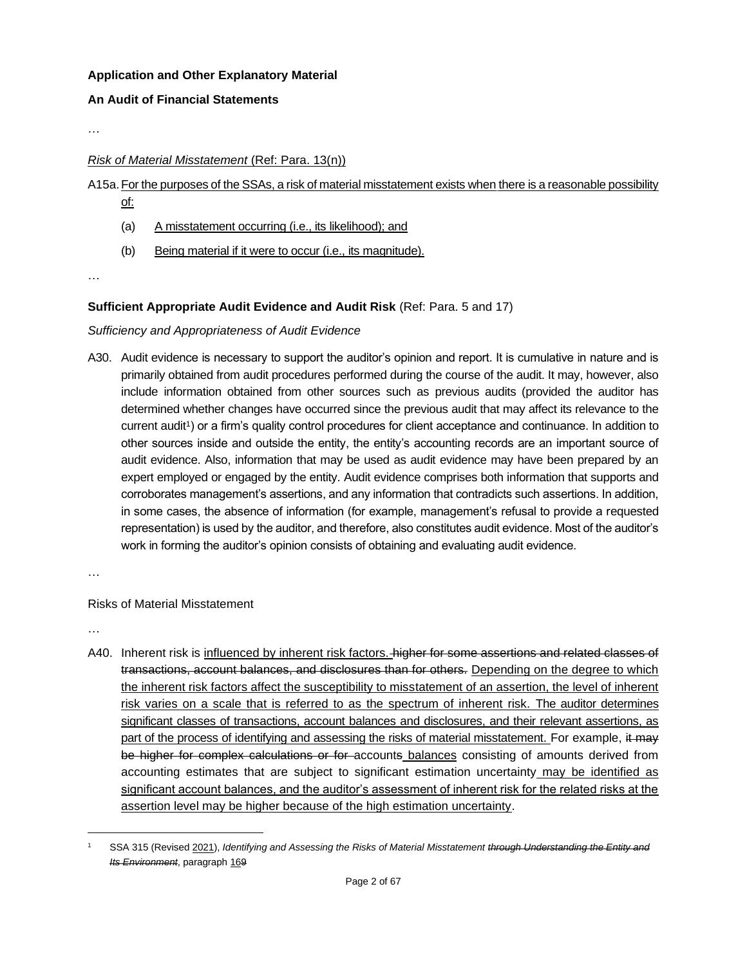#### **Application and Other Explanatory Material**

### **An Audit of Financial Statements**

…

#### *Risk of Material Misstatement* (Ref: Para. 13(n))

A15a.For the purposes of the SSAs, a risk of material misstatement exists when there is a reasonable possibility

- of:
- (a) A misstatement occurring (i.e., its likelihood); and
- (b) Being material if it were to occur (i.e., its magnitude).

…

#### **Sufficient Appropriate Audit Evidence and Audit Risk** (Ref: Para. 5 and 17)

#### *Sufficiency and Appropriateness of Audit Evidence*

A30. Audit evidence is necessary to support the auditor's opinion and report. It is cumulative in nature and is primarily obtained from audit procedures performed during the course of the audit. It may, however, also include information obtained from other sources such as previous audits (provided the auditor has determined whether changes have occurred since the previous audit that may affect its relevance to the current audit<sup>1</sup>) or a firm's quality control procedures for client acceptance and continuance. In addition to other sources inside and outside the entity, the entity's accounting records are an important source of audit evidence. Also, information that may be used as audit evidence may have been prepared by an expert employed or engaged by the entity. Audit evidence comprises both information that supports and corroborates management's assertions, and any information that contradicts such assertions. In addition, in some cases, the absence of information (for example, management's refusal to provide a requested representation) is used by the auditor, and therefore, also constitutes audit evidence. Most of the auditor's work in forming the auditor's opinion consists of obtaining and evaluating audit evidence.

…

#### Risks of Material Misstatement

…

A40. Inherent risk is influenced by inherent risk factors. higher for some assertions and related classes of transactions, account balances, and disclosures than for others. Depending on the degree to which the inherent risk factors affect the susceptibility to misstatement of an assertion, the level of inherent risk varies on a scale that is referred to as the spectrum of inherent risk. The auditor determines significant classes of transactions, account balances and disclosures, and their relevant assertions, as part of the process of identifying and assessing the risks of material misstatement. For example, it may be higher for complex calculations or for accounts balances consisting of amounts derived from accounting estimates that are subject to significant estimation uncertainty may be identified as significant account balances, and the auditor's assessment of inherent risk for the related risks at the assertion level may be higher because of the high estimation uncertainty.

<sup>1</sup> SSA 315 (Revised 2021), *Identifying and Assessing the Risks of Material Misstatement through Understanding the Entity and Its Environment*, paragraph 169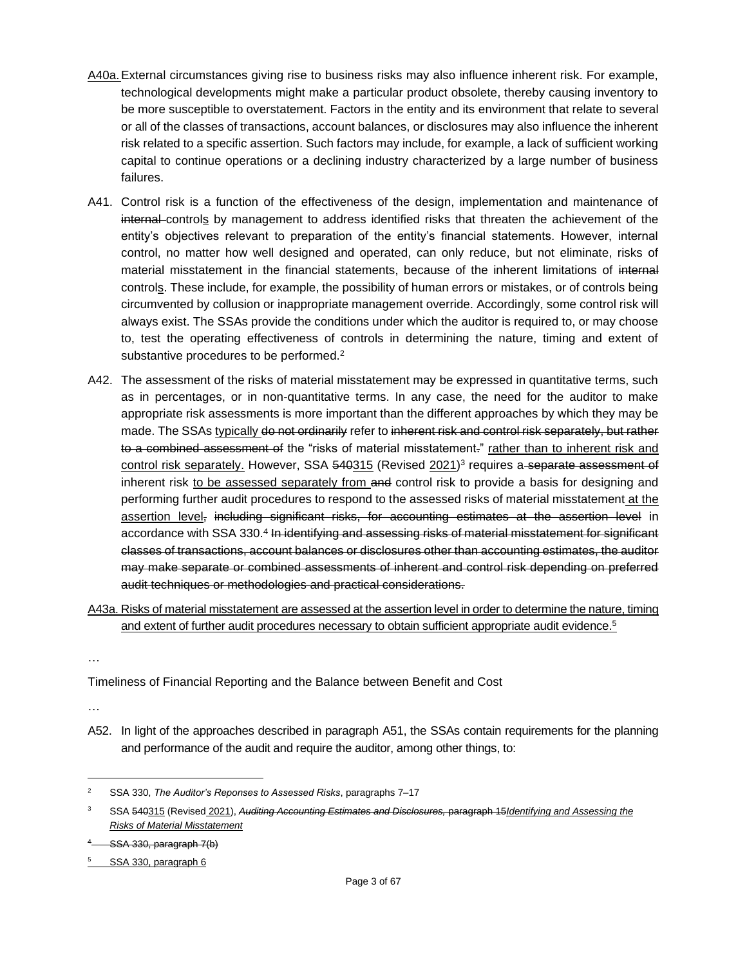- A40a.External circumstances giving rise to business risks may also influence inherent risk. For example, technological developments might make a particular product obsolete, thereby causing inventory to be more susceptible to overstatement. Factors in the entity and its environment that relate to several or all of the classes of transactions, account balances, or disclosures may also influence the inherent risk related to a specific assertion. Such factors may include, for example, a lack of sufficient working capital to continue operations or a declining industry characterized by a large number of business failures.
- A41. Control risk is a function of the effectiveness of the design, implementation and maintenance of internal controls by management to address identified risks that threaten the achievement of the entity's objectives relevant to preparation of the entity's financial statements. However, internal control, no matter how well designed and operated, can only reduce, but not eliminate, risks of material misstatement in the financial statements, because of the inherent limitations of internal controls. These include, for example, the possibility of human errors or mistakes, or of controls being circumvented by collusion or inappropriate management override. Accordingly, some control risk will always exist. The SSAs provide the conditions under which the auditor is required to, or may choose to, test the operating effectiveness of controls in determining the nature, timing and extent of substantive procedures to be performed.<sup>2</sup>
- A42. The assessment of the risks of material misstatement may be expressed in quantitative terms, such as in percentages, or in non-quantitative terms. In any case, the need for the auditor to make appropriate risk assessments is more important than the different approaches by which they may be made. The SSAs typically do not ordinarily refer to inherent risk and control risk separately, but rather to a combined assessment of the "risks of material misstatement." rather than to inherent risk and control risk separately. However, SSA 540315 (Revised 2021)<sup>3</sup> requires a separate assessment of inherent risk to be assessed separately from and control risk to provide a basis for designing and performing further audit procedures to respond to the assessed risks of material misstatement at the assertion level, including significant risks, for accounting estimates at the assertion level in accordance with SSA 330.<sup>4</sup> I<del>n identifying and assessing risks of material misstatement for significant</del> classes of transactions, account balances or disclosures other than accounting estimates, the auditor may make separate or combined assessments of inherent and control risk depending on preferred audit techniques or methodologies and practical considerations.
- A43a. Risks of material misstatement are assessed at the assertion level in order to determine the nature, timing and extent of further audit procedures necessary to obtain sufficient appropriate audit evidence.<sup>5</sup>

…

Timeliness of Financial Reporting and the Balance between Benefit and Cost

…

A52. In light of the approaches described in paragraph A51, the SSAs contain requirements for the planning and performance of the audit and require the auditor, among other things, to:

<sup>2</sup> SSA 330, *The Auditor's Reponses to Assessed Risks*, paragraphs 7–17

<sup>3</sup> SSA 540315 (Revised 2021), *Auditing Accounting Estimates and Disclosures,* paragraph 15*Identifying and Assessing the Risks of Material Misstatement*

SSA 330, paragraph 7(b)

<sup>5</sup> SSA 330, paragraph 6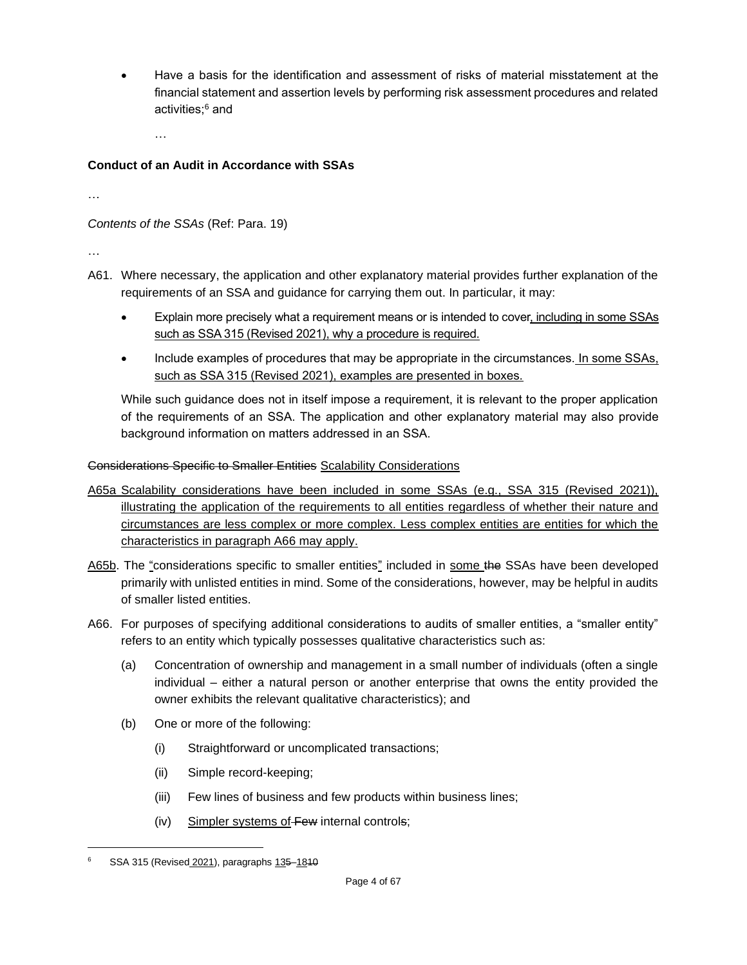• Have a basis for the identification and assessment of risks of material misstatement at the financial statement and assertion levels by performing risk assessment procedures and related activities;<sup>6</sup> and

…

#### **Conduct of an Audit in Accordance with SSAs**

…

*Contents of the SSAs* (Ref: Para. 19)

…

- A61. Where necessary, the application and other explanatory material provides further explanation of the requirements of an SSA and guidance for carrying them out. In particular, it may:
	- Explain more precisely what a requirement means or is intended to cover, including in some SSAs such as SSA 315 (Revised 2021), why a procedure is required.
	- Include examples of procedures that may be appropriate in the circumstances. In some SSAs, such as SSA 315 (Revised 2021), examples are presented in boxes.

While such guidance does not in itself impose a requirement, it is relevant to the proper application of the requirements of an SSA. The application and other explanatory material may also provide background information on matters addressed in an SSA.

#### Considerations Specific to Smaller Entities Scalability Considerations

- A65a Scalability considerations have been included in some SSAs (e.g., SSA 315 (Revised 2021)), illustrating the application of the requirements to all entities regardless of whether their nature and circumstances are less complex or more complex. Less complex entities are entities for which the characteristics in paragraph A66 may apply.
- A65b. The "considerations specific to smaller entities" included in some the SSAs have been developed primarily with unlisted entities in mind. Some of the considerations, however, may be helpful in audits of smaller listed entities.
- A66. For purposes of specifying additional considerations to audits of smaller entities, a "smaller entity" refers to an entity which typically possesses qualitative characteristics such as:
	- (a) Concentration of ownership and management in a small number of individuals (often a single individual – either a natural person or another enterprise that owns the entity provided the owner exhibits the relevant qualitative characteristics); and
	- (b) One or more of the following:
		- (i) Straightforward or uncomplicated transactions;
		- (ii) Simple record-keeping;
		- (iii) Few lines of business and few products within business lines;
		- (iv) Simpler systems of Few internal controls;

<sup>6</sup> SSA 315 (Revised 2021), paragraphs 135–1810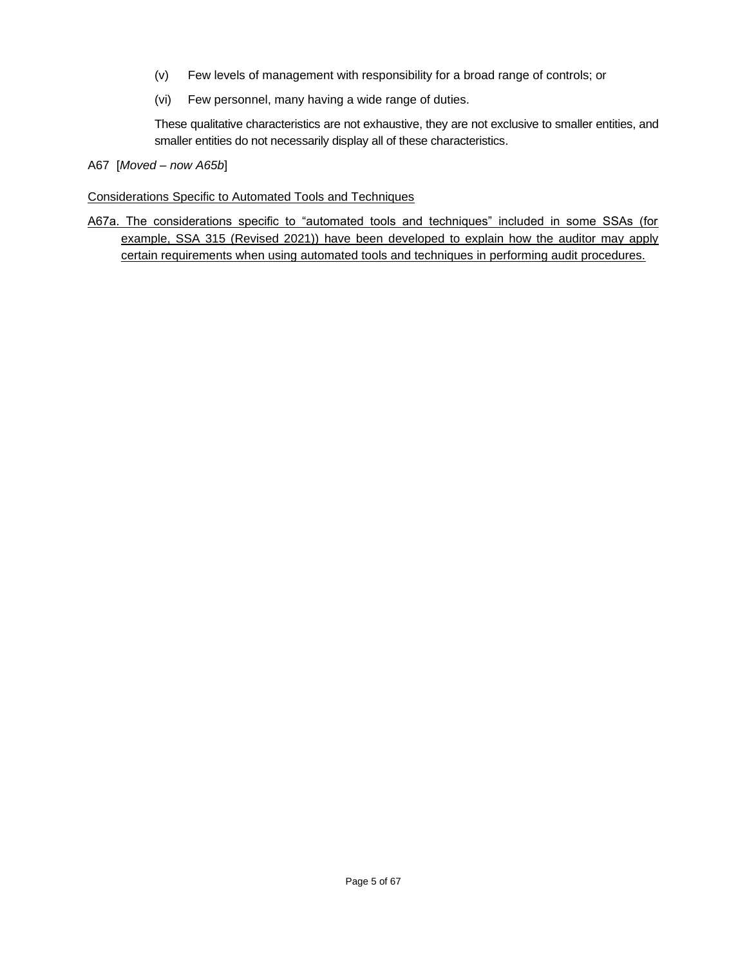- (v) Few levels of management with responsibility for a broad range of controls; or
- (vi) Few personnel, many having a wide range of duties.

These qualitative characteristics are not exhaustive, they are not exclusive to smaller entities, and smaller entities do not necessarily display all of these characteristics.

A67 [*Moved – now A65b*]

#### Considerations Specific to Automated Tools and Techniques

A67a. The considerations specific to "automated tools and techniques" included in some SSAs (for example, SSA 315 (Revised 2021)) have been developed to explain how the auditor may apply certain requirements when using automated tools and techniques in performing audit procedures.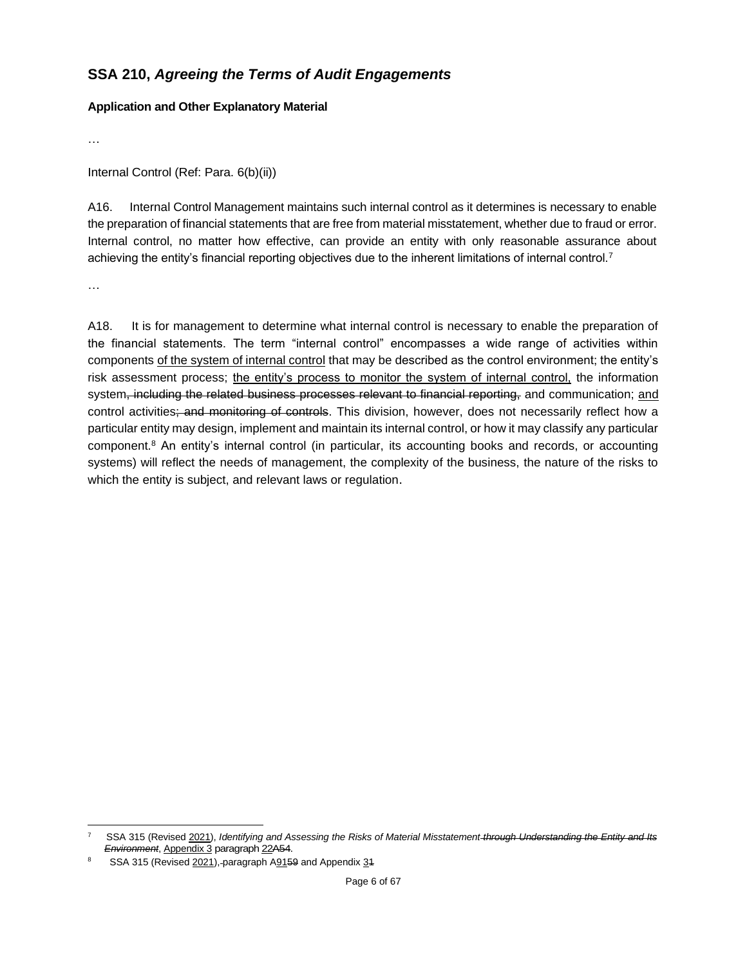# **SSA 210,** *Agreeing the Terms of Audit Engagements*

## **Application and Other Explanatory Material**

…

Internal Control (Ref: Para. 6(b)(ii))

A16. Internal Control Management maintains such internal control as it determines is necessary to enable the preparation of financial statements that are free from material misstatement, whether due to fraud or error. Internal control, no matter how effective, can provide an entity with only reasonable assurance about achieving the entity's financial reporting objectives due to the inherent limitations of internal control.<sup>7</sup>

…

A18. It is for management to determine what internal control is necessary to enable the preparation of the financial statements. The term "internal control" encompasses a wide range of activities within components of the system of internal control that may be described as the control environment; the entity's risk assessment process; the entity's process to monitor the system of internal control, the information system, including the related business processes relevant to financial reporting, and communication; and control activities; and monitoring of controls. This division, however, does not necessarily reflect how a particular entity may design, implement and maintain its internal control, or how it may classify any particular component.<sup>8</sup> An entity's internal control (in particular, its accounting books and records, or accounting systems) will reflect the needs of management, the complexity of the business, the nature of the risks to which the entity is subject, and relevant laws or regulation.

<sup>7</sup> SSA 315 (Revised 2021), *Identifying and Assessing the Risks of Material Misstatement through Understanding the Entity and Its Environment*, Appendix 3 paragraph 22A54.

<sup>8</sup> SSA 315 (Revised 2021), paragraph A9159 and Appendix 34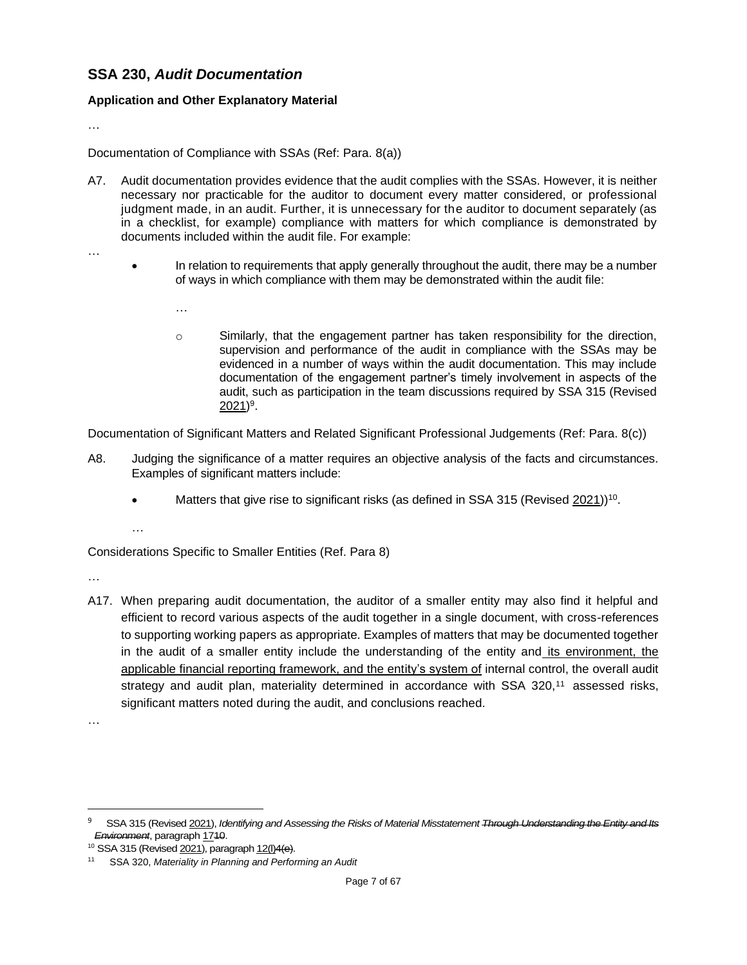## **SSA 230,** *Audit Documentation*

#### **Application and Other Explanatory Material**

…

Documentation of Compliance with SSAs (Ref: Para. 8(a))

- A7. Audit documentation provides evidence that the audit complies with the SSAs. However, it is neither necessary nor practicable for the auditor to document every matter considered, or professional judgment made, in an audit. Further, it is unnecessary for the auditor to document separately (as in a checklist, for example) compliance with matters for which compliance is demonstrated by documents included within the audit file. For example:
- …
- In relation to requirements that apply generally throughout the audit, there may be a number of ways in which compliance with them may be demonstrated within the audit file:
	- …
	- o Similarly, that the engagement partner has taken responsibility for the direction, supervision and performance of the audit in compliance with the SSAs may be evidenced in a number of ways within the audit documentation. This may include documentation of the engagement partner's timely involvement in aspects of the audit, such as participation in the team discussions required by SSA 315 (Revised <u>2021</u>)º.

Documentation of Significant Matters and Related Significant Professional Judgements (Ref: Para. 8(c))

- A8. Judging the significance of a matter requires an objective analysis of the facts and circumstances. Examples of significant matters include:
	- Matters that give rise to significant risks (as defined in SSA 315 (Revised  $2021$ ))<sup>10</sup>.
	- …

Considerations Specific to Smaller Entities (Ref. Para 8)

…

A17. When preparing audit documentation, the auditor of a smaller entity may also find it helpful and efficient to record various aspects of the audit together in a single document, with cross-references to supporting working papers as appropriate. Examples of matters that may be documented together in the audit of a smaller entity include the understanding of the entity and its environment, the applicable financial reporting framework, and the entity's system of internal control, the overall audit strategy and audit plan, materiality determined in accordance with SSA 320,<sup>11</sup> assessed risks, significant matters noted during the audit, and conclusions reached.

<sup>9</sup> SSA 315 (Revised 2021), *Identifying and Assessing the Risks of Material Misstatement Through Understanding the Entity and Its Environment*, paragraph 1710.

<sup>&</sup>lt;sup>10</sup> SSA 315 (Revised 2021), paragraph 12(l)4(e).

<sup>11</sup> SSA 320, *Materiality in Planning and Performing an Audit*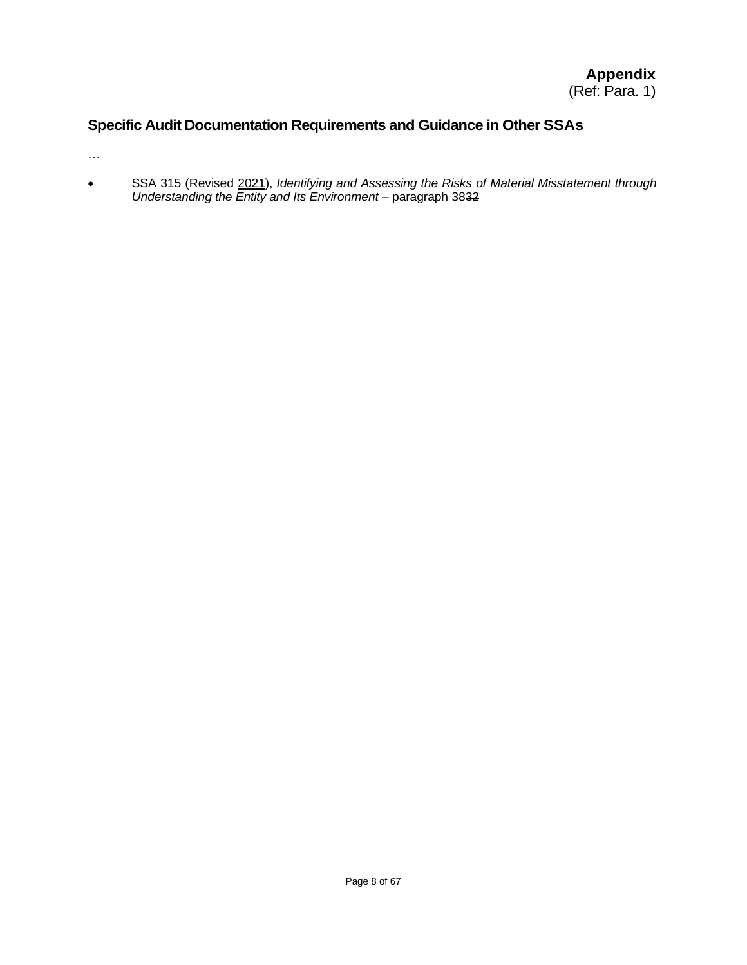## **Specific Audit Documentation Requirements and Guidance in Other SSAs**

 $\dots$ 

• SSA 315 (Revised 2021), *Identifying and Assessing the Risks of Material Misstatement through Understanding the Entity and Its Environment* – paragraph 3832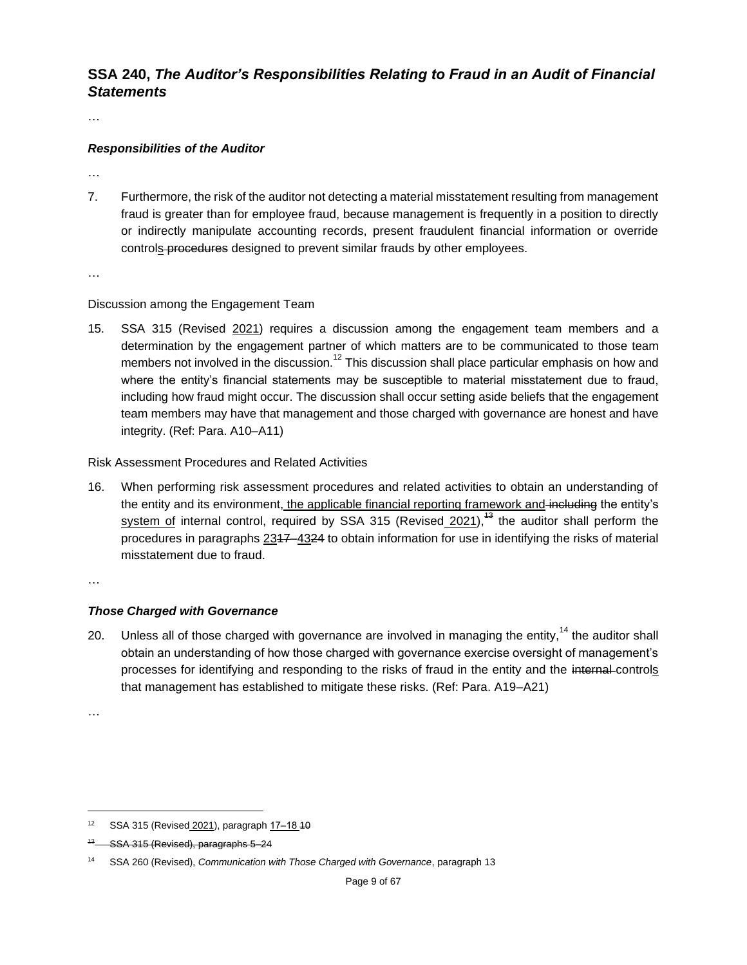## **SSA 240,** *The Auditor's Responsibilities Relating to Fraud in an Audit of Financial Statements*

…

#### *Responsibilities of the Auditor*

…

7. Furthermore, the risk of the auditor not detecting a material misstatement resulting from management fraud is greater than for employee fraud, because management is frequently in a position to directly or indirectly manipulate accounting records, present fraudulent financial information or override controls procedures designed to prevent similar frauds by other employees.

…

#### Discussion among the Engagement Team

15. SSA 315 (Revised 2021) requires a discussion among the engagement team members and a determination by the engagement partner of which matters are to be communicated to those team members not involved in the discussion.<sup>12</sup> This discussion shall place particular emphasis on how and where the entity's financial statements may be susceptible to material misstatement due to fraud, including how fraud might occur. The discussion shall occur setting aside beliefs that the engagement team members may have that management and those charged with governance are honest and have integrity. (Ref: Para. A10–A11)

#### Risk Assessment Procedures and Related Activities

16. When performing risk assessment procedures and related activities to obtain an understanding of the entity and its environment, the applicable financial reporting framework and including the entity's system of internal control, required by SSA 315 (Revised 2021), $^{43}$  the auditor shall perform the procedures in paragraphs 2317–4324 to obtain information for use in identifying the risks of material misstatement due to fraud.

…

#### *Those Charged with Governance*

20. Unless all of those charged with governance are involved in managing the entity,<sup>14</sup> the auditor shall obtain an understanding of how those charged with governance exercise oversight of management's processes for identifying and responding to the risks of fraud in the entity and the internal controls that management has established to mitigate these risks. (Ref: Para. A19–A21)

 $12$  SSA 315 (Revised 2021), paragraph 17-18 40

<sup>13</sup> SSA 315 (Revised), paragraphs 5–24

<sup>14</sup> SSA 260 (Revised), *Communication with Those Charged with Governance*, paragraph 13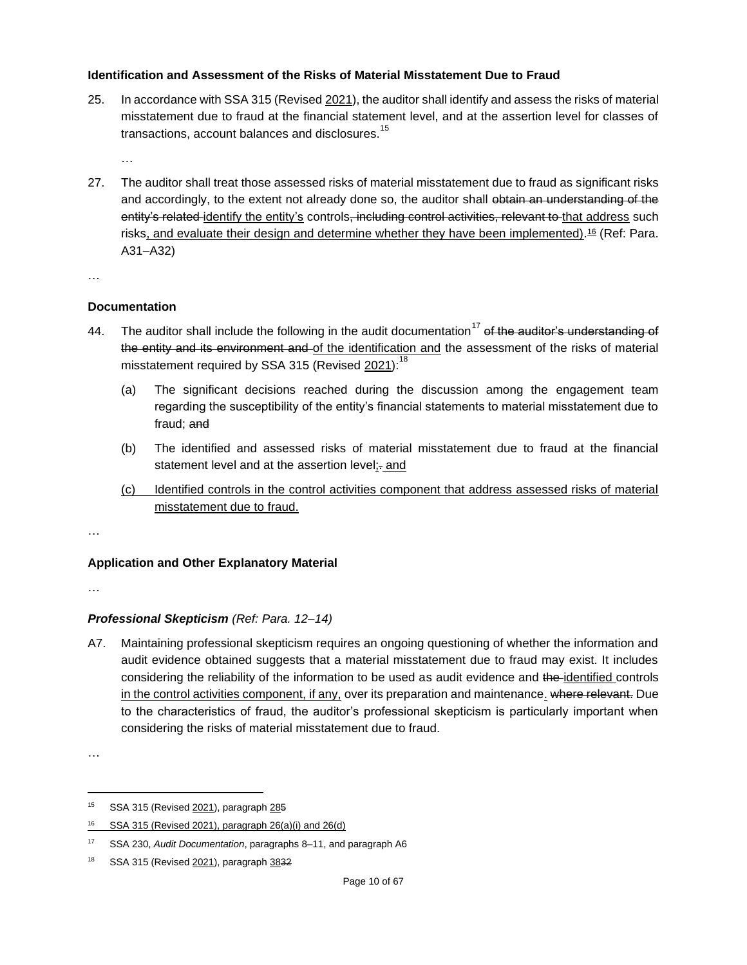#### **Identification and Assessment of the Risks of Material Misstatement Due to Fraud**

25. In accordance with SSA 315 (Revised 2021), the auditor shall identify and assess the risks of material misstatement due to fraud at the financial statement level, and at the assertion level for classes of transactions, account balances and disclosures.<sup>15</sup>

…

27. The auditor shall treat those assessed risks of material misstatement due to fraud as significant risks and accordingly, to the extent not already done so, the auditor shall obtain an understanding of the entity's related identify the entity's controls, including control activities, relevant to that address such risks, and evaluate their design and determine whether they have been implemented). <sup>16</sup> (Ref: Para. A31–A32)

…

### **Documentation**

- 44. The auditor shall include the following in the audit documentation<sup>17</sup> of the auditor's understanding of the entity and its environment and of the identification and the assessment of the risks of material misstatement required by SSA 315 (Revised 2021):<sup>18</sup>
	- (a) The significant decisions reached during the discussion among the engagement team regarding the susceptibility of the entity's financial statements to material misstatement due to fraud; and
	- (b) The identified and assessed risks of material misstatement due to fraud at the financial statement level and at the assertion level;- and
	- (c) Identified controls in the control activities component that address assessed risks of material misstatement due to fraud.

…

## **Application and Other Explanatory Material**

…

## *Professional Skepticism (Ref: Para. 12*–*14)*

A7. Maintaining professional skepticism requires an ongoing questioning of whether the information and audit evidence obtained suggests that a material misstatement due to fraud may exist. It includes considering the reliability of the information to be used as audit evidence and the identified controls in the control activities component, if any, over its preparation and maintenance. where relevant. Due to the characteristics of fraud, the auditor's professional skepticism is particularly important when considering the risks of material misstatement due to fraud.

<sup>…</sup>

<sup>&</sup>lt;sup>15</sup> SSA 315 (Revised 2021), paragraph 285

 $16$  SSA 315 (Revised 2021), paragraph 26(a)(i) and 26(d)

<sup>17</sup> SSA 230, *Audit Documentation*, paragraphs 8–11, and paragraph A6

<sup>&</sup>lt;sup>18</sup> SSA 315 (Revised 2021), paragraph 3832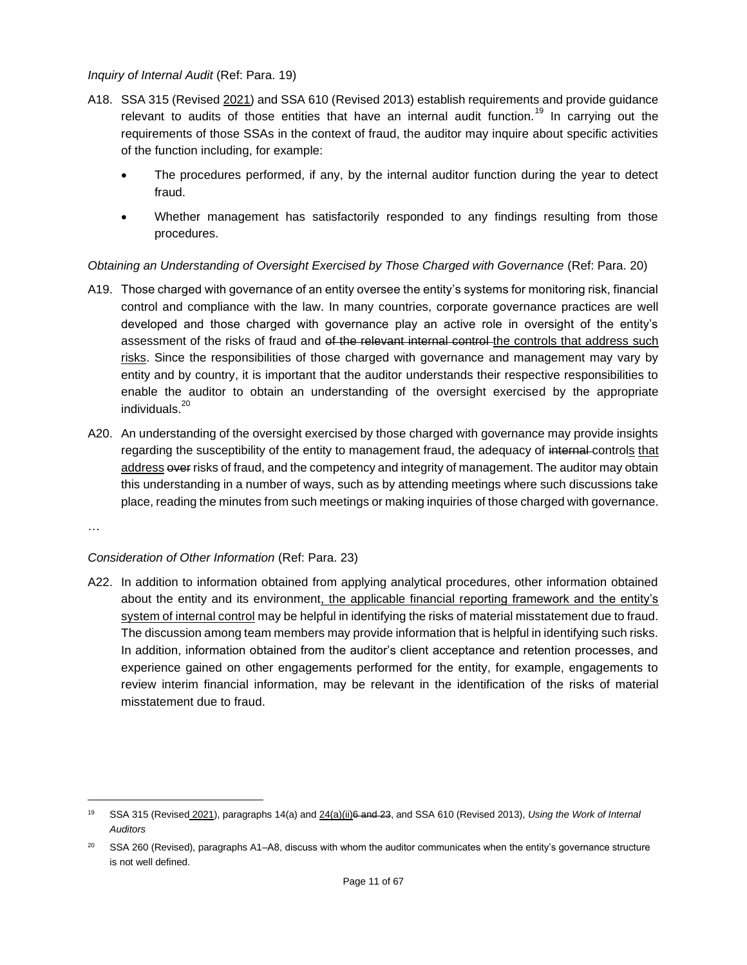#### *Inquiry of Internal Audit* (Ref: Para. 19)

- A18. SSA 315 (Revised 2021) and SSA 610 (Revised 2013) establish requirements and provide guidance relevant to audits of those entities that have an internal audit function.<sup>19</sup> In carrying out the requirements of those SSAs in the context of fraud, the auditor may inquire about specific activities of the function including, for example:
	- The procedures performed, if any, by the internal auditor function during the year to detect fraud.
	- Whether management has satisfactorily responded to any findings resulting from those procedures.

### *Obtaining an Understanding of Oversight Exercised by Those Charged with Governance* (Ref: Para. 20)

- A19. Those charged with governance of an entity oversee the entity's systems for monitoring risk, financial control and compliance with the law. In many countries, corporate governance practices are well developed and those charged with governance play an active role in oversight of the entity's assessment of the risks of fraud and of the relevant internal control-the controls that address such risks. Since the responsibilities of those charged with governance and management may vary by entity and by country, it is important that the auditor understands their respective responsibilities to enable the auditor to obtain an understanding of the oversight exercised by the appropriate individuals.<sup>20</sup>
- A20. An understanding of the oversight exercised by those charged with governance may provide insights regarding the susceptibility of the entity to management fraud, the adequacy of internal controls that address over risks of fraud, and the competency and integrity of management. The auditor may obtain this understanding in a number of ways, such as by attending meetings where such discussions take place, reading the minutes from such meetings or making inquiries of those charged with governance.

…

## *Consideration of Other Information* (Ref: Para. 23)

A22. In addition to information obtained from applying analytical procedures, other information obtained about the entity and its environment, the applicable financial reporting framework and the entity's system of internal control may be helpful in identifying the risks of material misstatement due to fraud. The discussion among team members may provide information that is helpful in identifying such risks. In addition, information obtained from the auditor's client acceptance and retention processes, and experience gained on other engagements performed for the entity, for example, engagements to review interim financial information, may be relevant in the identification of the risks of material misstatement due to fraud.

<sup>19</sup> SSA 315 (Revised 2021), paragraphs 14(a) and 24(a)(ii)6 and 23, and SSA 610 (Revised 2013), *Using the Work of Internal Auditors*

SSA 260 (Revised), paragraphs A1–A8, discuss with whom the auditor communicates when the entity's governance structure is not well defined.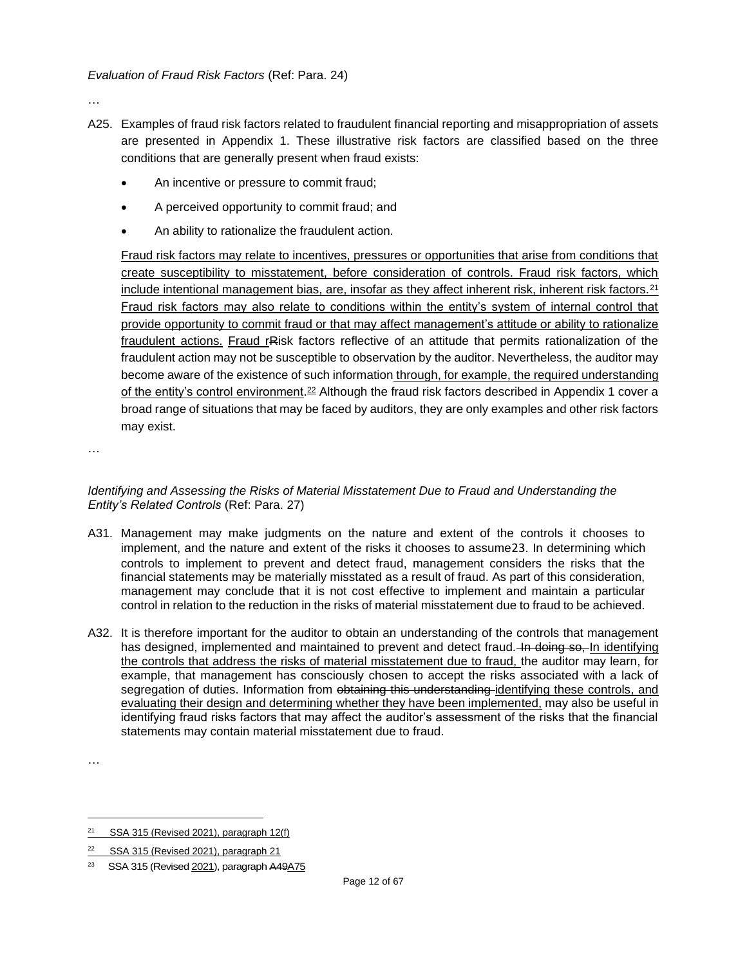…

- A25. Examples of fraud risk factors related to fraudulent financial reporting and misappropriation of assets are presented in Appendix 1. These illustrative risk factors are classified based on the three conditions that are generally present when fraud exists:
	- An incentive or pressure to commit fraud;
	- A perceived opportunity to commit fraud; and
	- An ability to rationalize the fraudulent action.

Fraud risk factors may relate to incentives, pressures or opportunities that arise from conditions that create susceptibility to misstatement, before consideration of controls. Fraud risk factors, which include intentional management bias, are, insofar as they affect inherent risk, inherent risk factors.<sup>21</sup> Fraud risk factors may also relate to conditions within the entity's system of internal control that provide opportunity to commit fraud or that may affect management's attitude or ability to rationalize fraudulent actions. Fraud rRisk factors reflective of an attitude that permits rationalization of the fraudulent action may not be susceptible to observation by the auditor. Nevertheless, the auditor may become aware of the existence of such information through, for example, the required understanding of the entity's control environment.<sup>22</sup> Although the fraud risk factors described in Appendix 1 cover a broad range of situations that may be faced by auditors, they are only examples and other risk factors may exist.

…

#### *Identifying and Assessing the Risks of Material Misstatement Due to Fraud and Understanding the Entity's Related Controls* (Ref: Para. 27)

- A31. Management may make judgments on the nature and extent of the controls it chooses to implement, and the nature and extent of the risks it chooses to assume23. In determining which controls to implement to prevent and detect fraud, management considers the risks that the financial statements may be materially misstated as a result of fraud. As part of this consideration, management may conclude that it is not cost effective to implement and maintain a particular control in relation to the reduction in the risks of material misstatement due to fraud to be achieved.
- A32. It is therefore important for the auditor to obtain an understanding of the controls that management has designed, implemented and maintained to prevent and detect fraud. In doing so, In identifying the controls that address the risks of material misstatement due to fraud, the auditor may learn, for example, that management has consciously chosen to accept the risks associated with a lack of segregation of duties. Information from obtaining this understanding identifying these controls, and evaluating their design and determining whether they have been implemented, may also be useful in identifying fraud risks factors that may affect the auditor's assessment of the risks that the financial statements may contain material misstatement due to fraud.

<sup>…</sup>

<sup>&</sup>lt;sup>21</sup> SSA 315 (Revised 2021), paragraph  $12(f)$ 

 $22$  SSA 315 (Revised 2021), paragraph 21

<sup>23</sup> SSA 315 (Revised 2021), paragraph A49A75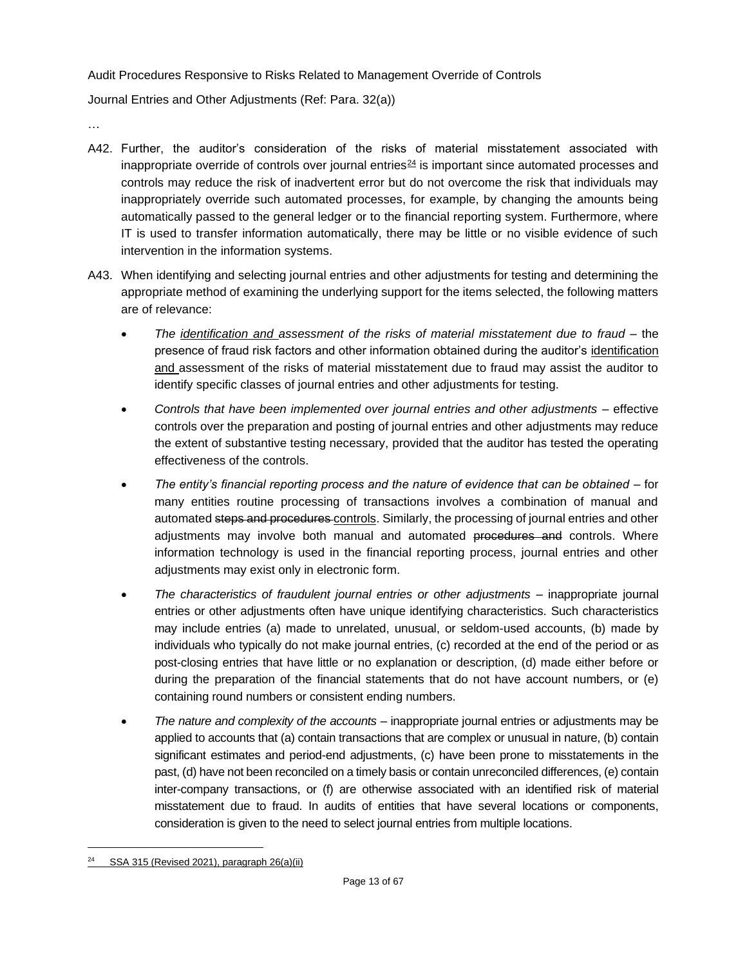#### Audit Procedures Responsive to Risks Related to Management Override of Controls

Journal Entries and Other Adjustments (Ref: Para. 32(a))

- A42. Further, the auditor's consideration of the risks of material misstatement associated with inappropriate override of controls over journal entries $24$  is important since automated processes and controls may reduce the risk of inadvertent error but do not overcome the risk that individuals may inappropriately override such automated processes, for example, by changing the amounts being automatically passed to the general ledger or to the financial reporting system. Furthermore, where IT is used to transfer information automatically, there may be little or no visible evidence of such intervention in the information systems.
- A43. When identifying and selecting journal entries and other adjustments for testing and determining the appropriate method of examining the underlying support for the items selected, the following matters are of relevance:
	- *The identification and assessment of the risks of material misstatement due to fraud* the presence of fraud risk factors and other information obtained during the auditor's identification and assessment of the risks of material misstatement due to fraud may assist the auditor to identify specific classes of journal entries and other adjustments for testing.
	- Controls that have been implemented over journal entries and other adjustments effective controls over the preparation and posting of journal entries and other adjustments may reduce the extent of substantive testing necessary, provided that the auditor has tested the operating effectiveness of the controls.
	- *The entity's financial reporting process and the nature of evidence that can be obtained* for many entities routine processing of transactions involves a combination of manual and automated steps and procedures controls. Similarly, the processing of journal entries and other adjustments may involve both manual and automated procedures and controls. Where information technology is used in the financial reporting process, journal entries and other adjustments may exist only in electronic form.
	- *The characteristics of fraudulent journal entries or other adjustments* inappropriate journal entries or other adjustments often have unique identifying characteristics. Such characteristics may include entries (a) made to unrelated, unusual, or seldom-used accounts, (b) made by individuals who typically do not make journal entries, (c) recorded at the end of the period or as post-closing entries that have little or no explanation or description, (d) made either before or during the preparation of the financial statements that do not have account numbers, or (e) containing round numbers or consistent ending numbers.
	- The nature and complexity of the accounts inappropriate journal entries or adjustments may be applied to accounts that (a) contain transactions that are complex or unusual in nature, (b) contain significant estimates and period-end adjustments, (c) have been prone to misstatements in the past, (d) have not been reconciled on a timely basis or contain unreconciled differences, (e) contain inter-company transactions, or (f) are otherwise associated with an identified risk of material misstatement due to fraud. In audits of entities that have several locations or components, consideration is given to the need to select journal entries from multiple locations.

SSA 315 (Revised 2021), paragraph 26(a)(ii)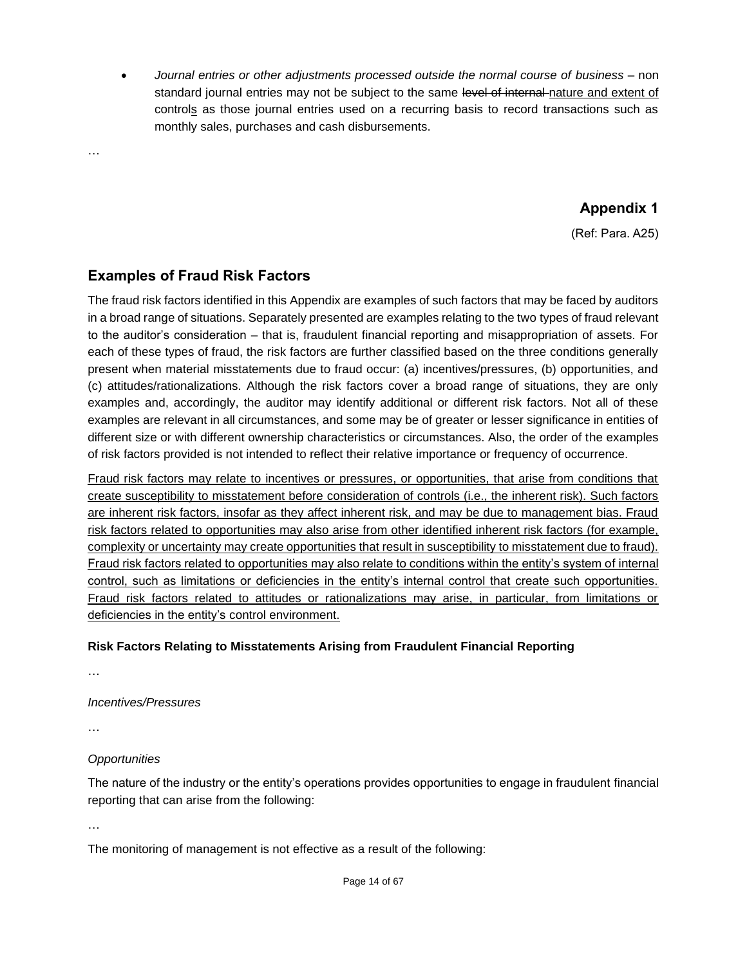• *Journal entries or other adjustments processed outside the normal course of business* – non standard journal entries may not be subject to the same level of internal nature and extent of controls as those journal entries used on a recurring basis to record transactions such as monthly sales, purchases and cash disbursements.

**Appendix 1**

(Ref: Para. A25)

# **Examples of Fraud Risk Factors**

The fraud risk factors identified in this Appendix are examples of such factors that may be faced by auditors in a broad range of situations. Separately presented are examples relating to the two types of fraud relevant to the auditor's consideration – that is, fraudulent financial reporting and misappropriation of assets. For each of these types of fraud, the risk factors are further classified based on the three conditions generally present when material misstatements due to fraud occur: (a) incentives/pressures, (b) opportunities, and (c) attitudes/rationalizations. Although the risk factors cover a broad range of situations, they are only examples and, accordingly, the auditor may identify additional or different risk factors. Not all of these examples are relevant in all circumstances, and some may be of greater or lesser significance in entities of different size or with different ownership characteristics or circumstances. Also, the order of the examples of risk factors provided is not intended to reflect their relative importance or frequency of occurrence.

Fraud risk factors may relate to incentives or pressures, or opportunities, that arise from conditions that create susceptibility to misstatement before consideration of controls (i.e., the inherent risk). Such factors are inherent risk factors, insofar as they affect inherent risk, and may be due to management bias. Fraud risk factors related to opportunities may also arise from other identified inherent risk factors (for example, complexity or uncertainty may create opportunities that result in susceptibility to misstatement due to fraud). Fraud risk factors related to opportunities may also relate to conditions within the entity's system of internal control, such as limitations or deficiencies in the entity's internal control that create such opportunities. Fraud risk factors related to attitudes or rationalizations may arise, in particular, from limitations or deficiencies in the entity's control environment.

## **Risk Factors Relating to Misstatements Arising from Fraudulent Financial Reporting**

…

…

*Incentives/Pressures*

…

#### *Opportunities*

The nature of the industry or the entity's operations provides opportunities to engage in fraudulent financial reporting that can arise from the following:

…

The monitoring of management is not effective as a result of the following: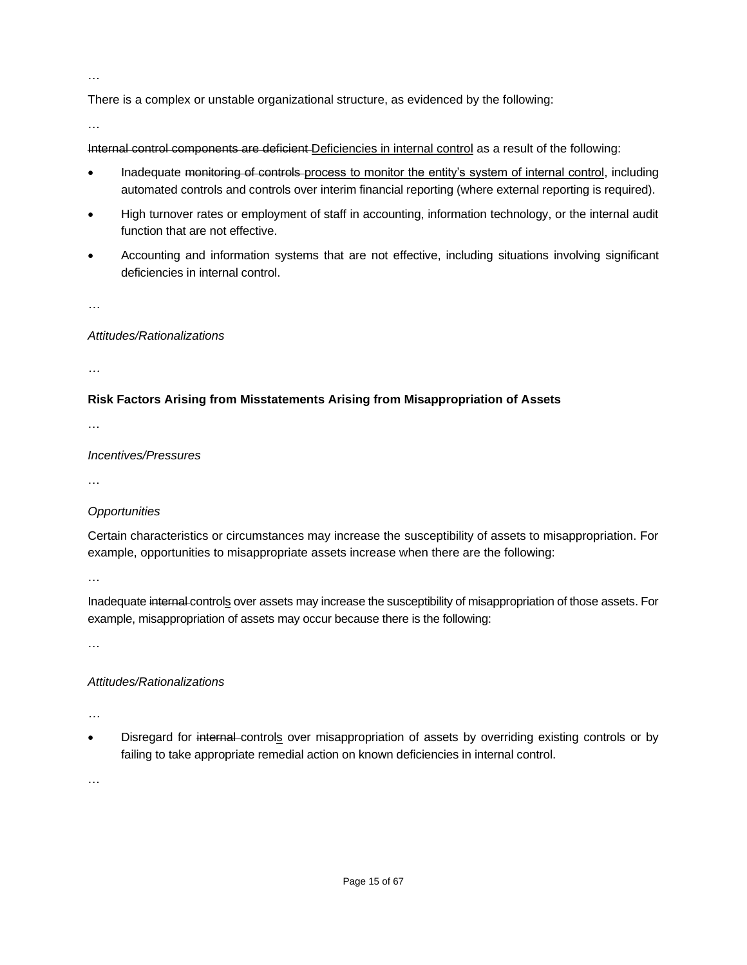…

There is a complex or unstable organizational structure, as evidenced by the following:

…

Internal control components are deficient Deficiencies in internal control as a result of the following:

- Inadequate monitoring of controls-process to monitor the entity's system of internal control, including automated controls and controls over interim financial reporting (where external reporting is required).
- High turnover rates or employment of staff in accounting, information technology, or the internal audit function that are not effective.
- Accounting and information systems that are not effective, including situations involving significant deficiencies in internal control.

*…*

#### *Attitudes/Rationalizations*

*…*

#### **Risk Factors Arising from Misstatements Arising from Misappropriation of Assets**

…

#### *Incentives/Pressures*

…

#### *Opportunities*

Certain characteristics or circumstances may increase the susceptibility of assets to misappropriation. For example, opportunities to misappropriate assets increase when there are the following:

…

Inadequate internal controls over assets may increase the susceptibility of misappropriation of those assets. For example, misappropriation of assets may occur because there is the following:

…

#### *Attitudes/Rationalizations*

*…*

Disregard for internal controls over misappropriation of assets by overriding existing controls or by failing to take appropriate remedial action on known deficiencies in internal control.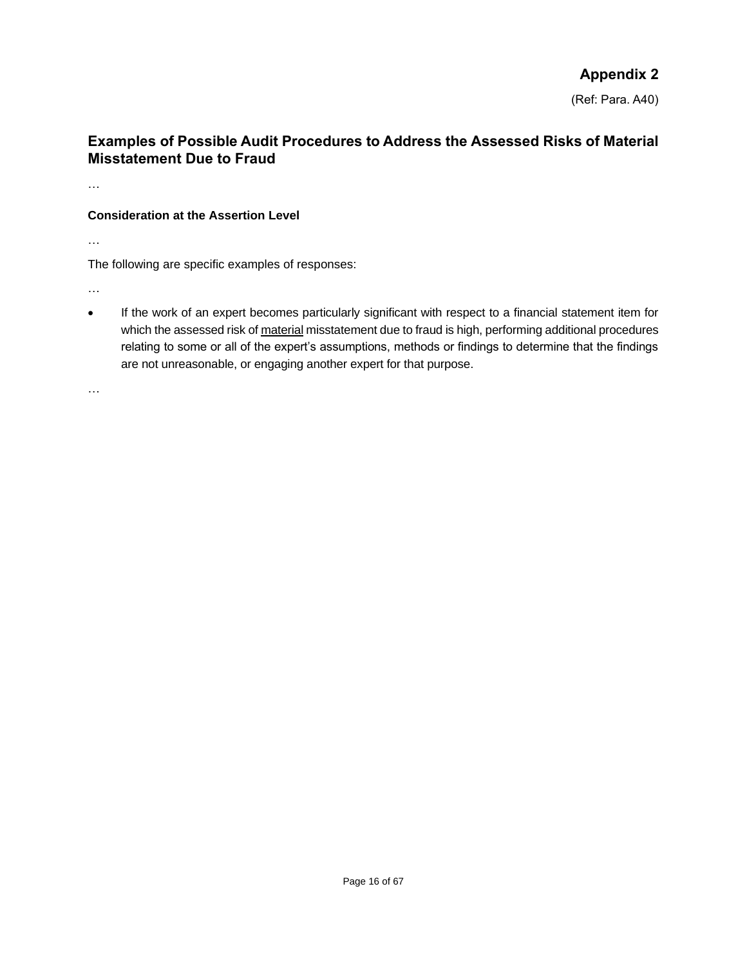# **Appendix 2**

(Ref: Para. A40)

# **Examples of Possible Audit Procedures to Address the Assessed Risks of Material Misstatement Due to Fraud**

…

### **Consideration at the Assertion Level**

…

The following are specific examples of responses:

…

• If the work of an expert becomes particularly significant with respect to a financial statement item for which the assessed risk of material misstatement due to fraud is high, performing additional procedures relating to some or all of the expert's assumptions, methods or findings to determine that the findings are not unreasonable, or engaging another expert for that purpose.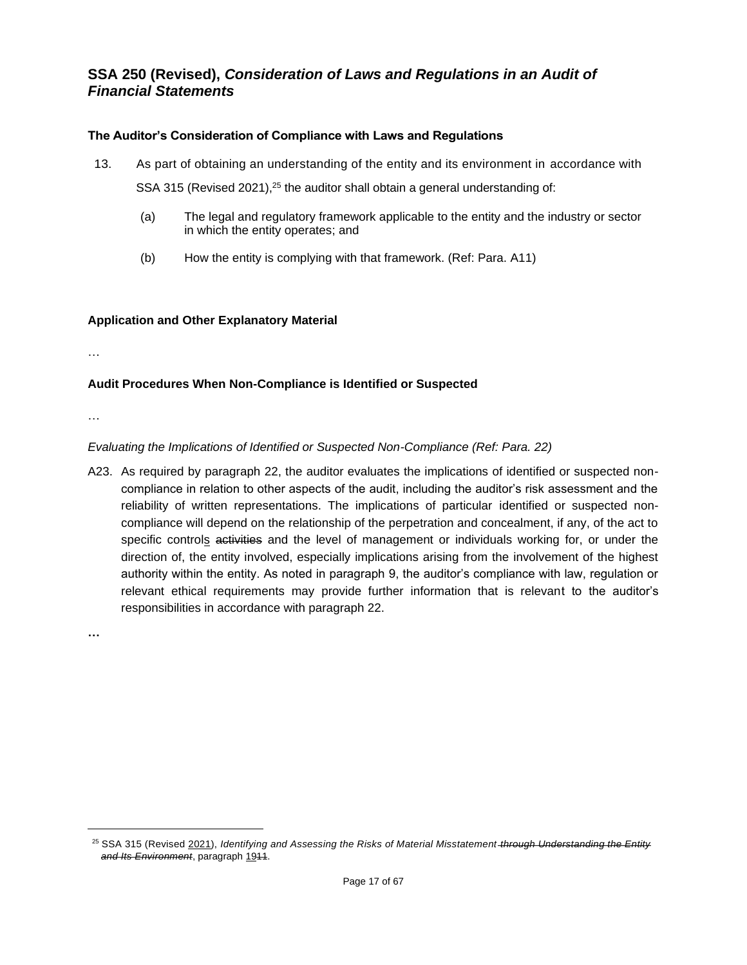## **SSA 250 (Revised),** *Consideration of Laws and Regulations in an Audit of Financial Statements*

#### **The Auditor's Consideration of Compliance with Laws and Regulations**

13. As part of obtaining an understanding of the entity and its environment in accordance with SSA 315 (Revised 2021),<sup>25</sup> the auditor shall obtain a general understanding of:

- (a) The legal and regulatory framework applicable to the entity and the industry or sector in which the entity operates; and
- (b) How the entity is complying with that framework. (Ref: Para. A11)

#### **Application and Other Explanatory Material**

…

### **Audit Procedures When Non-Compliance is Identified or Suspected**

…

### *Evaluating the Implications of Identified or Suspected Non-Compliance (Ref: Para. 22)*

A23. As required by paragraph 22, the auditor evaluates the implications of identified or suspected noncompliance in relation to other aspects of the audit, including the auditor's risk assessment and the reliability of written representations. The implications of particular identified or suspected noncompliance will depend on the relationship of the perpetration and concealment, if any, of the act to specific controls activities and the level of management or individuals working for, or under the direction of, the entity involved, especially implications arising from the involvement of the highest authority within the entity. As noted in paragraph 9, the auditor's compliance with law, regulation or relevant ethical requirements may provide further information that is relevant to the auditor's responsibilities in accordance with paragraph 22.

<sup>25</sup> SSA 315 (Revised 2021), *Identifying and Assessing the Risks of Material Misstatement through Understanding the Entity and Its Environment*, paragraph 1911.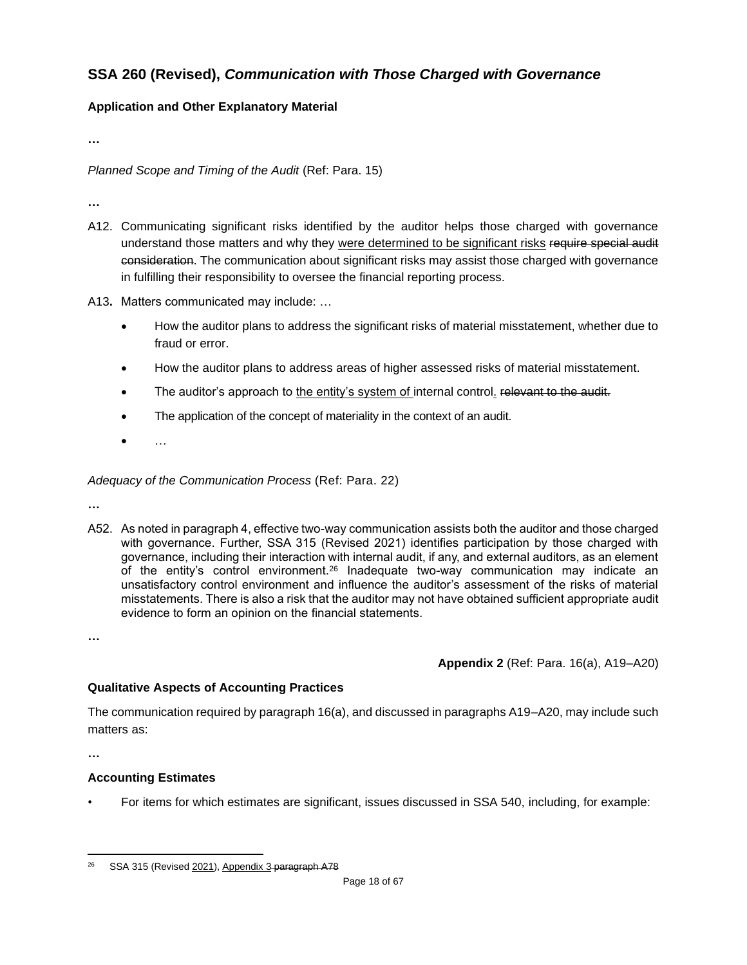## **SSA 260 (Revised),** *Communication with Those Charged with Governance*

### **Application and Other Explanatory Material**

**……** 

*Planned Scope and Timing of the Audit* (Ref: Para. 15)

**…**

- A12. Communicating significant risks identified by the auditor helps those charged with governance understand those matters and why they were determined to be significant risks require special audit consideration. The communication about significant risks may assist those charged with governance in fulfilling their responsibility to oversee the financial reporting process.
- A13**.** Matters communicated may include: …
	- How the auditor plans to address the significant risks of material misstatement, whether due to fraud or error.
	- How the auditor plans to address areas of higher assessed risks of material misstatement.
	- The auditor's approach to the entity's system of internal control, relevant to the audit.
	- The application of the concept of materiality in the context of an audit.
	- $\ddotsc$

*Adequacy of the Communication Process* (Ref: Para. 22)

**…**

A52. As noted in paragraph 4, effective two-way communication assists both the auditor and those charged with governance. Further, SSA 315 (Revised 2021) identifies participation by those charged with governance, including their interaction with internal audit, if any, and external auditors, as an element of the entity's control environment.<sup>26</sup> Inadequate two-way communication may indicate an unsatisfactory control environment and influence the auditor's assessment of the risks of material misstatements. There is also a risk that the auditor may not have obtained sufficient appropriate audit evidence to form an opinion on the financial statements.

**…**

**Appendix 2** (Ref: Para. 16(a), A19–A20)

#### **Qualitative Aspects of Accounting Practices**

The communication required by paragraph 16(a), and discussed in paragraphs A19–A20, may include such matters as:

**…**

## **Accounting Estimates**

• For items for which estimates are significant, issues discussed in SSA 540, including, for example:

<sup>&</sup>lt;sup>26</sup> SSA 315 (Revised 2021), Appendix 3 paragraph A78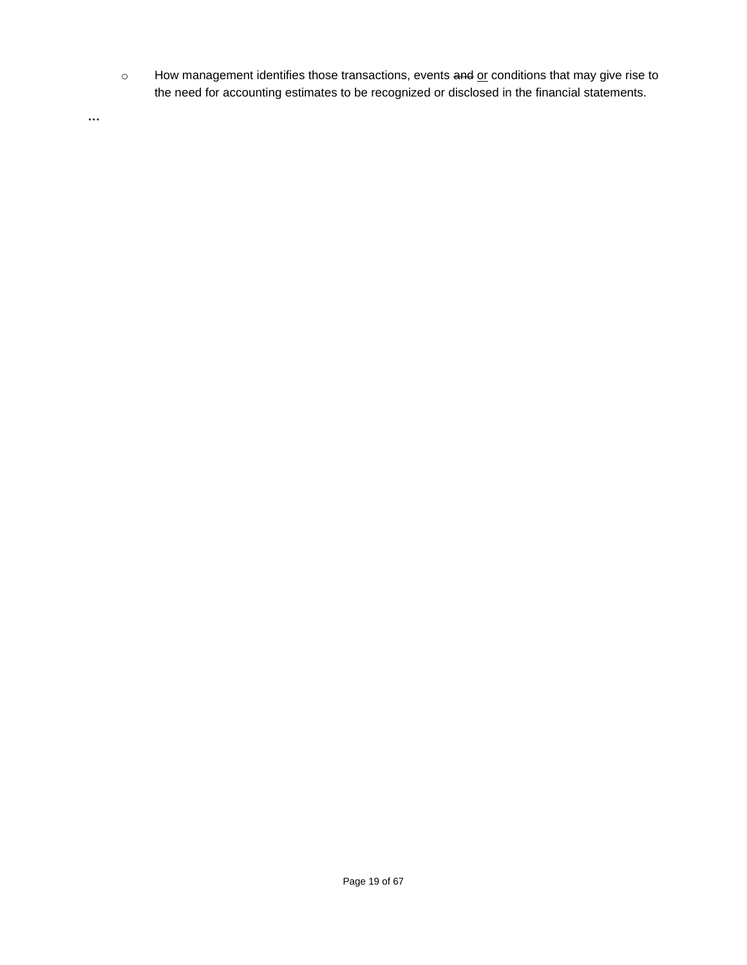o How management identifies those transactions, events and or conditions that may give rise to the need for accounting estimates to be recognized or disclosed in the financial statements.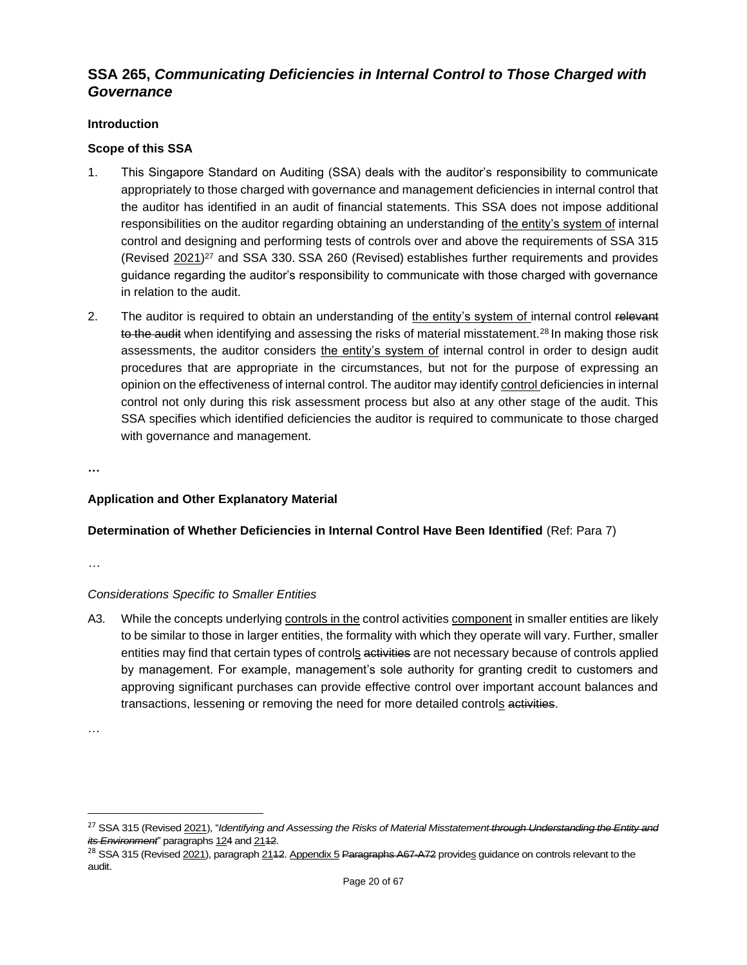## **SSA 265,** *Communicating Deficiencies in Internal Control to Those Charged with Governance*

#### **Introduction**

### **Scope of this SSA**

- 1. This Singapore Standard on Auditing (SSA) deals with the auditor's responsibility to communicate appropriately to those charged with governance and management deficiencies in internal control that the auditor has identified in an audit of financial statements. This SSA does not impose additional responsibilities on the auditor regarding obtaining an understanding of the entity's system of internal control and designing and performing tests of controls over and above the requirements of SSA 315 (Revised 2021)<sup>27</sup> and SSA 330. SSA 260 (Revised) establishes further requirements and provides guidance regarding the auditor's responsibility to communicate with those charged with governance in relation to the audit.
- 2. The auditor is required to obtain an understanding of the entity's system of internal control relevant to the audit when identifying and assessing the risks of material misstatement.<sup>28</sup> In making those risk assessments, the auditor considers the entity's system of internal control in order to design audit procedures that are appropriate in the circumstances, but not for the purpose of expressing an opinion on the effectiveness of internal control. The auditor may identify control deficiencies in internal control not only during this risk assessment process but also at any other stage of the audit. This SSA specifies which identified deficiencies the auditor is required to communicate to those charged with governance and management.

**…**

## **Application and Other Explanatory Material**

## **Determination of Whether Deficiencies in Internal Control Have Been Identified** (Ref: Para 7)

*…*

…

## *Considerations Specific to Smaller Entities*

A3. While the concepts underlying controls in the control activities component in smaller entities are likely to be similar to those in larger entities, the formality with which they operate will vary. Further, smaller entities may find that certain types of controls activities are not necessary because of controls applied by management. For example, management's sole authority for granting credit to customers and approving significant purchases can provide effective control over important account balances and transactions, lessening or removing the need for more detailed controls activities.

<sup>27</sup> SSA 315 (Revised 2021), "*Identifying and Assessing the Risks of Material Misstatement through Understanding the Entity and its Environment*" paragraphs 124 and 2112.

<sup>&</sup>lt;sup>28</sup> SSA 315 (Revised 2021), paragraph 2112. Appendix 5 Paragraphs A67-A72 provides guidance on controls relevant to the audit.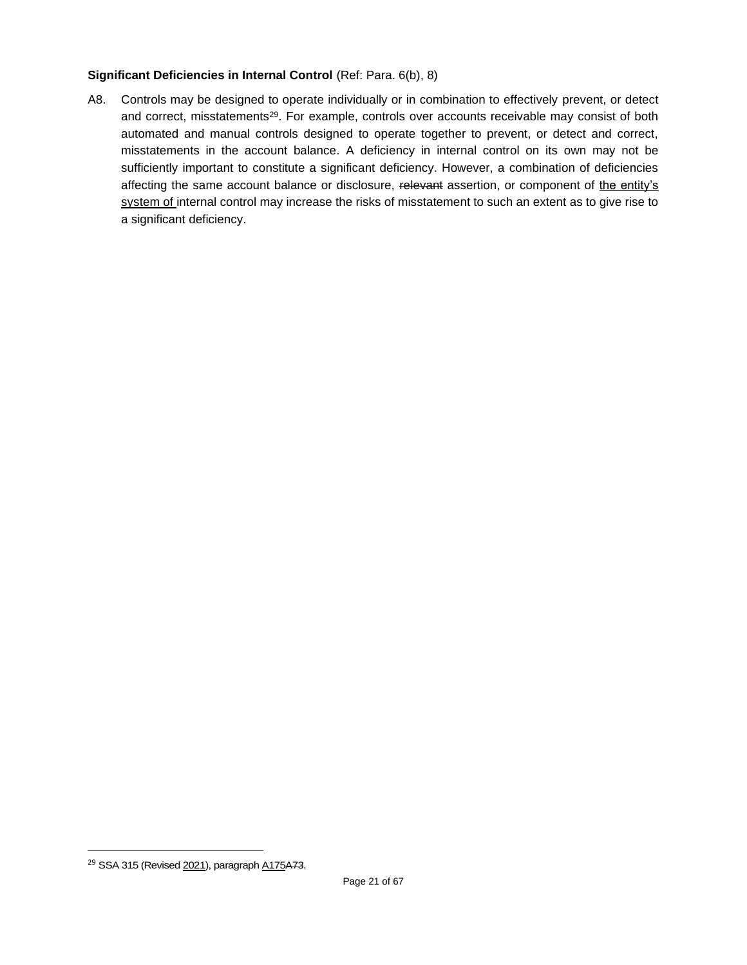#### **Significant Deficiencies in Internal Control (Ref: Para. 6(b), 8)**

A8. Controls may be designed to operate individually or in combination to effectively prevent, or detect and correct, misstatements<sup>29</sup>. For example, controls over accounts receivable may consist of both automated and manual controls designed to operate together to prevent, or detect and correct, misstatements in the account balance. A deficiency in internal control on its own may not be sufficiently important to constitute a significant deficiency. However, a combination of deficiencies affecting the same account balance or disclosure, relevant assertion, or component of the entity's system of internal control may increase the risks of misstatement to such an extent as to give rise to a significant deficiency.

<sup>&</sup>lt;sup>29</sup> SSA 315 (Revised 2021), paragraph A175A73.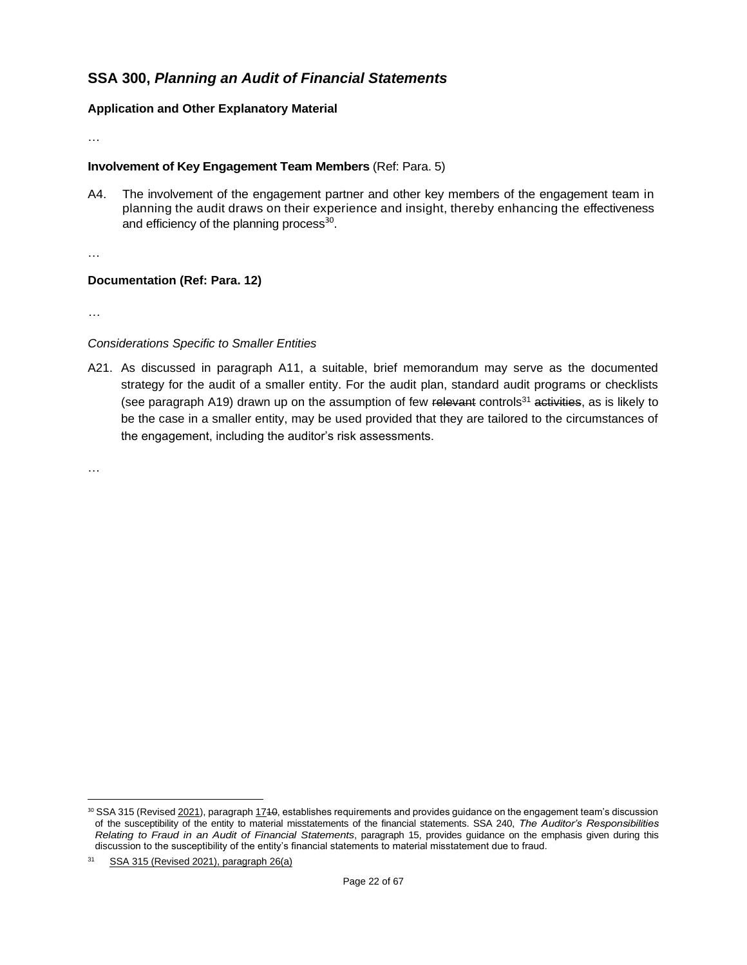## **SSA 300,** *Planning an Audit of Financial Statements*

#### **Application and Other Explanatory Material**

…

#### **Involvement of Key Engagement Team Members** (Ref: Para. 5)

A4. The involvement of the engagement partner and other key members of the engagement team in planning the audit draws on their experience and insight, thereby enhancing the effectiveness and efficiency of the planning process<sup>30</sup>.

#### **Documentation (Ref: Para. 12)**

*…*

#### *Considerations Specific to Smaller Entities*

A21. As discussed in paragraph A11, a suitable, brief memorandum may serve as the documented strategy for the audit of a smaller entity. For the audit plan, standard audit programs or checklists (see paragraph A19) drawn up on the assumption of few relevant controls<sup>31</sup> activities, as is likely to be the case in a smaller entity, may be used provided that they are tailored to the circumstances of the engagement, including the auditor's risk assessments.

<sup>30</sup> SSA 315 (Revised 2021), paragraph 1740, establishes requirements and provides guidance on the engagement team's discussion of the susceptibility of the entity to material misstatements of the financial statements. SSA 240, *The Auditor's Responsibilities Relating to Fraud in an Audit of Financial Statements*, paragraph 15, provides guidance on the emphasis given during this discussion to the susceptibility of the entity's financial statements to material misstatement due to fraud.

<sup>31</sup> SSA 315 (Revised 2021), paragraph 26(a)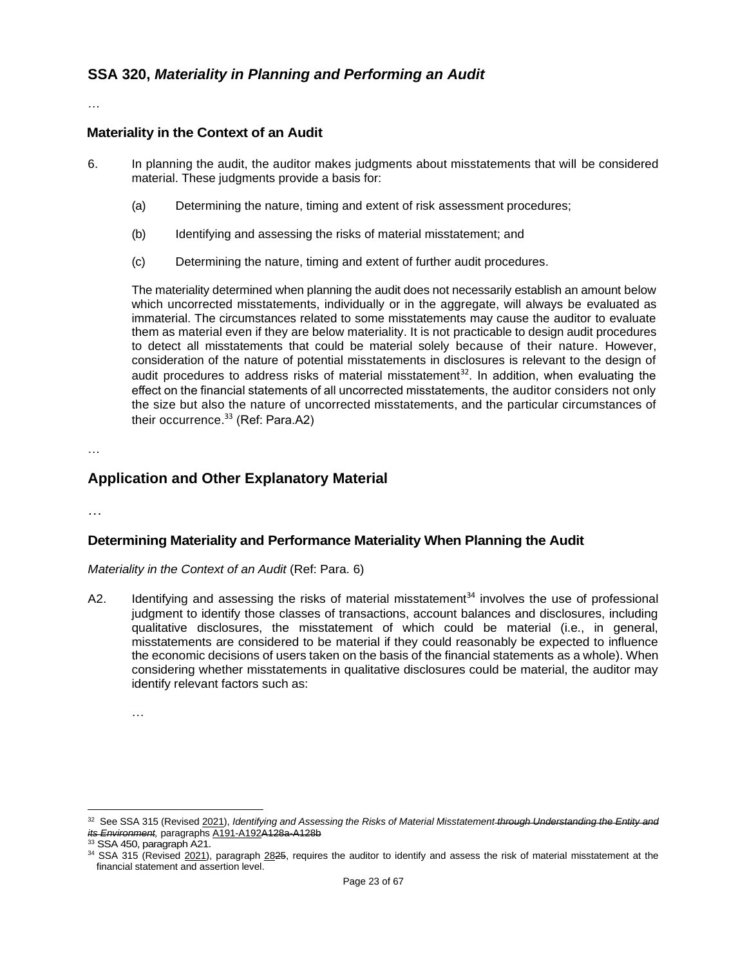## **SSA 320,** *Materiality in Planning and Performing an Audit*

#### …

#### **Materiality in the Context of an Audit**

- 6. In planning the audit, the auditor makes judgments about misstatements that will be considered material. These judgments provide a basis for:
	- (a) Determining the nature, timing and extent of risk assessment procedures;
	- (b) Identifying and assessing the risks of material misstatement; and
	- (c) Determining the nature, timing and extent of further audit procedures.

The materiality determined when planning the audit does not necessarily establish an amount below which uncorrected misstatements, individually or in the aggregate, will always be evaluated as immaterial. The circumstances related to some misstatements may cause the auditor to evaluate them as material even if they are below materiality. It is not practicable to design audit procedures to detect all misstatements that could be material solely because of their nature. However, consideration of the nature of potential misstatements in disclosures is relevant to the design of audit procedures to address risks of material misstatement<sup>32</sup>. In addition, when evaluating the effect on the financial statements of all uncorrected misstatements, the auditor considers not only the size but also the nature of uncorrected misstatements, and the particular circumstances of their occurrence. <sup>33</sup> (Ref: Para.A2)

…

### **Application and Other Explanatory Material**

…

#### **Determining Materiality and Performance Materiality When Planning the Audit**

*Materiality in the Context of an Audit* (Ref: Para. 6)

A2. Identifying and assessing the risks of material misstatement $34$  involves the use of professional judgment to identify those classes of transactions, account balances and disclosures, including qualitative disclosures, the misstatement of which could be material (i.e., in general, misstatements are considered to be material if they could reasonably be expected to influence the economic decisions of users taken on the basis of the financial statements as a whole). When considering whether misstatements in qualitative disclosures could be material, the auditor may identify relevant factors such as:

<sup>32</sup> See SSA 315 (Revised 2021), *Identifying and Assessing the Risks of Material Misstatement through Understanding the Entity and its Environment,* paragraphs A191-A192A128a-A128b

<sup>&</sup>lt;sup>33</sup> SSA 450, paragraph A21.

<sup>&</sup>lt;sup>34</sup> SSA 315 (Revised 2021), paragraph 28<del>25</del>, requires the auditor to identify and assess the risk of material misstatement at the financial statement and assertion level.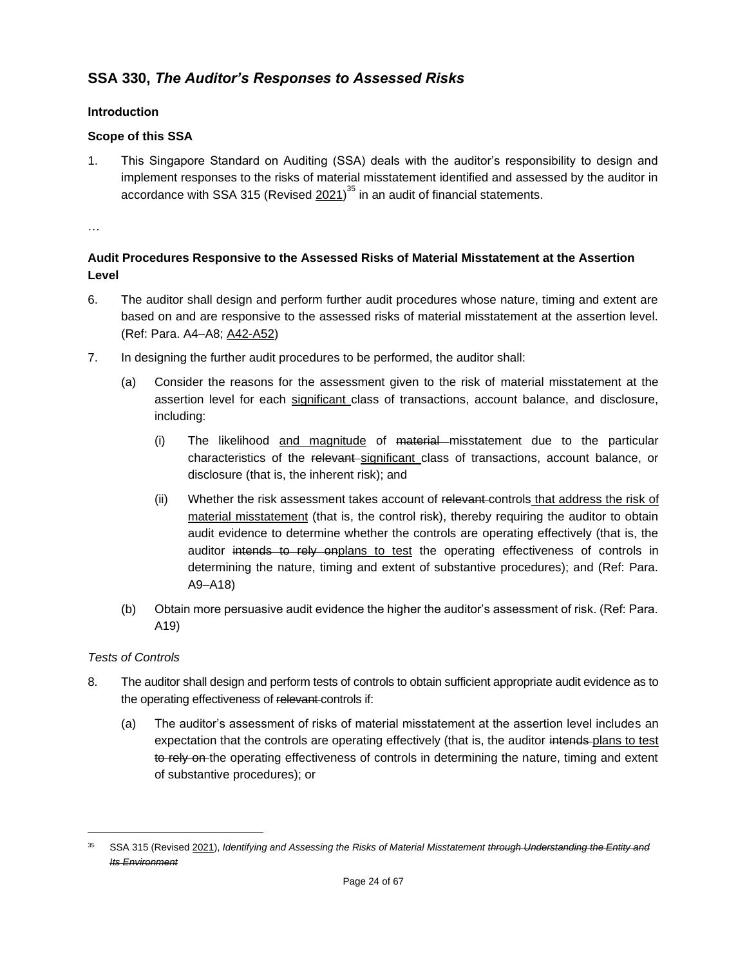# **SSA 330,** *The Auditor's Responses to Assessed Risks*

## **Introduction**

## **Scope of this SSA**

1. This Singapore Standard on Auditing (SSA) deals with the auditor's responsibility to design and implement responses to the risks of material misstatement identified and assessed by the auditor in accordance with SSA 315 (Revised  $2021$ )<sup>35</sup> in an audit of financial statements.

…

## **Audit Procedures Responsive to the Assessed Risks of Material Misstatement at the Assertion Level**

- 6. The auditor shall design and perform further audit procedures whose nature, timing and extent are based on and are responsive to the assessed risks of material misstatement at the assertion level. (Ref: Para. A4–A8; A42-A52)
- 7. In designing the further audit procedures to be performed, the auditor shall:
	- (a) Consider the reasons for the assessment given to the risk of material misstatement at the assertion level for each significant class of transactions, account balance, and disclosure, including:
		- (i) The likelihood and magnitude of <del>material misstatement due to the particular</del> characteristics of the relevant significant class of transactions, account balance, or disclosure (that is, the inherent risk); and
		- (ii) Whether the risk assessment takes account of relevant controls that address the risk of material misstatement (that is, the control risk), thereby requiring the auditor to obtain audit evidence to determine whether the controls are operating effectively (that is, the auditor intends to rely onplans to test the operating effectiveness of controls in determining the nature, timing and extent of substantive procedures); and (Ref: Para. A9–A18)
	- (b) Obtain more persuasive audit evidence the higher the auditor's assessment of risk. (Ref: Para. A19)

## *Tests of Controls*

- 8. The auditor shall design and perform tests of controls to obtain sufficient appropriate audit evidence as to the operating effectiveness of relevant controls if:
	- (a) The auditor's assessment of risks of material misstatement at the assertion level includes an expectation that the controls are operating effectively (that is, the auditor intends plans to test to rely on the operating effectiveness of controls in determining the nature, timing and extent of substantive procedures); or

<sup>35</sup> SSA 315 (Revised 2021), *Identifying and Assessing the Risks of Material Misstatement through Understanding the Entity and Its Environment*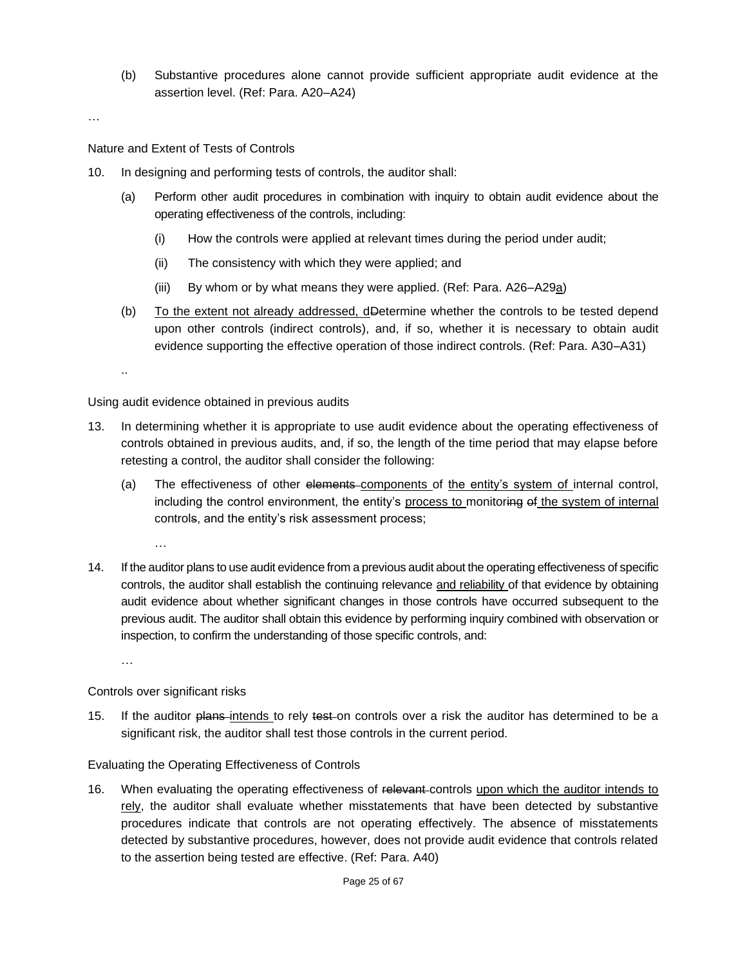(b) Substantive procedures alone cannot provide sufficient appropriate audit evidence at the assertion level. (Ref: Para. A20–A24)

…

Nature and Extent of Tests of Controls

- 10. In designing and performing tests of controls, the auditor shall:
	- (a) Perform other audit procedures in combination with inquiry to obtain audit evidence about the operating effectiveness of the controls, including:
		- (i) How the controls were applied at relevant times during the period under audit;
		- (ii) The consistency with which they were applied; and
		- (iii) By whom or by what means they were applied. (Ref: Para. A26–A29a)
	- (b) To the extent not already addressed, dDetermine whether the controls to be tested depend upon other controls (indirect controls), and, if so, whether it is necessary to obtain audit evidence supporting the effective operation of those indirect controls. (Ref: Para. A30–A31)

Using audit evidence obtained in previous audits

- 13. In determining whether it is appropriate to use audit evidence about the operating effectiveness of controls obtained in previous audits, and, if so, the length of the time period that may elapse before retesting a control, the auditor shall consider the following:
	- (a) The effectiveness of other elements-components of the entity's system of internal control, including the control environment, the entity's process to monitoring of the system of internal controls, and the entity's risk assessment process;
		-
- 14. If the auditor plans to use audit evidence from a previous audit about the operating effectiveness of specific controls, the auditor shall establish the continuing relevance and reliability of that evidence by obtaining audit evidence about whether significant changes in those controls have occurred subsequent to the previous audit. The auditor shall obtain this evidence by performing inquiry combined with observation or inspection, to confirm the understanding of those specific controls, and:

…

..

Controls over significant risks

15. If the auditor plans-intends to rely test on controls over a risk the auditor has determined to be a significant risk, the auditor shall test those controls in the current period.

Evaluating the Operating Effectiveness of Controls

16. When evaluating the operating effectiveness of relevant-controls upon which the auditor intends to rely, the auditor shall evaluate whether misstatements that have been detected by substantive procedures indicate that controls are not operating effectively. The absence of misstatements detected by substantive procedures, however, does not provide audit evidence that controls related to the assertion being tested are effective. (Ref: Para. A40)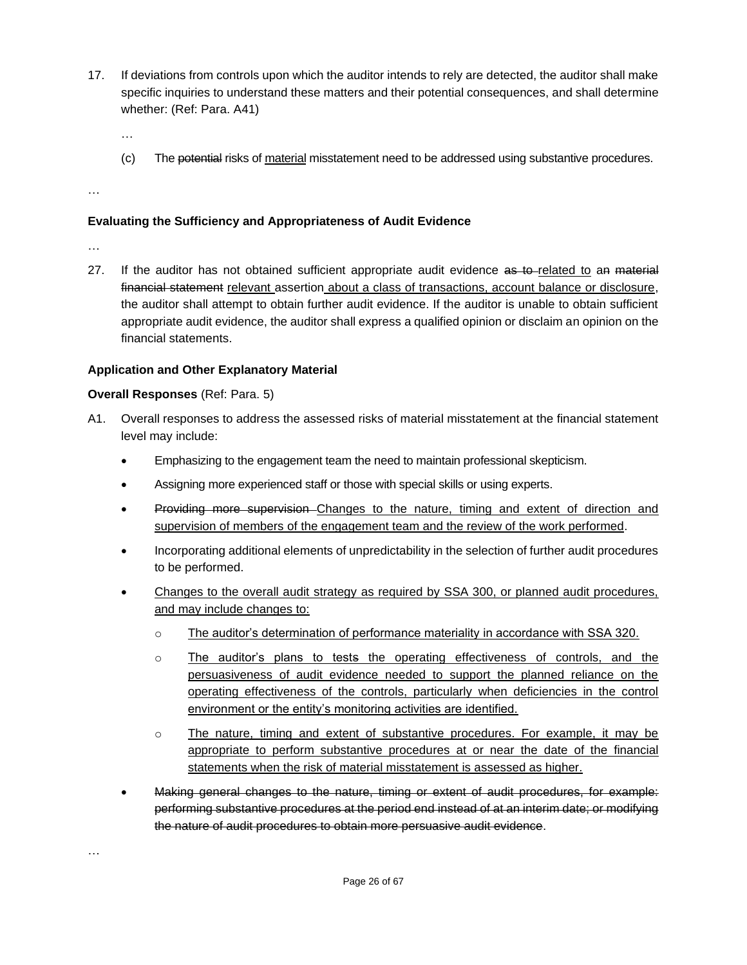- 17. If deviations from controls upon which the auditor intends to rely are detected, the auditor shall make specific inquiries to understand these matters and their potential consequences, and shall determine whether: (Ref: Para. A41)
	- …
	- (c) The potential risks of material misstatement need to be addressed using substantive procedures.

…

#### **Evaluating the Sufficiency and Appropriateness of Audit Evidence**

…

…

27. If the auditor has not obtained sufficient appropriate audit evidence as to-related to an material financial statement relevant assertion about a class of transactions, account balance or disclosure, the auditor shall attempt to obtain further audit evidence. If the auditor is unable to obtain sufficient appropriate audit evidence, the auditor shall express a qualified opinion or disclaim an opinion on the financial statements.

#### **Application and Other Explanatory Material**

#### **Overall Responses** (Ref: Para. 5)

- A1. Overall responses to address the assessed risks of material misstatement at the financial statement level may include:
	- Emphasizing to the engagement team the need to maintain professional skepticism.
	- Assigning more experienced staff or those with special skills or using experts.
	- Providing more supervision–Changes to the nature, timing and extent of direction and supervision of members of the engagement team and the review of the work performed.
	- Incorporating additional elements of unpredictability in the selection of further audit procedures to be performed.
	- Changes to the overall audit strategy as required by SSA 300, or planned audit procedures, and may include changes to:
		- o The auditor's determination of performance materiality in accordance with SSA 320.
		- o The auditor's plans to tests the operating effectiveness of controls, and the persuasiveness of audit evidence needed to support the planned reliance on the operating effectiveness of the controls, particularly when deficiencies in the control environment or the entity's monitoring activities are identified.
		- $\circ$  The nature, timing and extent of substantive procedures. For example, it may be appropriate to perform substantive procedures at or near the date of the financial statements when the risk of material misstatement is assessed as higher*.*
	- Making general changes to the nature, timing or extent of audit procedures, for example: performing substantive procedures at the period end instead of at an interim date; or modifying the nature of audit procedures to obtain more persuasive audit evidence.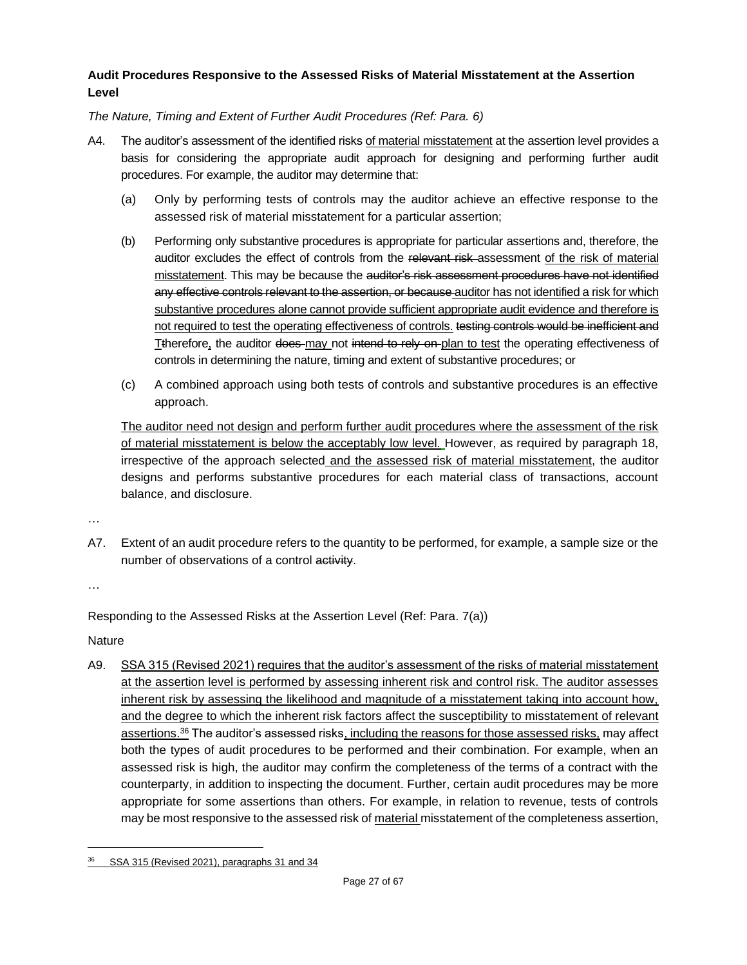## **Audit Procedures Responsive to the Assessed Risks of Material Misstatement at the Assertion Level**

## *The Nature, Timing and Extent of Further Audit Procedures (Ref: Para. 6)*

- A4. The auditor's assessment of the identified risks of material misstatement at the assertion level provides a basis for considering the appropriate audit approach for designing and performing further audit procedures. For example, the auditor may determine that:
	- (a) Only by performing tests of controls may the auditor achieve an effective response to the assessed risk of material misstatement for a particular assertion;
	- (b) Performing only substantive procedures is appropriate for particular assertions and, therefore, the auditor excludes the effect of controls from the relevant risk assessment of the risk of material misstatement. This may be because the auditor's risk assessment procedures have not identified any effective controls relevant to the assertion, or because auditor has not identified a risk for which substantive procedures alone cannot provide sufficient appropriate audit evidence and therefore is not required to test the operating effectiveness of controls. testing controls would be inefficient and Ttherefore, the auditor does may not intend to rely on plan to test the operating effectiveness of controls in determining the nature, timing and extent of substantive procedures; or
	- (c) A combined approach using both tests of controls and substantive procedures is an effective approach.

The auditor need not design and perform further audit procedures where the assessment of the risk of material misstatement is below the acceptably low level. However, as required by paragraph 18, irrespective of the approach selected and the assessed risk of material misstatement, the auditor designs and performs substantive procedures for each material class of transactions, account balance, and disclosure.

…

A7. Extent of an audit procedure refers to the quantity to be performed, for example, a sample size or the number of observations of a control activity.

…

Responding to the Assessed Risks at the Assertion Level (Ref: Para. 7(a))

**Nature** 

A9. SSA 315 (Revised 2021) requires that the auditor's assessment of the risks of material misstatement at the assertion level is performed by assessing inherent risk and control risk. The auditor assesses inherent risk by assessing the likelihood and magnitude of a misstatement taking into account how, and the degree to which the inherent risk factors affect the susceptibility to misstatement of relevant assertions.<sup>36</sup> The auditor's assessed risks, including the reasons for those assessed risks, may affect both the types of audit procedures to be performed and their combination. For example, when an assessed risk is high, the auditor may confirm the completeness of the terms of a contract with the counterparty, in addition to inspecting the document. Further, certain audit procedures may be more appropriate for some assertions than others. For example, in relation to revenue, tests of controls may be most responsive to the assessed risk of material misstatement of the completeness assertion,

<sup>36</sup> SSA 315 (Revised 2021), paragraphs 31 and 34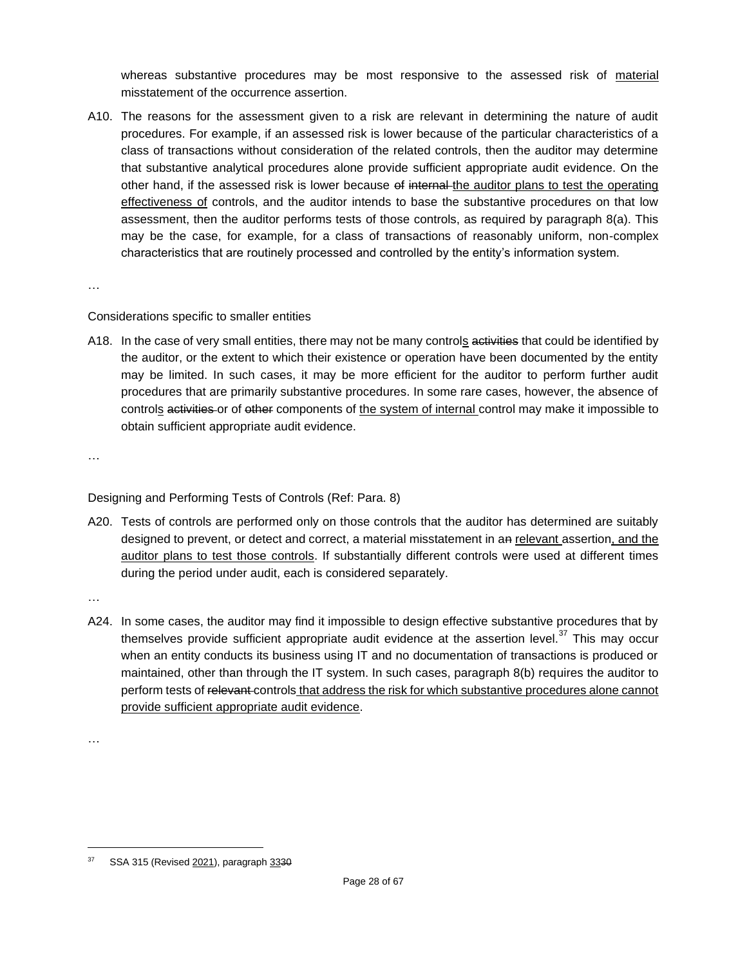whereas substantive procedures may be most responsive to the assessed risk of material misstatement of the occurrence assertion.

A10. The reasons for the assessment given to a risk are relevant in determining the nature of audit procedures. For example, if an assessed risk is lower because of the particular characteristics of a class of transactions without consideration of the related controls, then the auditor may determine that substantive analytical procedures alone provide sufficient appropriate audit evidence. On the other hand, if the assessed risk is lower because of internal the auditor plans to test the operating effectiveness of controls, and the auditor intends to base the substantive procedures on that low assessment, then the auditor performs tests of those controls, as required by paragraph 8(a). This may be the case, for example, for a class of transactions of reasonably uniform, non-complex characteristics that are routinely processed and controlled by the entity's information system.

…

#### Considerations specific to smaller entities

A18. In the case of very small entities, there may not be many controls activities that could be identified by the auditor, or the extent to which their existence or operation have been documented by the entity may be limited. In such cases, it may be more efficient for the auditor to perform further audit procedures that are primarily substantive procedures. In some rare cases, however, the absence of controls activities or of other components of the system of internal control may make it impossible to obtain sufficient appropriate audit evidence.

…

Designing and Performing Tests of Controls (Ref: Para. 8)

A20. Tests of controls are performed only on those controls that the auditor has determined are suitably designed to prevent, or detect and correct, a material misstatement in an relevant assertion, and the auditor plans to test those controls. If substantially different controls were used at different times during the period under audit, each is considered separately.

…

…

A24. In some cases, the auditor may find it impossible to design effective substantive procedures that by themselves provide sufficient appropriate audit evidence at the assertion level. $37$  This may occur when an entity conducts its business using IT and no documentation of transactions is produced or maintained, other than through the IT system. In such cases, paragraph 8(b) requires the auditor to perform tests of relevant controls that address the risk for which substantive procedures alone cannot provide sufficient appropriate audit evidence.

<sup>&</sup>lt;sup>37</sup> SSA 315 (Revised 2021), paragraph 3330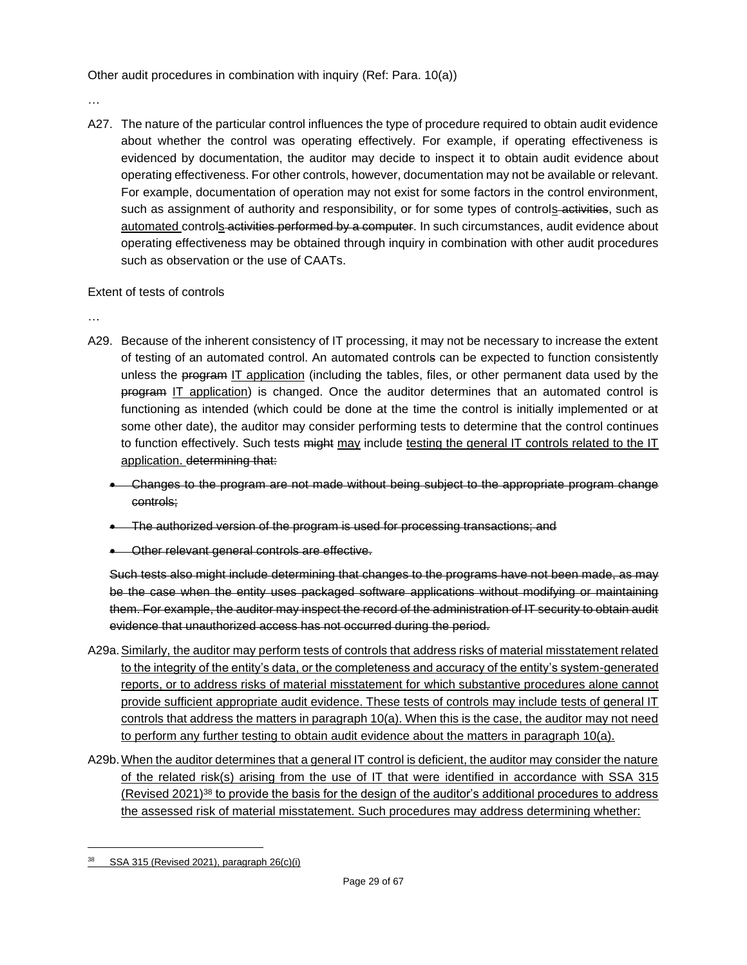Other audit procedures in combination with inquiry (Ref: Para. 10(a))

…

A27. The nature of the particular control influences the type of procedure required to obtain audit evidence about whether the control was operating effectively. For example, if operating effectiveness is evidenced by documentation, the auditor may decide to inspect it to obtain audit evidence about operating effectiveness. For other controls, however, documentation may not be available or relevant. For example, documentation of operation may not exist for some factors in the control environment, such as assignment of authority and responsibility, or for some types of controls activities, such as automated controls activities performed by a computer. In such circumstances, audit evidence about operating effectiveness may be obtained through inquiry in combination with other audit procedures such as observation or the use of CAATs.

## Extent of tests of controls

…

- A29. Because of the inherent consistency of IT processing, it may not be necessary to increase the extent of testing of an automated control. An automated controls can be expected to function consistently unless the program IT application (including the tables, files, or other permanent data used by the program IT application) is changed. Once the auditor determines that an automated control is functioning as intended (which could be done at the time the control is initially implemented or at some other date), the auditor may consider performing tests to determine that the control continues to function effectively. Such tests might may include testing the general IT controls related to the IT application. determining that:
	- Changes to the program are not made without being subject to the appropriate program change controls;
	- The authorized version of the program is used for processing transactions; and
	- Other relevant general controls are effective.

Such tests also might include determining that changes to the programs have not been made, as may be the case when the entity uses packaged software applications without modifying or maintaining them. For example, the auditor may inspect the record of the administration of IT security to obtain audit evidence that unauthorized access has not occurred during the period.

- A29a.Similarly, the auditor may perform tests of controls that address risks of material misstatement related to the integrity of the entity's data, or the completeness and accuracy of the entity's system-generated reports, or to address risks of material misstatement for which substantive procedures alone cannot provide sufficient appropriate audit evidence. These tests of controls may include tests of general IT controls that address the matters in paragraph 10(a). When this is the case, the auditor may not need to perform any further testing to obtain audit evidence about the matters in paragraph 10(a).
- A29b. When the auditor determines that a general IT control is deficient, the auditor may consider the nature of the related risk(s) arising from the use of IT that were identified in accordance with SSA 315 (Revised 2021)<sup>38</sup> to provide the basis for the design of the auditor's additional procedures to address the assessed risk of material misstatement. Such procedures may address determining whether:

 $38$  SSA 315 (Revised 2021), paragraph 26(c)(i)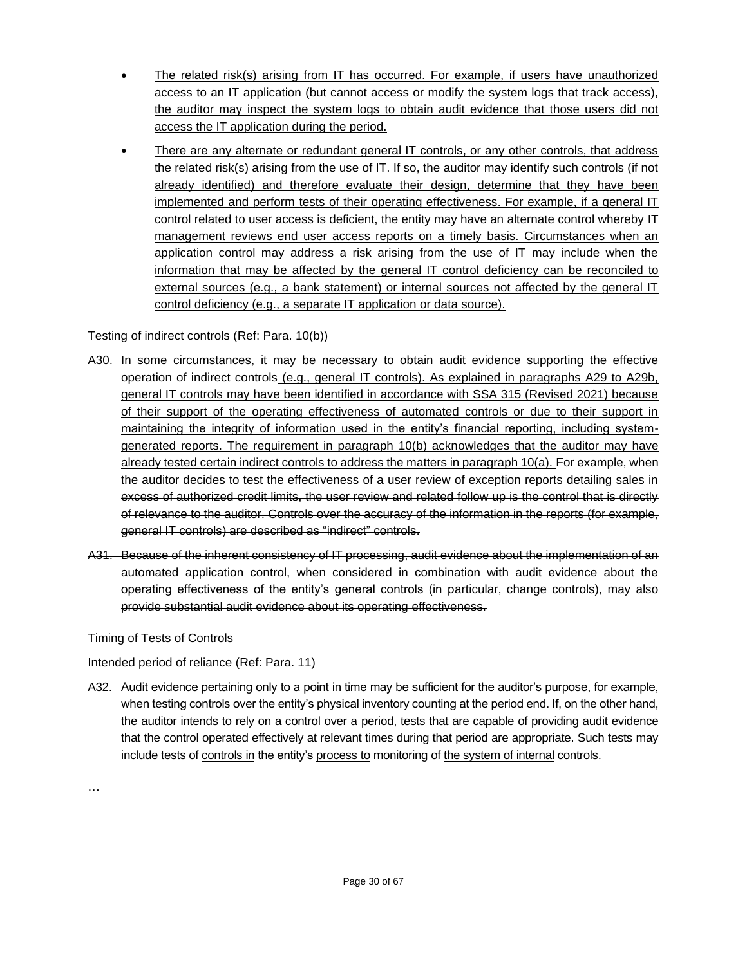- The related risk(s) arising from IT has occurred. For example, if users have unauthorized access to an IT application (but cannot access or modify the system logs that track access), the auditor may inspect the system logs to obtain audit evidence that those users did not access the IT application during the period.
- There are any alternate or redundant general IT controls, or any other controls, that address the related risk(s) arising from the use of IT. If so, the auditor may identify such controls (if not already identified) and therefore evaluate their design, determine that they have been implemented and perform tests of their operating effectiveness. For example, if a general IT control related to user access is deficient, the entity may have an alternate control whereby IT management reviews end user access reports on a timely basis. Circumstances when an application control may address a risk arising from the use of IT may include when the information that may be affected by the general IT control deficiency can be reconciled to external sources (e.g., a bank statement) or internal sources not affected by the general IT control deficiency (e.g., a separate IT application or data source).

## Testing of indirect controls (Ref: Para. 10(b))

- A30. In some circumstances, it may be necessary to obtain audit evidence supporting the effective operation of indirect controls (e.g., general IT controls). As explained in paragraphs A29 to A29b, general IT controls may have been identified in accordance with SSA 315 (Revised 2021) because of their support of the operating effectiveness of automated controls or due to their support in maintaining the integrity of information used in the entity's financial reporting, including systemgenerated reports. The requirement in paragraph 10(b) acknowledges that the auditor may have already tested certain indirect controls to address the matters in paragraph 10(a). For example, when the auditor decides to test the effectiveness of a user review of exception reports detailing sales in excess of authorized credit limits, the user review and related follow up is the control that is directly of relevance to the auditor. Controls over the accuracy of the information in the reports (for example, general IT controls) are described as "indirect" controls.
- A31. Because of the inherent consistency of IT processing, audit evidence about the implementation of an automated application control, when considered in combination with audit evidence about the operating effectiveness of the entity's general controls (in particular, change controls), may also provide substantial audit evidence about its operating effectiveness.

Timing of Tests of Controls

Intended period of reliance (Ref: Para. 11)

A32. Audit evidence pertaining only to a point in time may be sufficient for the auditor's purpose, for example, when testing controls over the entity's physical inventory counting at the period end. If, on the other hand, the auditor intends to rely on a control over a period, tests that are capable of providing audit evidence that the control operated effectively at relevant times during that period are appropriate. Such tests may include tests of controls in the entity's process to monitoring of the system of internal controls.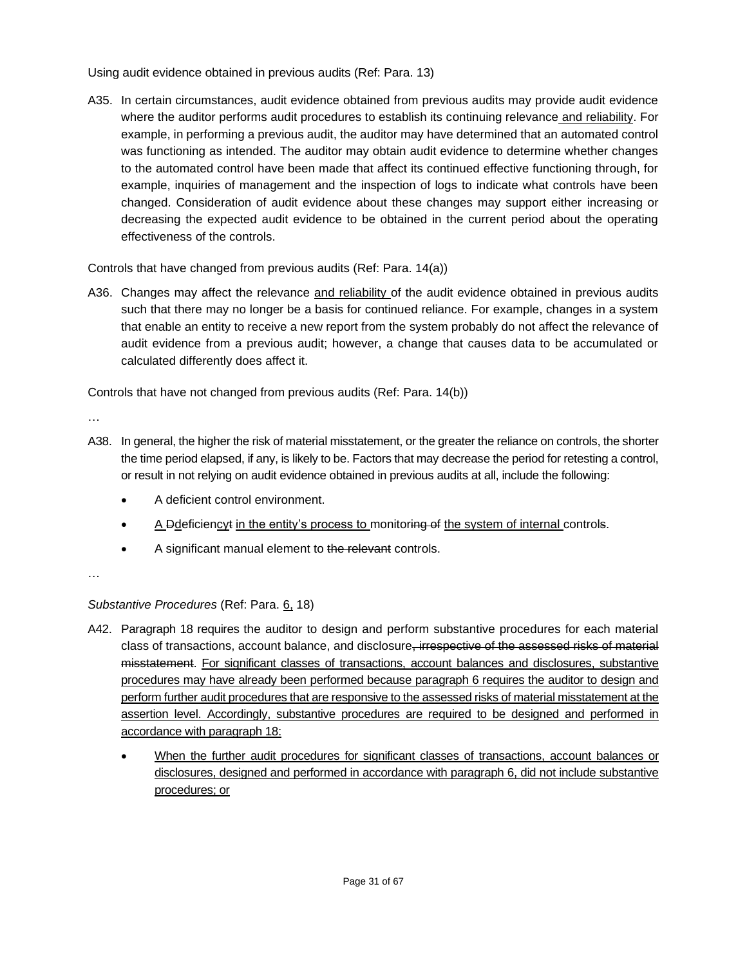Using audit evidence obtained in previous audits (Ref: Para. 13)

A35. In certain circumstances, audit evidence obtained from previous audits may provide audit evidence where the auditor performs audit procedures to establish its continuing relevance and reliability. For example, in performing a previous audit, the auditor may have determined that an automated control was functioning as intended. The auditor may obtain audit evidence to determine whether changes to the automated control have been made that affect its continued effective functioning through, for example, inquiries of management and the inspection of logs to indicate what controls have been changed. Consideration of audit evidence about these changes may support either increasing or decreasing the expected audit evidence to be obtained in the current period about the operating effectiveness of the controls.

Controls that have changed from previous audits (Ref: Para. 14(a))

A36. Changes may affect the relevance and reliability of the audit evidence obtained in previous audits such that there may no longer be a basis for continued reliance. For example, changes in a system that enable an entity to receive a new report from the system probably do not affect the relevance of audit evidence from a previous audit; however, a change that causes data to be accumulated or calculated differently does affect it.

Controls that have not changed from previous audits (Ref: Para. 14(b))

…

- A38. In general, the higher the risk of material misstatement, or the greater the reliance on controls, the shorter the time period elapsed, if any, is likely to be. Factors that may decrease the period for retesting a control, or result in not relying on audit evidence obtained in previous audits at all, include the following:
	- A deficient control environment.
	- A Ddeficiencyt in the entity's process to monitoring of the system of internal controls.
	- A significant manual element to the relevant controls.

…

## *Substantive Procedures* (Ref: Para. 6, 18)

- A42. Paragraph 18 requires the auditor to design and perform substantive procedures for each material class of transactions, account balance, and disclosure, irrespective of the assessed risks of material misstatement. For significant classes of transactions, account balances and disclosures, substantive procedures may have already been performed because paragraph 6 requires the auditor to design and perform further audit procedures that are responsive to the assessed risks of material misstatement at the assertion level. Accordingly, substantive procedures are required to be designed and performed in accordance with paragraph 18:
	- When the further audit procedures for significant classes of transactions, account balances or disclosures, designed and performed in accordance with paragraph 6, did not include substantive procedures; or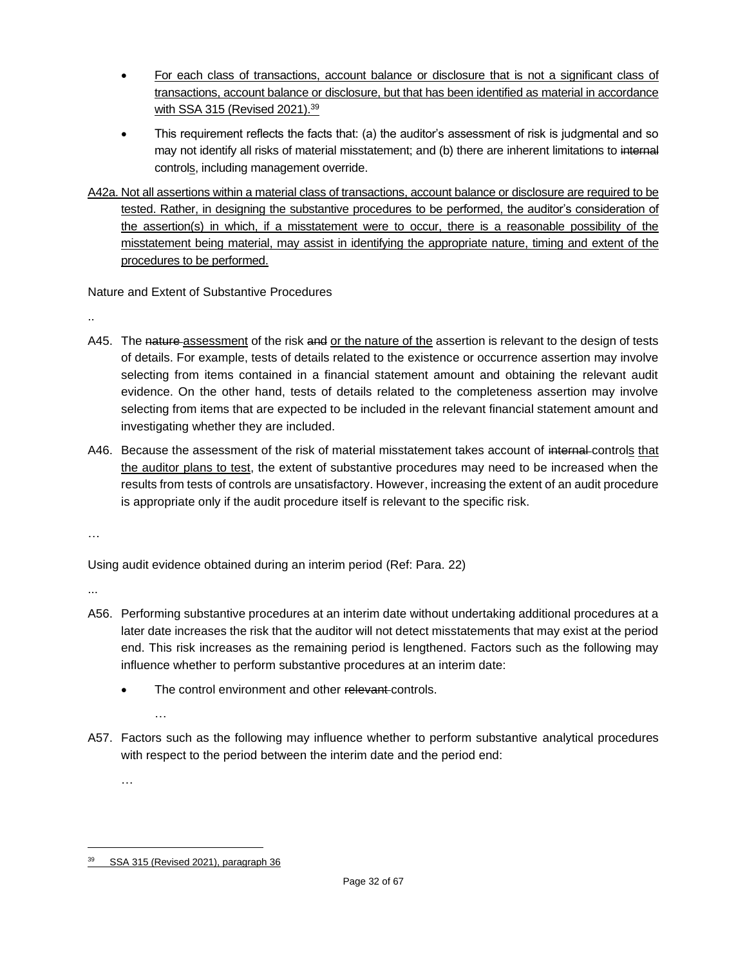- For each class of transactions, account balance or disclosure that is not a significant class of transactions, account balance or disclosure, but that has been identified as material in accordance with SSA 315 (Revised 2021).<sup>39</sup>
- This requirement reflects the facts that: (a) the auditor's assessment of risk is judgmental and so may not identify all risks of material misstatement; and (b) there are inherent limitations to internal controls, including management override.
- A42a. Not all assertions within a material class of transactions, account balance or disclosure are required to be tested. Rather, in designing the substantive procedures to be performed, the auditor's consideration of the assertion(s) in which, if a misstatement were to occur, there is a reasonable possibility of the misstatement being material, may assist in identifying the appropriate nature, timing and extent of the procedures to be performed.

Nature and Extent of Substantive Procedures

- ..
- A45. The nature assessment of the risk and or the nature of the assertion is relevant to the design of tests of details. For example, tests of details related to the existence or occurrence assertion may involve selecting from items contained in a financial statement amount and obtaining the relevant audit evidence. On the other hand, tests of details related to the completeness assertion may involve selecting from items that are expected to be included in the relevant financial statement amount and investigating whether they are included.
- A46. Because the assessment of the risk of material misstatement takes account of internal controls that the auditor plans to test, the extent of substantive procedures may need to be increased when the results from tests of controls are unsatisfactory. However, increasing the extent of an audit procedure is appropriate only if the audit procedure itself is relevant to the specific risk.

…

Using audit evidence obtained during an interim period (Ref: Para. 22)

...

- A56. Performing substantive procedures at an interim date without undertaking additional procedures at a later date increases the risk that the auditor will not detect misstatements that may exist at the period end. This risk increases as the remaining period is lengthened. Factors such as the following may influence whether to perform substantive procedures at an interim date:
	- The control environment and other relevant-controls.
- A57. Factors such as the following may influence whether to perform substantive analytical procedures with respect to the period between the interim date and the period end:

…

<sup>39</sup> SSA 315 (Revised 2021), paragraph 36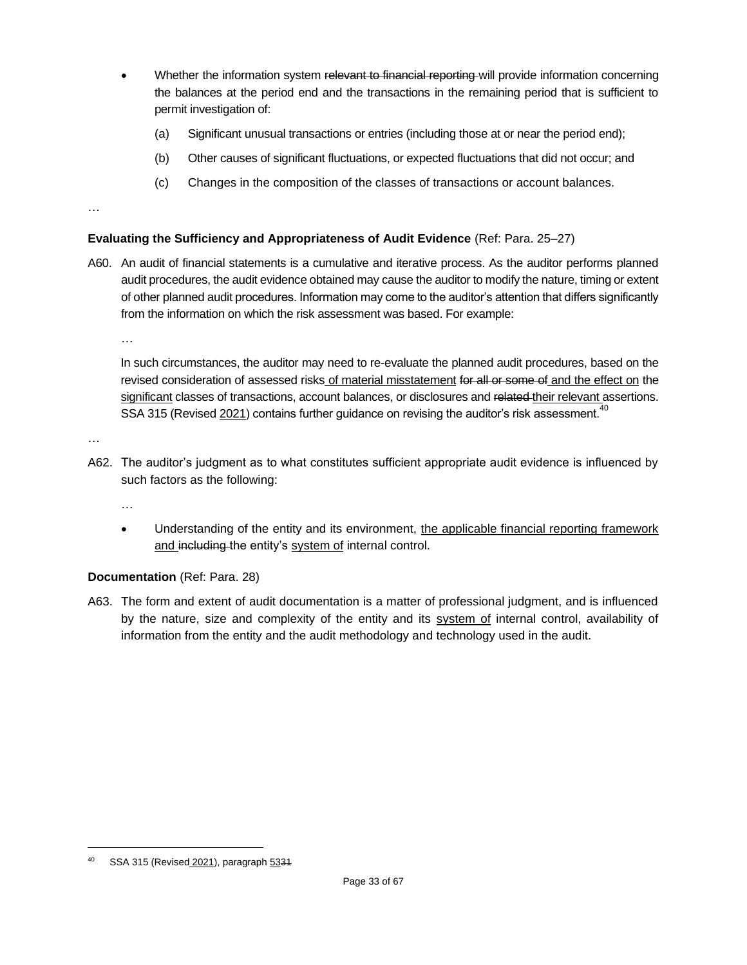- Whether the information system relevant to financial reporting will provide information concerning the balances at the period end and the transactions in the remaining period that is sufficient to permit investigation of:
	- (a) Significant unusual transactions or entries (including those at or near the period end);
	- (b) Other causes of significant fluctuations, or expected fluctuations that did not occur; and
	- (c) Changes in the composition of the classes of transactions or account balances.
- …

## **Evaluating the Sufficiency and Appropriateness of Audit Evidence** (Ref: Para. 25–27)

A60. An audit of financial statements is a cumulative and iterative process. As the auditor performs planned audit procedures, the audit evidence obtained may cause the auditor to modify the nature, timing or extent of other planned audit procedures. Information may come to the auditor's attention that differs significantly from the information on which the risk assessment was based. For example:

…

In such circumstances, the auditor may need to re-evaluate the planned audit procedures, based on the revised consideration of assessed risks of material misstatement for all or some of and the effect on the significant classes of transactions, account balances, or disclosures and related their relevant assertions. SSA 315 (Revised 2021) contains further guidance on revising the auditor's risk assessment.<sup>40</sup>

…

A62. The auditor's judgment as to what constitutes sufficient appropriate audit evidence is influenced by such factors as the following:

…

• Understanding of the entity and its environment, the applicable financial reporting framework and including the entity's system of internal control.

## **Documentation** (Ref: Para. 28)

A63. The form and extent of audit documentation is a matter of professional judgment, and is influenced by the nature, size and complexity of the entity and its system of internal control, availability of information from the entity and the audit methodology and technology used in the audit.

<sup>40</sup> SSA 315 (Revised 2021), paragraph 5334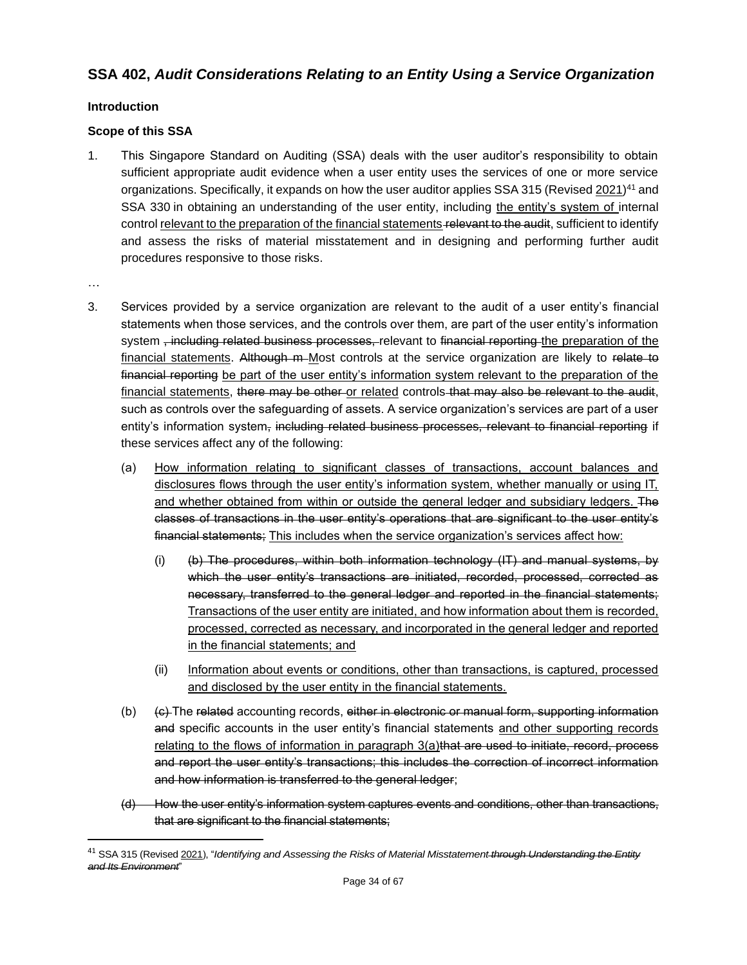# **SSA 402,** *Audit Considerations Relating to an Entity Using a Service Organization*

### **Introduction**

### **Scope of this SSA**

1. This Singapore Standard on Auditing (SSA) deals with the user auditor's responsibility to obtain sufficient appropriate audit evidence when a user entity uses the services of one or more service organizations. Specifically, it expands on how the user auditor applies SSA 315 (Revised 2021)<sup>41</sup> and SSA 330 in obtaining an understanding of the user entity, including the entity's system of internal control relevant to the preparation of the financial statements relevant to the audit, sufficient to identify and assess the risks of material misstatement and in designing and performing further audit procedures responsive to those risks.

- 3. Services provided by a service organization are relevant to the audit of a user entity's financial statements when those services, and the controls over them, are part of the user entity's information system <del>, including related business processes, r</del>elevant to financial reporting the preparation of the financial statements. Although m Most controls at the service organization are likely to relate to financial reporting be part of the user entity's information system relevant to the preparation of the financial statements, there may be other or related controls that may also be relevant to the audit, such as controls over the safeguarding of assets. A service organization's services are part of a user entity's information system, including related business processes, relevant to financial reporting if these services affect any of the following:
	- (a) How information relating to significant classes of transactions, account balances and disclosures flows through the user entity's information system, whether manually or using IT, and whether obtained from within or outside the general ledger and subsidiary ledgers. The classes of transactions in the user entity's operations that are significant to the user entity's financial statements; This includes when the service organization's services affect how:
		- (i)  $(b)$  The procedures, within both information technology (IT) and manual systems, by which the user entity's transactions are initiated, recorded, processed, corrected as necessary, transferred to the general ledger and reported in the financial statements; Transactions of the user entity are initiated, and how information about them is recorded, processed, corrected as necessary, and incorporated in the general ledger and reported in the financial statements; and
		- (ii) Information about events or conditions, other than transactions, is captured, processed and disclosed by the user entity in the financial statements.
	- (b)  $\left( \epsilon \right)$ . The related accounting records, either in electronic or manual form, supporting information and specific accounts in the user entity's financial statements and other supporting records relating to the flows of information in paragraph 3(a)that are used to initiate, record, process and report the user entity's transactions; this includes the correction of incorrect information and how information is transferred to the general ledger;
	- (d) How the user entity's information system captures events and conditions, other than transactions, that are significant to the financial statements;

<sup>41</sup> SSA 315 (Revised 2021), "*Identifying and Assessing the Risks of Material Misstatement through Understanding the Entity and Its Environment*"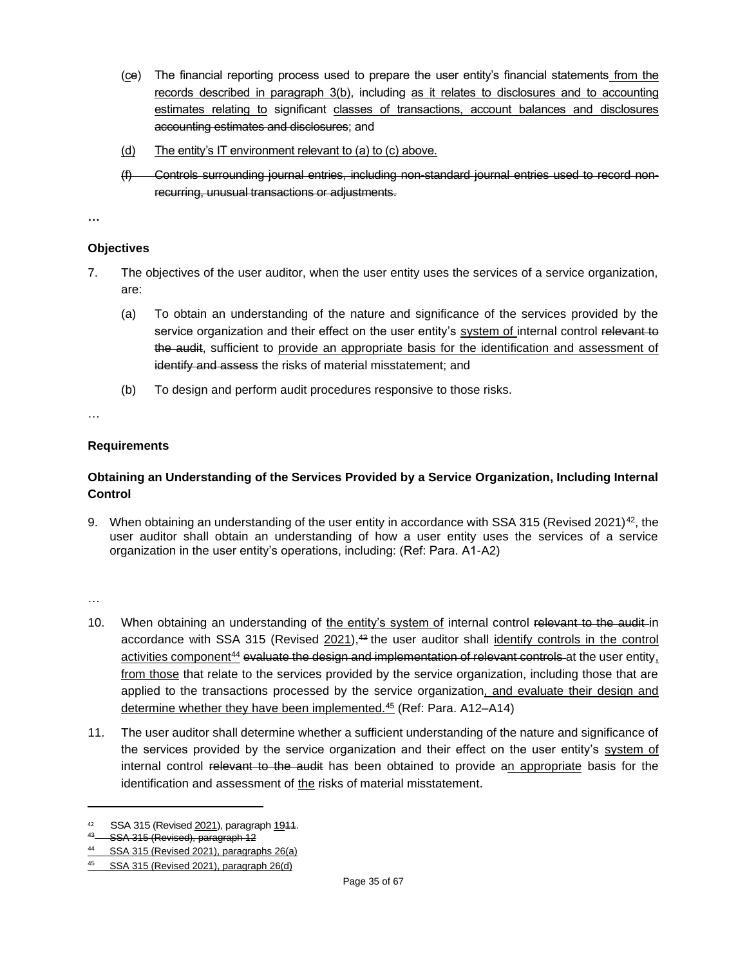- (ce) The financial reporting process used to prepare the user entity's financial statements from the records described in paragraph 3(b), including as it relates to disclosures and to accounting estimates relating to significant classes of transactions, account balances and disclosures accounting estimates and disclosures; and
- (d) The entity's IT environment relevant to (a) to (c) above.
- (f) Controls surrounding journal entries, including non-standard journal entries used to record nonrecurring, unusual transactions or adjustments.

**…**

#### **Objectives**

- 7. The objectives of the user auditor, when the user entity uses the services of a service organization, are:
	- (a) To obtain an understanding of the nature and significance of the services provided by the service organization and their effect on the user entity's system of internal control relevant to the audit, sufficient to provide an appropriate basis for the identification and assessment of identify and assess the risks of material misstatement; and
	- (b) To design and perform audit procedures responsive to those risks.

…

#### **Requirements**

### **Obtaining an Understanding of the Services Provided by a Service Organization, Including Internal Control**

9. When obtaining an understanding of the user entity in accordance with SSA 315 (Revised 2021)<sup>42</sup>, the user auditor shall obtain an understanding of how a user entity uses the services of a service organization in the user entity's operations, including: (Ref: Para. A1-A2)

- 10. When obtaining an understanding of the entity's system of internal control relevant to the audit in accordance with SSA 315 (Revised 2021),<sup>43</sup> the user auditor shall identify controls in the control activities component<sup>44</sup> evaluate the design and implementation of relevant controls at the user entity, from those that relate to the services provided by the service organization, including those that are applied to the transactions processed by the service organization, and evaluate their design and determine whether they have been implemented.<sup>45</sup> (Ref: Para. A12–A14)
- 11. The user auditor shall determine whether a sufficient understanding of the nature and significance of the services provided by the service organization and their effect on the user entity's system of internal control relevant to the audit has been obtained to provide an appropriate basis for the identification and assessment of the risks of material misstatement.

<sup>42</sup> SSA 315 (Revised 2021), paragraph 1944.

SSA 315 (Revised), paragraph 12

<sup>44</sup> SSA 315 (Revised 2021), paragraphs 26(a) 45 SSA 315 (Revised 2021), paragraph  $26(d)$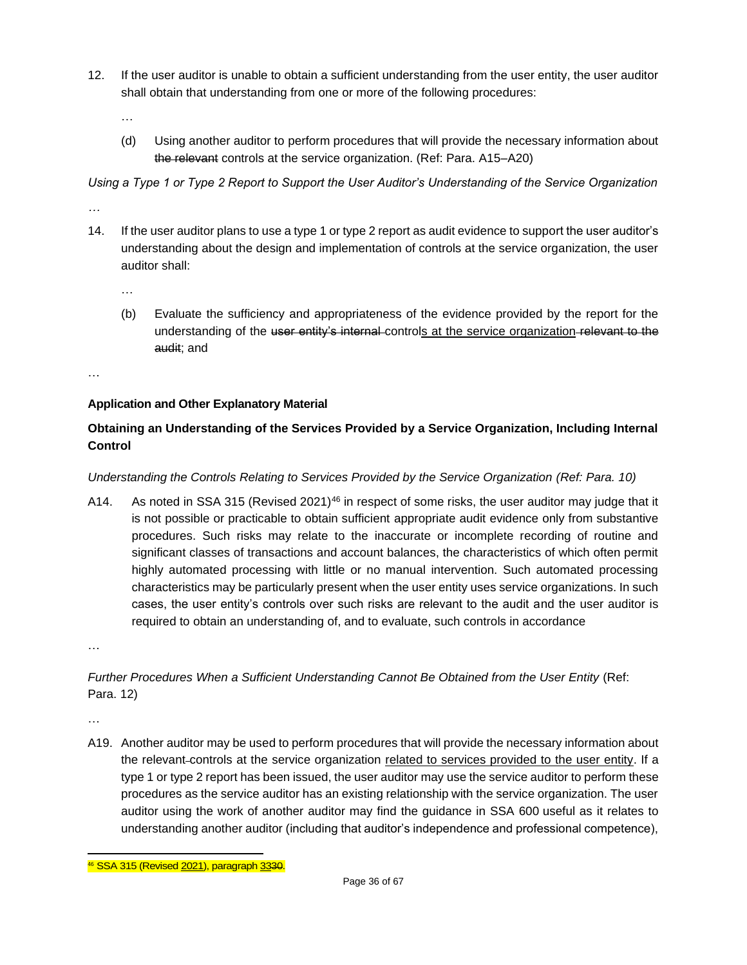- 12. If the user auditor is unable to obtain a sufficient understanding from the user entity, the user auditor shall obtain that understanding from one or more of the following procedures:
	- …
	- (d) Using another auditor to perform procedures that will provide the necessary information about the relevant controls at the service organization. (Ref: Para. A15–A20)

*Using a Type 1 or Type 2 Report to Support the User Auditor's Understanding of the Service Organization*

*…*

- 14. If the user auditor plans to use a type 1 or type 2 report as audit evidence to support the user auditor's understanding about the design and implementation of controls at the service organization, the user auditor shall:
	- …
	- (b) Evaluate the sufficiency and appropriateness of the evidence provided by the report for the understanding of the user entity's internal controls at the service organization-relevant to the audit; and

…

### **Application and Other Explanatory Material**

## **Obtaining an Understanding of the Services Provided by a Service Organization, Including Internal Control**

### *Understanding the Controls Relating to Services Provided by the Service Organization (Ref: Para. 10)*

A14. As noted in SSA 315 (Revised 2021)<sup>46</sup> in respect of some risks, the user auditor may judge that it is not possible or practicable to obtain sufficient appropriate audit evidence only from substantive procedures. Such risks may relate to the inaccurate or incomplete recording of routine and significant classes of transactions and account balances, the characteristics of which often permit highly automated processing with little or no manual intervention. Such automated processing characteristics may be particularly present when the user entity uses service organizations. In such cases, the user entity's controls over such risks are relevant to the audit and the user auditor is required to obtain an understanding of, and to evaluate, such controls in accordance

…

## *Further Procedures When a Sufficient Understanding Cannot Be Obtained from the User Entity (Ref:* Para. 12)

…

A19. Another auditor may be used to perform procedures that will provide the necessary information about the relevant-controls at the service organization related to services provided to the user entity. If a type 1 or type 2 report has been issued, the user auditor may use the service auditor to perform these procedures as the service auditor has an existing relationship with the service organization. The user auditor using the work of another auditor may find the guidance in SSA 600 useful as it relates to understanding another auditor (including that auditor's independence and professional competence),

<sup>&</sup>lt;sup>46</sup> SSA 315 (Revised 2021), paragraph 3330.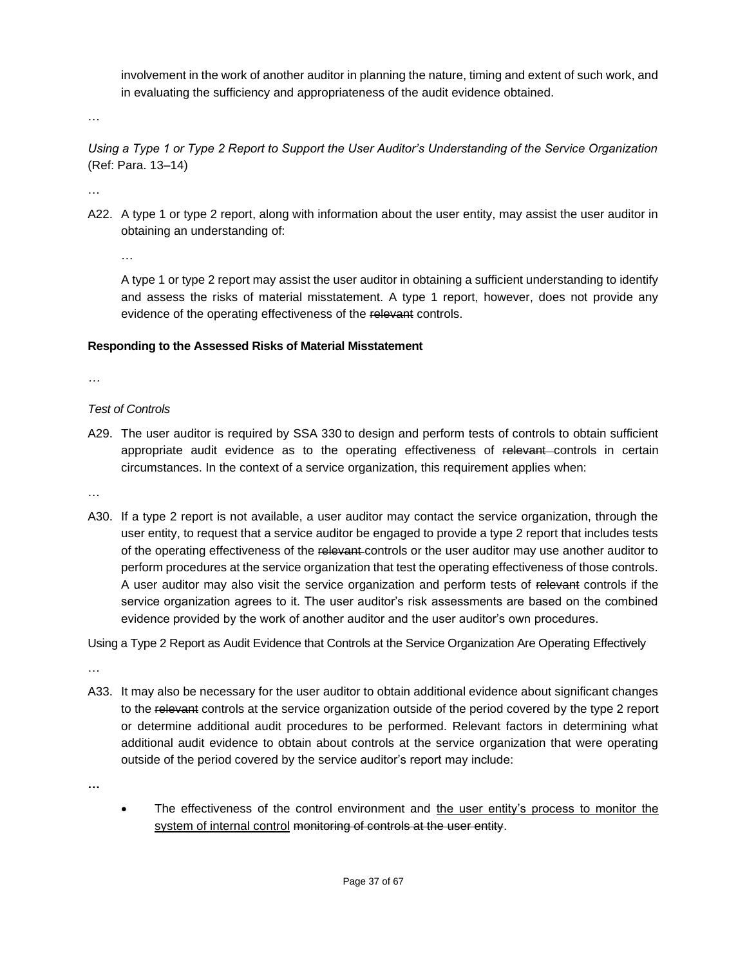involvement in the work of another auditor in planning the nature, timing and extent of such work, and in evaluating the sufficiency and appropriateness of the audit evidence obtained.

…

*Using a Type 1 or Type 2 Report to Support the User Auditor's Understanding of the Service Organization*  (Ref: Para. 13–14)

…

A22. A type 1 or type 2 report, along with information about the user entity, may assist the user auditor in obtaining an understanding of:

…

A type 1 or type 2 report may assist the user auditor in obtaining a sufficient understanding to identify and assess the risks of material misstatement. A type 1 report, however, does not provide any evidence of the operating effectiveness of the relevant controls.

#### **Responding to the Assessed Risks of Material Misstatement**

*…*

- *Test of Controls*
- A29. The user auditor is required by SSA 330 to design and perform tests of controls to obtain sufficient appropriate audit evidence as to the operating effectiveness of relevant controls in certain circumstances. In the context of a service organization, this requirement applies when:

…

A30. If a type 2 report is not available, a user auditor may contact the service organization, through the user entity, to request that a service auditor be engaged to provide a type 2 report that includes tests of the operating effectiveness of the relevant controls or the user auditor may use another auditor to perform procedures at the service organization that test the operating effectiveness of those controls. A user auditor may also visit the service organization and perform tests of relevant controls if the service organization agrees to it. The user auditor's risk assessments are based on the combined evidence provided by the work of another auditor and the user auditor's own procedures.

Using a Type 2 Report as Audit Evidence that Controls at the Service Organization Are Operating Effectively

…

A33. It may also be necessary for the user auditor to obtain additional evidence about significant changes to the relevant controls at the service organization outside of the period covered by the type 2 report or determine additional audit procedures to be performed. Relevant factors in determining what additional audit evidence to obtain about controls at the service organization that were operating outside of the period covered by the service auditor's report may include:

**…**

• The effectiveness of the control environment and the user entity's process to monitor the system of internal control monitoring of controls at the user entity.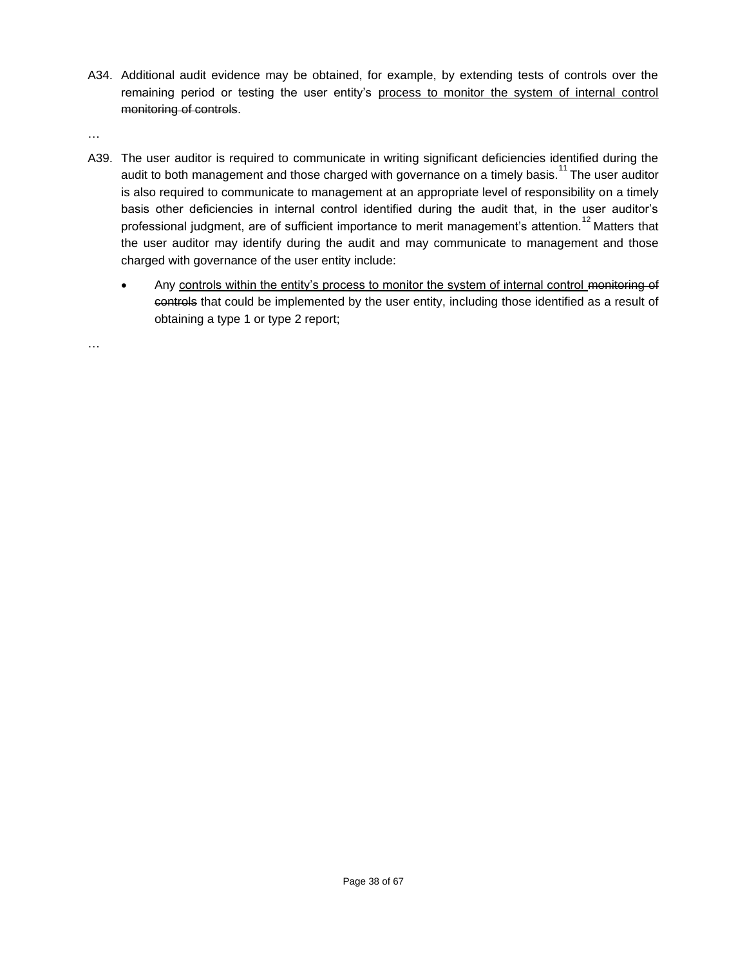A34. Additional audit evidence may be obtained, for example, by extending tests of controls over the remaining period or testing the user entity's process to monitor the system of internal control monitoring of controls.

…

- A39. The user auditor is required to communicate in writing significant deficiencies identified during the audit to both management and those charged with governance on a timely basis.<sup>11</sup>The user auditor is also required to communicate to management at an appropriate level of responsibility on a timely basis other deficiencies in internal control identified during the audit that, in the user auditor's professional judgment, are of sufficient importance to merit management's attention.<sup>12</sup> Matters that the user auditor may identify during the audit and may communicate to management and those charged with governance of the user entity include:
	- Any controls within the entity's process to monitor the system of internal control monitoring of controls that could be implemented by the user entity, including those identified as a result of obtaining a type 1 or type 2 report;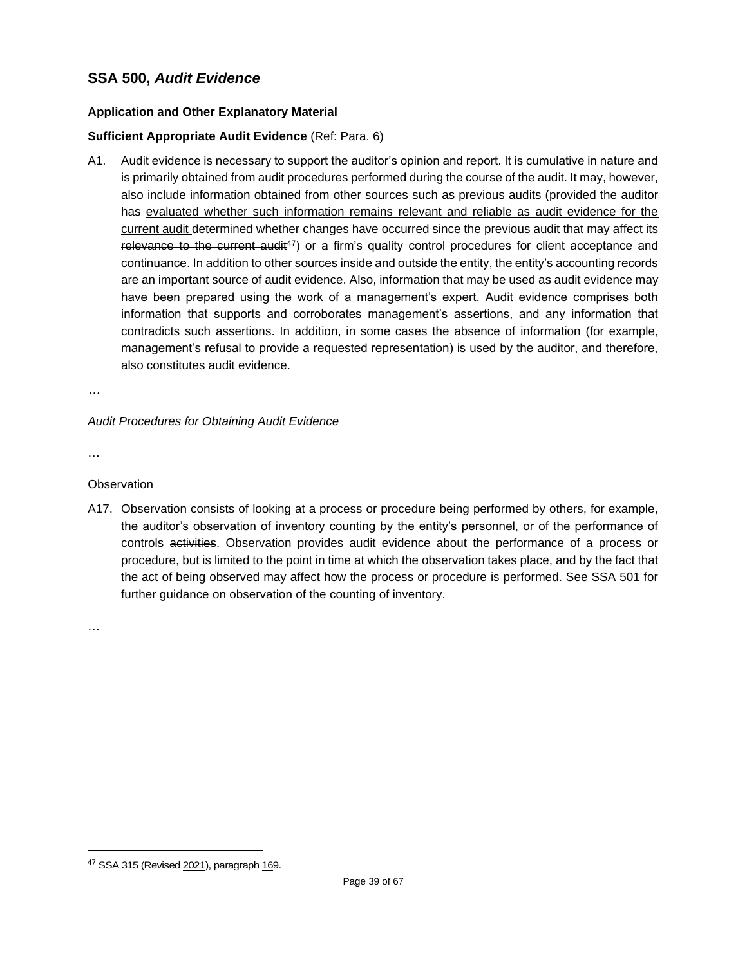## **SSA 500,** *Audit Evidence*

### **Application and Other Explanatory Material**

#### **Sufficient Appropriate Audit Evidence** (Ref: Para. 6)

A1. Audit evidence is necessary to support the auditor's opinion and report. It is cumulative in nature and is primarily obtained from audit procedures performed during the course of the audit. It may, however, also include information obtained from other sources such as previous audits (provided the auditor has evaluated whether such information remains relevant and reliable as audit evidence for the current audit determined whether changes have occurred since the previous audit that may affect its relevance to the current audit<sup>47</sup>) or a firm's quality control procedures for client acceptance and continuance. In addition to other sources inside and outside the entity, the entity's accounting records are an important source of audit evidence. Also, information that may be used as audit evidence may have been prepared using the work of a management's expert. Audit evidence comprises both information that supports and corroborates management's assertions, and any information that contradicts such assertions. In addition, in some cases the absence of information (for example, management's refusal to provide a requested representation) is used by the auditor, and therefore, also constitutes audit evidence.

*…*

#### *Audit Procedures for Obtaining Audit Evidence*

…

#### **Observation**

A17. Observation consists of looking at a process or procedure being performed by others, for example, the auditor's observation of inventory counting by the entity's personnel, or of the performance of controls activities. Observation provides audit evidence about the performance of a process or procedure, but is limited to the point in time at which the observation takes place, and by the fact that the act of being observed may affect how the process or procedure is performed. See SSA 501 for further guidance on observation of the counting of inventory.

<sup>47</sup> SSA 315 (Revised 2021), paragraph 169.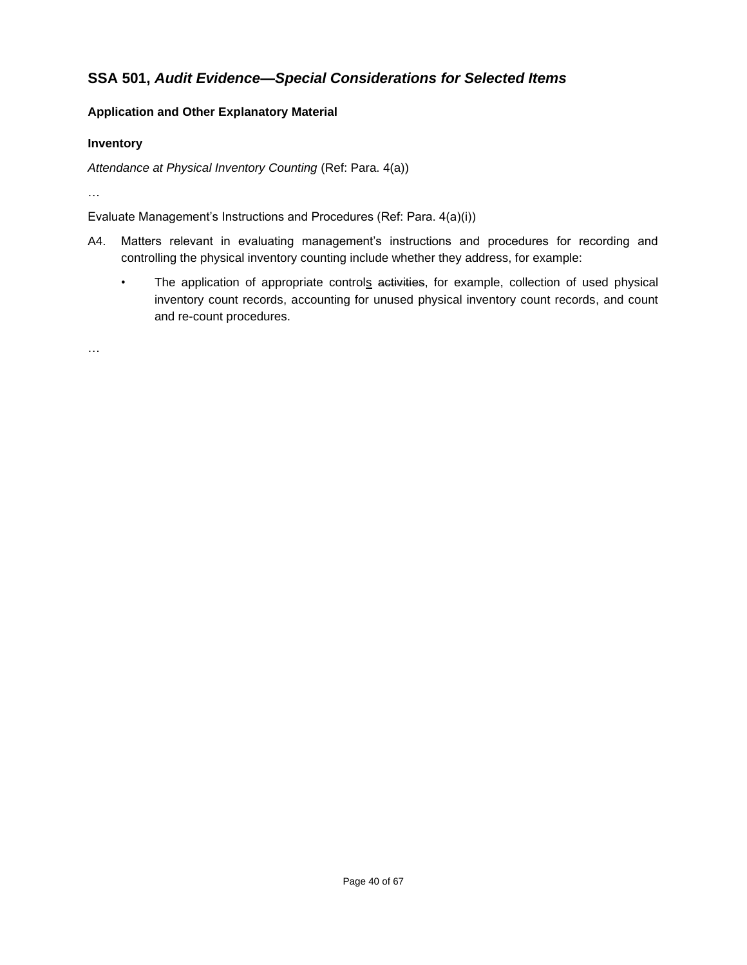# **SSA 501,** *Audit Evidence—Special Considerations for Selected Items*

## **Application and Other Explanatory Material**

### **Inventory**

*Attendance at Physical Inventory Counting* (Ref: Para. 4(a))

…

Evaluate Management's Instructions and Procedures (Ref: Para. 4(a)(i))

- A4. Matters relevant in evaluating management's instructions and procedures for recording and controlling the physical inventory counting include whether they address, for example:
	- The application of appropriate controls activities, for example, collection of used physical inventory count records, accounting for unused physical inventory count records, and count and re-count procedures.

 $\dots$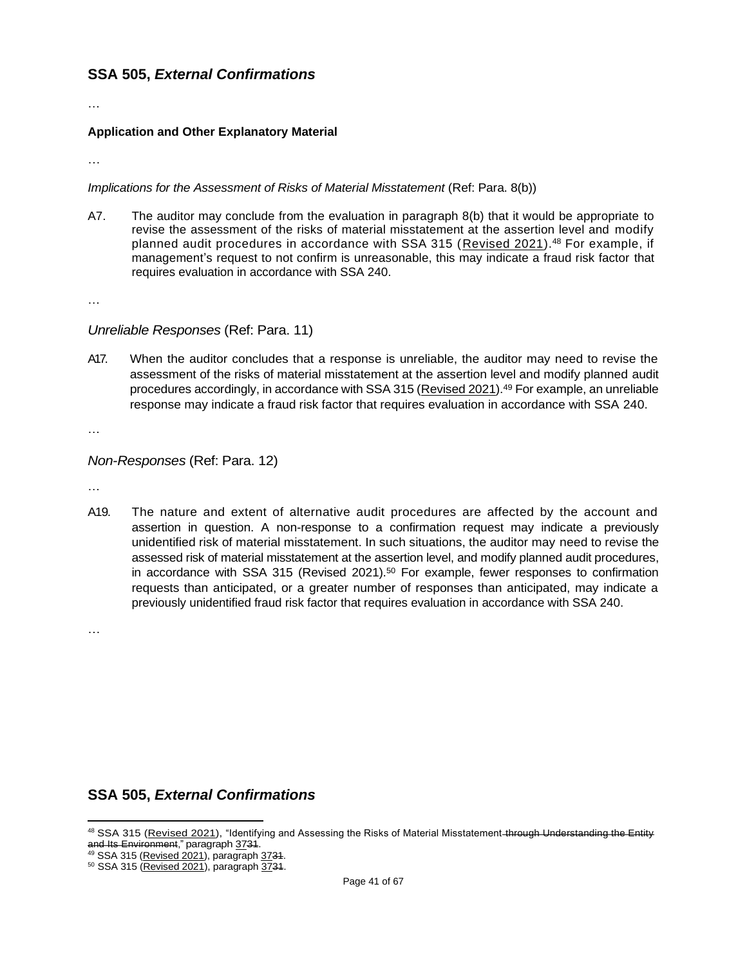## **SSA 505,** *External Confirmations*

…

#### **Application and Other Explanatory Material**

…

#### *Implications for the Assessment of Risks of Material Misstatement (Ref: Para. 8(b))*

A7. The auditor may conclude from the evaluation in paragraph 8(b) that it would be appropriate to revise the assessment of the risks of material misstatement at the assertion level and modify planned audit procedures in accordance with SSA 315 (Revised 2021).<sup>48</sup> For example, if management's request to not confirm is unreasonable, this may indicate a fraud risk factor that requires evaluation in accordance with SSA 240.

…

#### *Unreliable Responses* (Ref: Para. 11)

A17. When the auditor concludes that a response is unreliable, the auditor may need to revise the assessment of the risks of material misstatement at the assertion level and modify planned audit procedures accordingly, in accordance with SSA 315 (Revised 2021).<sup>49</sup> For example, an unreliable response may indicate a fraud risk factor that requires evaluation in accordance with SSA 240.

…

#### *Non-Responses* (Ref: Para. 12)

…

A19. The nature and extent of alternative audit procedures are affected by the account and assertion in question. A non-response to a confirmation request may indicate a previously unidentified risk of material misstatement. In such situations, the auditor may need to revise the assessed risk of material misstatement at the assertion level, and modify planned audit procedures, in accordance with SSA 315 (Revised 2021).<sup>50</sup> For example, fewer responses to confirmation requests than anticipated, or a greater number of responses than anticipated, may indicate a previously unidentified fraud risk factor that requires evaluation in accordance with SSA 240.

…

## **SSA 505,** *External Confirmations*

 $49$  SSA 315 (Revised 2021), paragraph  $3731$ .

<sup>&</sup>lt;sup>48</sup> SSA 315 (Revised 2021), "Identifying and Assessing the Risks of Material Misstatement-through Understanding the Entity and Its Environment," paragraph 3731.

 $50$  SSA 315 (Revised 2021), paragraph  $3734$ .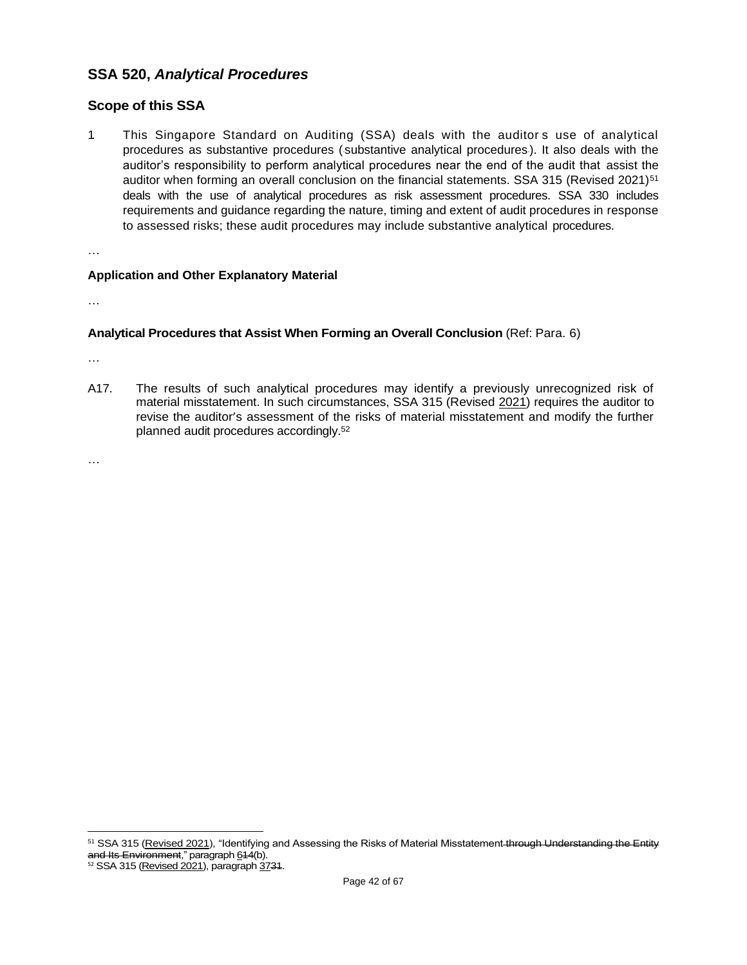## **SSA 520,** *Analytical Procedures*

## **Scope of this SSA**

1. This Singapore Standard on Auditing (SSA) deals with the auditor's use of analytical procedures as substantive procedures (substantive analytical procedures). It also deals with the auditor's responsibility to perform analytical procedures near the end of the audit that assist the auditor when forming an overall conclusion on the financial statements. SSA 315 (Revised 2021)<sup>51</sup> deals with the use of analytical procedures as risk assessment procedures. SSA 330 includes requirements and guidance regarding the nature, timing and extent of audit procedures in response to assessed risks; these audit procedures may include substantive analytical procedures.

…

#### **Application and Other Explanatory Material**

…

#### **Analytical Procedures that Assist When Forming an Overall Conclusion** (Ref: Para. 6)

…

A17. The results of such analytical procedures may identify a previously unrecognized risk of material misstatement. In such circumstances, SSA 315 (Revised 2021) requires the auditor to revise the auditor's assessment of the risks of material misstatement and modify the further planned audit procedures accordingly.<sup>52</sup>

<sup>&</sup>lt;sup>51</sup> SSA 315 (Revised 2021), "Identifying and Assessing the Risks of Material Misstatement-through Understanding the Entity and Its Environment," paragraph 614(b).

<sup>52</sup> SSA 315 (Revised 2021), paragraph 3731.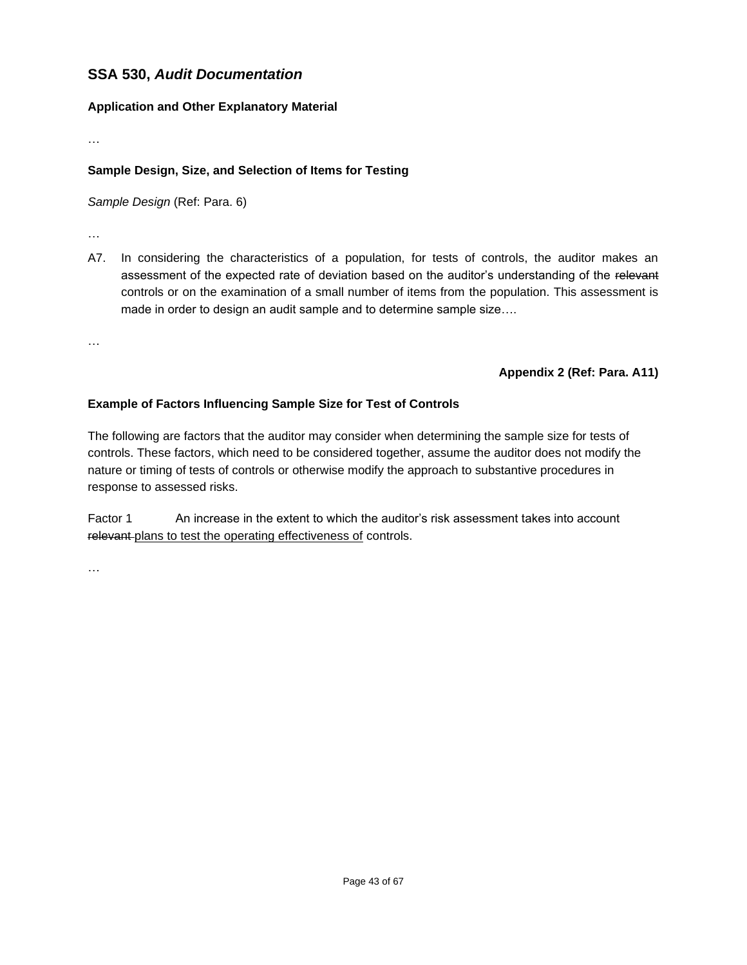## **SSA 530,** *Audit Documentation*

### **Application and Other Explanatory Material**

…

### **Sample Design, Size, and Selection of Items for Testing**

*Sample Design* (Ref: Para. 6)

…

A7. In considering the characteristics of a population, for tests of controls, the auditor makes an assessment of the expected rate of deviation based on the auditor's understanding of the relevant controls or on the examination of a small number of items from the population. This assessment is made in order to design an audit sample and to determine sample size….

…

### **Appendix 2 (Ref: Para. A11)**

#### **Example of Factors Influencing Sample Size for Test of Controls**

The following are factors that the auditor may consider when determining the sample size for tests of controls. These factors, which need to be considered together, assume the auditor does not modify the nature or timing of tests of controls or otherwise modify the approach to substantive procedures in response to assessed risks.

Factor 1 An increase in the extent to which the auditor's risk assessment takes into account relevant plans to test the operating effectiveness of controls.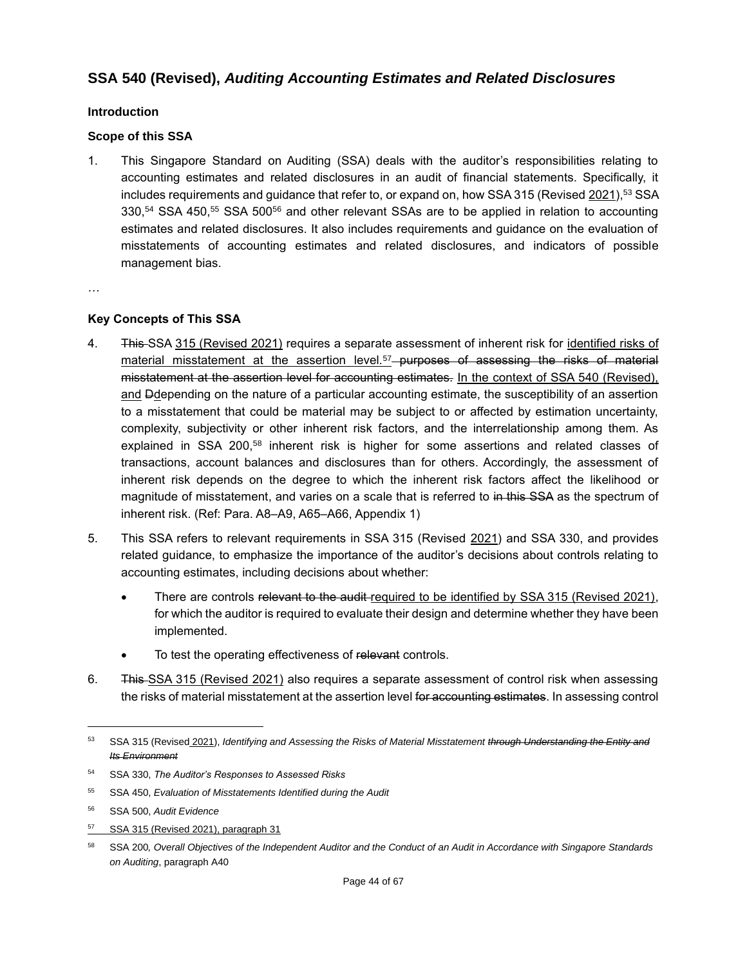## **SSA 540 (Revised),** *Auditing Accounting Estimates and Related Disclosures*

#### **Introduction**

#### **Scope of this SSA**

1. This Singapore Standard on Auditing (SSA) deals with the auditor's responsibilities relating to accounting estimates and related disclosures in an audit of financial statements. Specifically, it includes requirements and guidance that refer to, or expand on, how SSA 315 (Revised 2021),<sup>53</sup> SSA 330,<sup>54</sup> SSA 450,<sup>55</sup> SSA 500<sup>56</sup> and other relevant SSAs are to be applied in relation to accounting estimates and related disclosures. It also includes requirements and guidance on the evaluation of misstatements of accounting estimates and related disclosures, and indicators of possible management bias.

…

#### **Key Concepts of This SSA**

- 4. This SSA 315 (Revised 2021) requires a separate assessment of inherent risk for identified risks of material misstatement at the assertion level.<sup>57</sup> purposes of assessing the risks of material misstatement at the assertion level for accounting estimates. In the context of SSA 540 (Revised), and Ddepending on the nature of a particular accounting estimate, the susceptibility of an assertion to a misstatement that could be material may be subject to or affected by estimation uncertainty, complexity, subjectivity or other inherent risk factors, and the interrelationship among them. As explained in SSA 200,<sup>58</sup> inherent risk is higher for some assertions and related classes of transactions, account balances and disclosures than for others. Accordingly, the assessment of inherent risk depends on the degree to which the inherent risk factors affect the likelihood or magnitude of misstatement, and varies on a scale that is referred to in this SSA as the spectrum of inherent risk. (Ref: Para. A8–A9, A65–A66, Appendix 1)
- 5. This SSA refers to relevant requirements in SSA 315 (Revised 2021) and SSA 330, and provides related guidance, to emphasize the importance of the auditor's decisions about controls relating to accounting estimates, including decisions about whether:
	- There are controls relevant to the audit-required to be identified by SSA 315 (Revised 2021), for which the auditor is required to evaluate their design and determine whether they have been implemented.
	- To test the operating effectiveness of relevant controls.
- 6. This SSA 315 (Revised 2021) also requires a separate assessment of control risk when assessing the risks of material misstatement at the assertion level for accounting estimates. In assessing control

<sup>53</sup> SSA 315 (Revised 2021), *Identifying and Assessing the Risks of Material Misstatement through Understanding the Entity and Its Environment*

<sup>54</sup> SSA 330, *The Auditor's Responses to Assessed Risks*

<sup>55</sup> SSA 450, *Evaluation of Misstatements Identified during the Audit*

<sup>56</sup> SSA 500, *Audit Evidence*

SSA 315 (Revised 2021), paragraph 31

<sup>58</sup> SSA 200*, Overall Objectives of the Independent Auditor and the Conduct of an Audit in Accordance with Singapore Standards on Auditing*, paragraph A40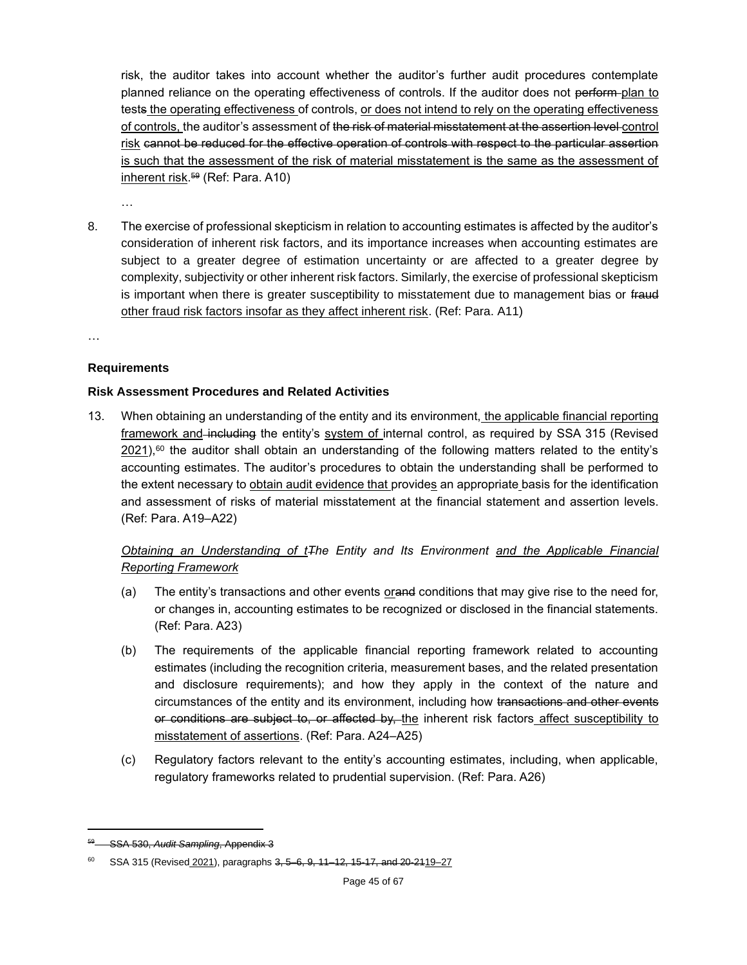risk, the auditor takes into account whether the auditor's further audit procedures contemplate planned reliance on the operating effectiveness of controls. If the auditor does not perform-plan to tests the operating effectiveness of controls, or does not intend to rely on the operating effectiveness of controls, the auditor's assessment of the risk of material misstatement at the assertion level control risk cannot be reduced for the effective operation of controls with respect to the particular assertion is such that the assessment of the risk of material misstatement is the same as the assessment of inherent risk. <sup>59</sup> (Ref: Para. A10)

…

8. The exercise of professional skepticism in relation to accounting estimates is affected by the auditor's consideration of inherent risk factors, and its importance increases when accounting estimates are subject to a greater degree of estimation uncertainty or are affected to a greater degree by complexity, subjectivity or other inherent risk factors. Similarly, the exercise of professional skepticism is important when there is greater susceptibility to misstatement due to management bias or fraud other fraud risk factors insofar as they affect inherent risk. (Ref: Para. A11)

…

### **Requirements**

### **Risk Assessment Procedures and Related Activities**

13. When obtaining an understanding of the entity and its environment, the applicable financial reporting framework and including the entity's system of internal control, as required by SSA 315 (Revised  $2021$ ,<sup>60</sup> the auditor shall obtain an understanding of the following matters related to the entity's accounting estimates. The auditor's procedures to obtain the understanding shall be performed to the extent necessary to obtain audit evidence that provides an appropriate basis for the identification and assessment of risks of material misstatement at the financial statement and assertion levels. (Ref: Para. A19–A22)

## *Obtaining an Understanding of t<sub>T</sub>he Entity and Its Environment <u>and the Applicable Financial</u> Reporting Framework*

- (a) The entity's transactions and other events **orand** conditions that may give rise to the need for, or changes in, accounting estimates to be recognized or disclosed in the financial statements. (Ref: Para. A23)
- (b) The requirements of the applicable financial reporting framework related to accounting estimates (including the recognition criteria, measurement bases, and the related presentation and disclosure requirements); and how they apply in the context of the nature and circumstances of the entity and its environment, including how transactions and other events or conditions are subject to, or affected by, the inherent risk factors affect susceptibility to misstatement of assertions. (Ref: Para. A24–A25)
- (c) Regulatory factors relevant to the entity's accounting estimates, including, when applicable, regulatory frameworks related to prudential supervision. (Ref: Para. A26)

<sup>59</sup> SSA 530, *Audit Sampling*, Appendix 3

<sup>60</sup> SSA 315 (Revised 2021), paragraphs 3, 5–6, 9, 11–12, 15-17, and 20-2119–27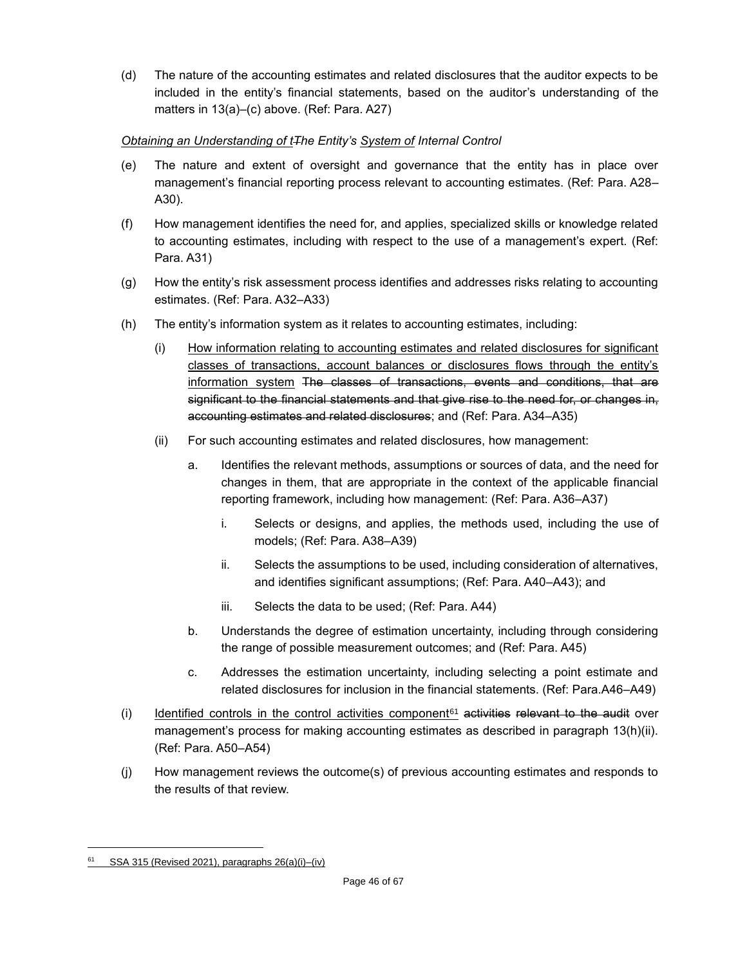(d) The nature of the accounting estimates and related disclosures that the auditor expects to be included in the entity's financial statements, based on the auditor's understanding of the matters in 13(a)–(c) above. (Ref: Para. A27)

## *Obtaining an Understanding of tThe Entity's System of Internal Control*

- (e) The nature and extent of oversight and governance that the entity has in place over management's financial reporting process relevant to accounting estimates. (Ref: Para. A28– A30).
- (f) How management identifies the need for, and applies, specialized skills or knowledge related to accounting estimates, including with respect to the use of a management's expert. (Ref: Para. A31)
- (g) How the entity's risk assessment process identifies and addresses risks relating to accounting estimates. (Ref: Para. A32–A33)
- (h) The entity's information system as it relates to accounting estimates, including:
	- (i) How information relating to accounting estimates and related disclosures for significant classes of transactions, account balances or disclosures flows through the entity's information system The classes of transactions, events and conditions, that are significant to the financial statements and that give rise to the need for, or changes in, accounting estimates and related disclosures; and (Ref: Para. A34–A35)
	- (ii) For such accounting estimates and related disclosures, how management:
		- a. Identifies the relevant methods, assumptions or sources of data, and the need for changes in them, that are appropriate in the context of the applicable financial reporting framework, including how management: (Ref: Para. A36–A37)
			- i. Selects or designs, and applies, the methods used, including the use of models; (Ref: Para. A38–A39)
			- ii. Selects the assumptions to be used, including consideration of alternatives, and identifies significant assumptions; (Ref: Para. A40–A43); and
			- iii. Selects the data to be used; (Ref: Para. A44)
		- b. Understands the degree of estimation uncertainty, including through considering the range of possible measurement outcomes; and (Ref: Para. A45)
		- c. Addresses the estimation uncertainty, including selecting a point estimate and related disclosures for inclusion in the financial statements. (Ref: Para.A46–A49)
- (i) Identified controls in the control activities component<sup> $61$ </sup> activities relevant to the audit over management's process for making accounting estimates as described in paragraph 13(h)(ii). (Ref: Para. A50–A54)
- (j) How management reviews the outcome(s) of previous accounting estimates and responds to the results of that review.

<sup>61</sup> SSA 315 (Revised 2021), paragraphs 26(a)(i)–(iv)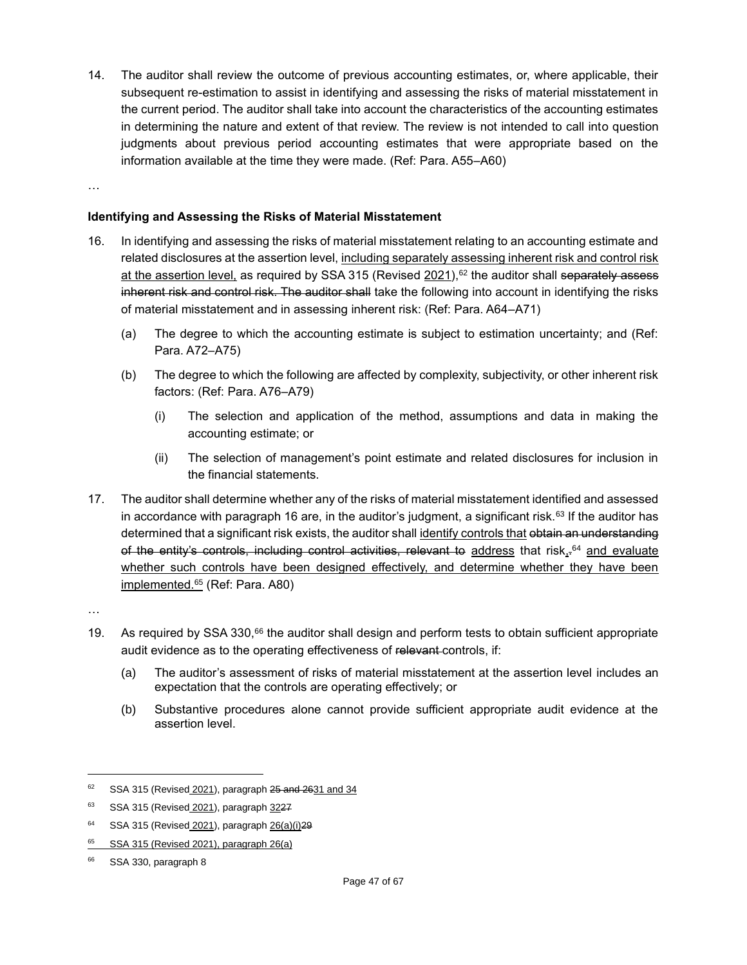14. The auditor shall review the outcome of previous accounting estimates, or, where applicable, their subsequent re-estimation to assist in identifying and assessing the risks of material misstatement in the current period. The auditor shall take into account the characteristics of the accounting estimates in determining the nature and extent of that review. The review is not intended to call into question judgments about previous period accounting estimates that were appropriate based on the information available at the time they were made. (Ref: Para. A55–A60)

…

### **Identifying and Assessing the Risks of Material Misstatement**

- 16. In identifying and assessing the risks of material misstatement relating to an accounting estimate and related disclosures at the assertion level, including separately assessing inherent risk and control risk at the assertion level, as required by SSA 315 (Revised  $2021$ ),  $62$  the auditor shall separately assess inherent risk and control risk. The auditor shall take the following into account in identifying the risks of material misstatement and in assessing inherent risk: (Ref: Para. A64–A71)
	- (a) The degree to which the accounting estimate is subject to estimation uncertainty; and (Ref: Para. A72–A75)
	- (b) The degree to which the following are affected by complexity, subjectivity, or other inherent risk factors: (Ref: Para. A76–A79)
		- (i) The selection and application of the method, assumptions and data in making the accounting estimate; or
		- (ii) The selection of management's point estimate and related disclosures for inclusion in the financial statements.
- 17. The auditor shall determine whether any of the risks of material misstatement identified and assessed in accordance with paragraph 16 are, in the auditor's judgment, a significant risk.<sup>63</sup> If the auditor has determined that a significant risk exists, the auditor shall identify controls that obtain an understanding of the entity's controls, including control activities, relevant to address that risk, <sup>64</sup> and evaluate whether such controls have been designed effectively, and determine whether they have been implemented.<sup>65</sup> (Ref: Para. A80)

- 19. As required by SSA 330,<sup>66</sup> the auditor shall design and perform tests to obtain sufficient appropriate audit evidence as to the operating effectiveness of relevant controls, if:
	- (a) The auditor's assessment of risks of material misstatement at the assertion level includes an expectation that the controls are operating effectively; or
	- (b) Substantive procedures alone cannot provide sufficient appropriate audit evidence at the assertion level.

 $62$  SSA 315 (Revised 2021), paragraph 25 and 2631 and 34

 $63$  SSA 315 (Revised 2021), paragraph 3227

<sup>64</sup> SSA 315 (Revised  $2021$ ), paragraph  $26(a)(i)29$ 

SSA 315 (Revised 2021), paragraph 26(a)

<sup>66</sup> SSA 330, paragraph 8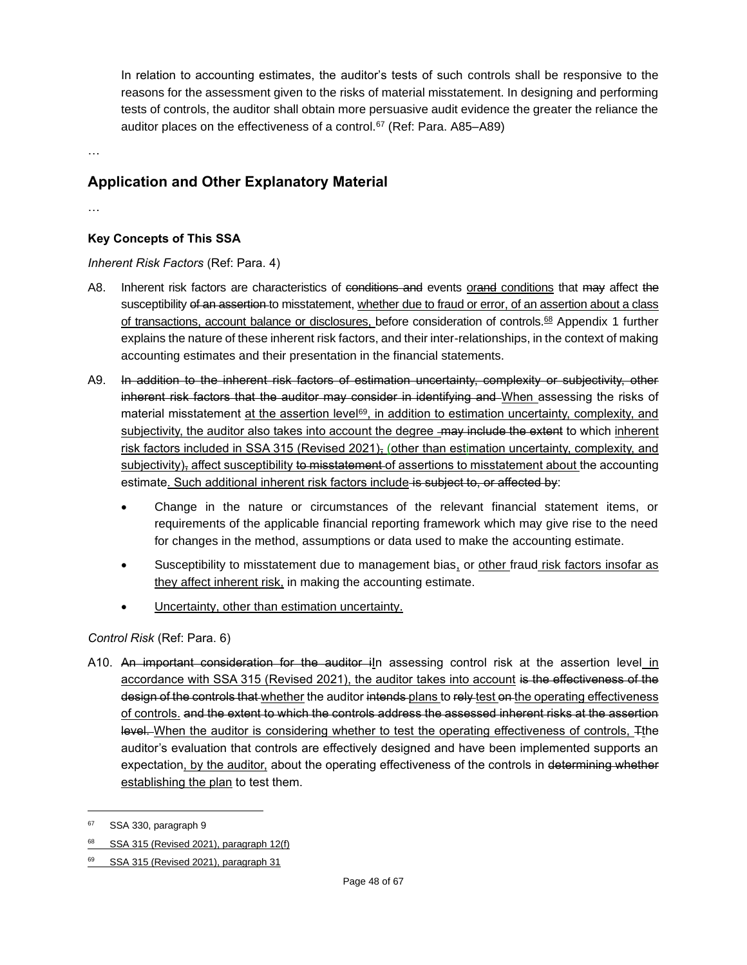In relation to accounting estimates, the auditor's tests of such controls shall be responsive to the reasons for the assessment given to the risks of material misstatement. In designing and performing tests of controls, the auditor shall obtain more persuasive audit evidence the greater the reliance the auditor places on the effectiveness of a control.<sup>67</sup> (Ref: Para. A85–A89)

…

# **Application and Other Explanatory Material**

…

## **Key Concepts of This SSA**

#### *Inherent Risk Factors* (Ref: Para. 4)

- A8. Inherent risk factors are characteristics of conditions and events orand conditions that may affect the susceptibility of an assertion to misstatement, whether due to fraud or error, of an assertion about a class of transactions, account balance or disclosures, before consideration of controls.<sup>68</sup> Appendix 1 further explains the nature of these inherent risk factors, and their inter-relationships, in the context of making accounting estimates and their presentation in the financial statements.
- A9. In addition to the inherent risk factors of estimation uncertainty, complexity or subjectivity, other inherent risk factors that the auditor may consider in identifying and When assessing the risks of material misstatement at the assertion level<sup>69</sup>, in addition to estimation uncertainty, complexity, and subjectivity, the auditor also takes into account the degree - may include the extent to which inherent risk factors included in SSA 315 (Revised 2021)<sub> $<sub>5</sub>$  (other than estimation uncertainty, complexity, and</sub></sub> subjectivity)<sub> $<sub>7</sub>$  affect susceptibility to misstatement of assertions to misstatement about the accounting</sub></sub> estimate. Such additional inherent risk factors include is subject to, or affected by:
	- Change in the nature or circumstances of the relevant financial statement items, or requirements of the applicable financial reporting framework which may give rise to the need for changes in the method, assumptions or data used to make the accounting estimate.
	- Susceptibility to misstatement due to management bias, or other fraud risk factors insofar as they affect inherent risk, in making the accounting estimate.
	- Uncertainty, other than estimation uncertainty.

## *Control Risk* (Ref: Para. 6)

A10. An important consideration for the auditor iln assessing control risk at the assertion level in accordance with SSA 315 (Revised 2021), the auditor takes into account is the effectiveness of the design of the controls that whether the auditor intends-plans to rely-test on the operating effectiveness of controls. and the extent to which the controls address the assessed inherent risks at the assertion level. When the auditor is considering whether to test the operating effectiveness of controls, Tthe auditor's evaluation that controls are effectively designed and have been implemented supports an expectation, by the auditor, about the operating effectiveness of the controls in determining whether establishing the plan to test them.

SSA 330, paragraph 9

SSA 315 (Revised 2021), paragraph 12(f)

<sup>69</sup> SSA 315 (Revised 2021), paragraph 31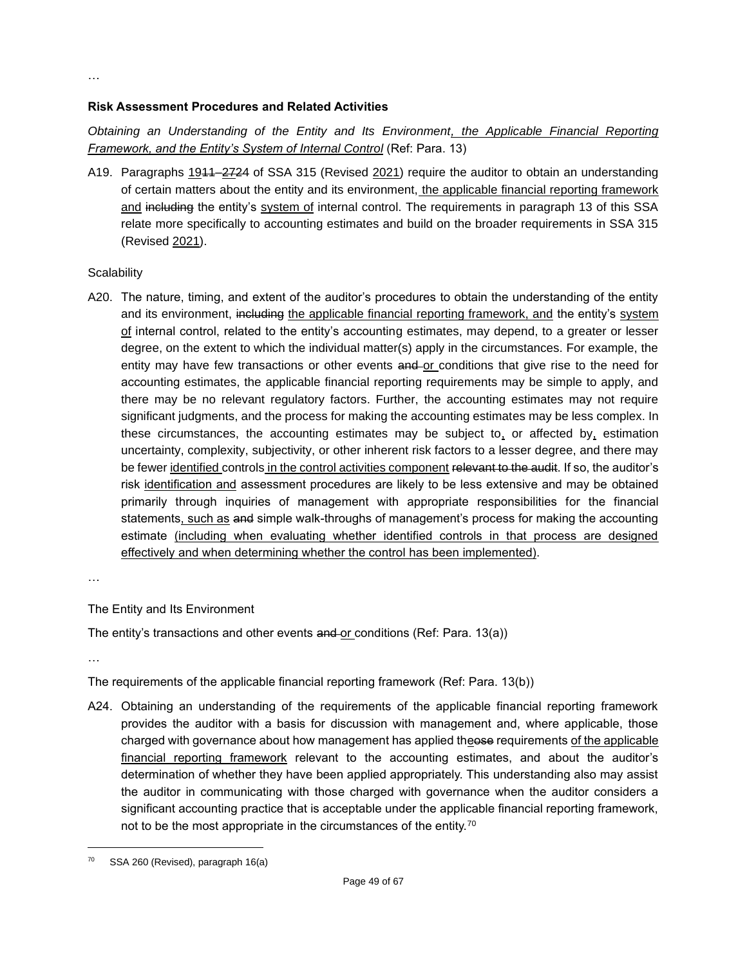### **Risk Assessment Procedures and Related Activities**

*Obtaining an Understanding of the Entity and Its Environment, the Applicable Financial Reporting Framework, and the Entity's System of Internal Control* (Ref: Para. 13)

A19. Paragraphs 1911–2724 of SSA 315 (Revised 2021) require the auditor to obtain an understanding of certain matters about the entity and its environment, the applicable financial reporting framework and including the entity's system of internal control. The requirements in paragraph 13 of this SSA relate more specifically to accounting estimates and build on the broader requirements in SSA 315 (Revised 2021).

#### **Scalability**

…

A20. The nature, timing, and extent of the auditor's procedures to obtain the understanding of the entity and its environment, including the applicable financial reporting framework, and the entity's system of internal control, related to the entity's accounting estimates, may depend, to a greater or lesser degree, on the extent to which the individual matter(s) apply in the circumstances. For example, the entity may have few transactions or other events and or conditions that give rise to the need for accounting estimates, the applicable financial reporting requirements may be simple to apply, and there may be no relevant regulatory factors. Further, the accounting estimates may not require significant judgments, and the process for making the accounting estimates may be less complex. In these circumstances, the accounting estimates may be subject to, or affected by, estimation uncertainty, complexity, subjectivity, or other inherent risk factors to a lesser degree, and there may be fewer identified controls in the control activities component relevant to the audit. If so, the auditor's risk identification and assessment procedures are likely to be less extensive and may be obtained primarily through inquiries of management with appropriate responsibilities for the financial statements, such as and simple walk-throughs of management's process for making the accounting estimate (including when evaluating whether identified controls in that process are designed effectively and when determining whether the control has been implemented).

…

The Entity and Its Environment

The entity's transactions and other events and or conditions (Ref: Para. 13(a))

…

The requirements of the applicable financial reporting framework (Ref: Para. 13(b))

A24. Obtaining an understanding of the requirements of the applicable financial reporting framework provides the auditor with a basis for discussion with management and, where applicable, those charged with governance about how management has applied theose requirements of the applicable financial reporting framework relevant to the accounting estimates, and about the auditor's determination of whether they have been applied appropriately. This understanding also may assist the auditor in communicating with those charged with governance when the auditor considers a significant accounting practice that is acceptable under the applicable financial reporting framework, not to be the most appropriate in the circumstances of the entity.<sup>70</sup>

<sup>70</sup> SSA 260 (Revised), paragraph 16(a)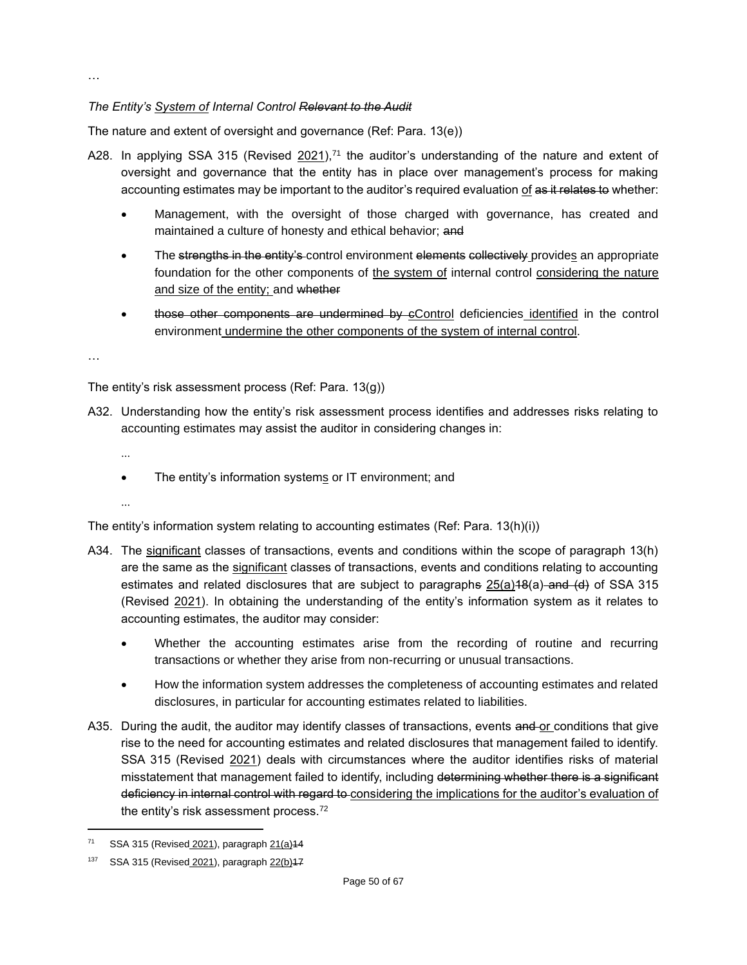#### *The Entity's System of Internal Control Relevant to the Audit*

The nature and extent of oversight and governance (Ref: Para. 13(e))

- A28. In applying SSA 315 (Revised 2021), $71$  the auditor's understanding of the nature and extent of oversight and governance that the entity has in place over management's process for making accounting estimates may be important to the auditor's required evaluation of as it relates to whether:
	- Management, with the oversight of those charged with governance, has created and maintained a culture of honesty and ethical behavior; and
	- The strengths in the entity's control environment elements collectively provides an appropriate foundation for the other components of the system of internal control considering the nature and size of the entity; and whether
	- those other components are undermined by eControl deficiencies identified in the control environment undermine the other components of the system of internal control.

…

The entity's risk assessment process (Ref: Para. 13(g))

A32. Understanding how the entity's risk assessment process identifies and addresses risks relating to accounting estimates may assist the auditor in considering changes in:

 $\dddotsc$ 

• The entity's information systems or IT environment; and

...

The entity's information system relating to accounting estimates (Ref: Para. 13(h)(i))

- A34. The significant classes of transactions, events and conditions within the scope of paragraph 13(h) are the same as the significant classes of transactions, events and conditions relating to accounting estimates and related disclosures that are subject to paragraphs  $25(a)48(a)$  and  $(4)$  of SSA 315 (Revised 2021). In obtaining the understanding of the entity's information system as it relates to accounting estimates, the auditor may consider:
	- Whether the accounting estimates arise from the recording of routine and recurring transactions or whether they arise from non-recurring or unusual transactions.
	- How the information system addresses the completeness of accounting estimates and related disclosures, in particular for accounting estimates related to liabilities.
- A35. During the audit, the auditor may identify classes of transactions, events and or conditions that give rise to the need for accounting estimates and related disclosures that management failed to identify. SSA 315 (Revised 2021) deals with circumstances where the auditor identifies risks of material misstatement that management failed to identify, including determining whether there is a significant deficiency in internal control with regard to considering the implications for the auditor's evaluation of the entity's risk assessment process.<sup>72</sup>

SSA 315 (Revised 2021), paragraph 21(a)<sup>14</sup>

 $137$  SSA 315 (Revised 2021), paragraph 22(b) 47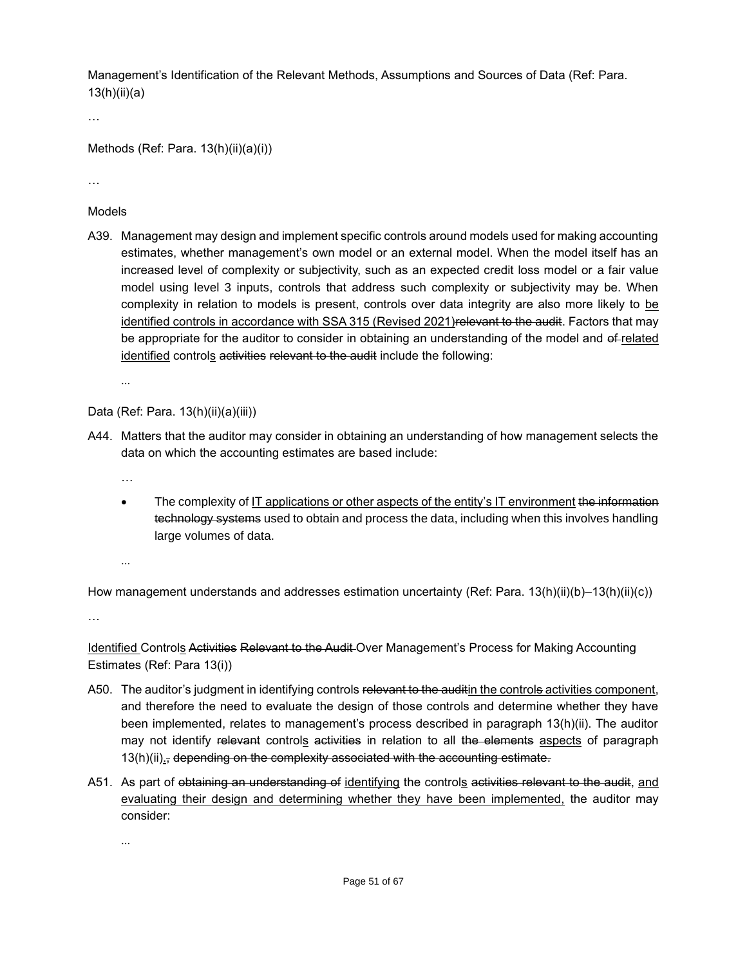Management's Identification of the Relevant Methods, Assumptions and Sources of Data (Ref: Para. 13(h)(ii)(a)

…

Methods (Ref: Para. 13(h)(ii)(a)(i))

…

Models

A39. Management may design and implement specific controls around models used for making accounting estimates, whether management's own model or an external model. When the model itself has an increased level of complexity or subjectivity, such as an expected credit loss model or a fair value model using level 3 inputs, controls that address such complexity or subjectivity may be. When complexity in relation to models is present, controls over data integrity are also more likely to be identified controls in accordance with SSA 315 (Revised 2021) relevant to the audit. Factors that may be appropriate for the auditor to consider in obtaining an understanding of the model and of-related identified controls activities relevant to the audit include the following:

 $\ddotsc$ 

Data (Ref: Para. 13(h)(ii)(a)(iii))

A44. Matters that the auditor may consider in obtaining an understanding of how management selects the data on which the accounting estimates are based include:

…

The complexity of IT applications or other aspects of the entity's IT environment the information technology systems used to obtain and process the data, including when this involves handling large volumes of data.

 $\dddotsc$ 

How management understands and addresses estimation uncertainty (Ref: Para. 13(h)(ii)(b)–13(h)(ii)(c))

…

Identified Controls Activities Relevant to the Audit Over Management's Process for Making Accounting Estimates (Ref: Para 13(i))

- A50. The auditor's judgment in identifying controls relevant to the auditin the controls activities component, and therefore the need to evaluate the design of those controls and determine whether they have been implemented, relates to management's process described in paragraph 13(h)(ii). The auditor may not identify relevant controls activities in relation to all the elements aspects of paragraph 13(h)(ii).- depending on the complexity associated with the accounting estimate.
- A51. As part of obtaining an understanding of identifying the controls activities relevant to the audit, and evaluating their design and determining whether they have been implemented, the auditor may consider:

...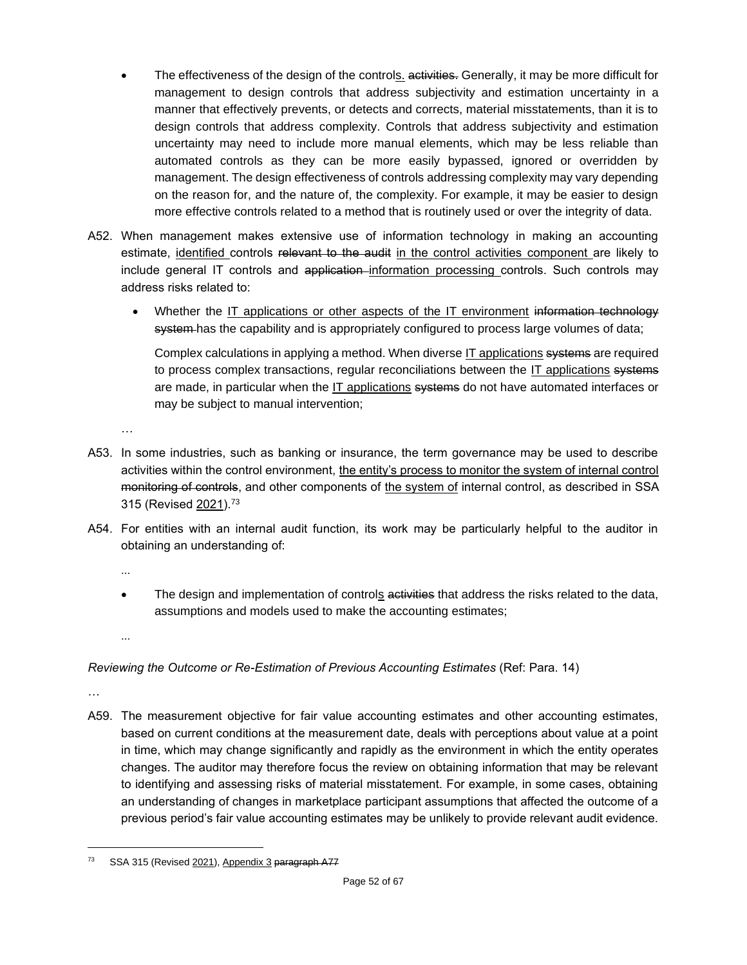- The effectiveness of the design of the controls. activities. Generally, it may be more difficult for management to design controls that address subjectivity and estimation uncertainty in a manner that effectively prevents, or detects and corrects, material misstatements, than it is to design controls that address complexity. Controls that address subjectivity and estimation uncertainty may need to include more manual elements, which may be less reliable than automated controls as they can be more easily bypassed, ignored or overridden by management. The design effectiveness of controls addressing complexity may vary depending on the reason for, and the nature of, the complexity. For example, it may be easier to design more effective controls related to a method that is routinely used or over the integrity of data.
- A52. When management makes extensive use of information technology in making an accounting estimate, identified controls relevant to the audit in the control activities component are likely to include general IT controls and application information processing controls. Such controls may address risks related to:
	- Whether the IT applications or other aspects of the IT environment information technology system has the capability and is appropriately configured to process large volumes of data;

Complex calculations in applying a method. When diverse IT applications systems are required to process complex transactions, regular reconciliations between the IT applications systems are made, in particular when the IT applications systems do not have automated interfaces or may be subject to manual intervention;

- …
- A53. In some industries, such as banking or insurance, the term governance may be used to describe activities within the control environment, the entity's process to monitor the system of internal control monitoring of controls, and other components of the system of internal control, as described in SSA 315 (Revised 2021).<sup>73</sup>
- A54. For entities with an internal audit function, its work may be particularly helpful to the auditor in obtaining an understanding of:

...

The design and implementation of controls activities that address the risks related to the data, assumptions and models used to make the accounting estimates;

 $\dddotsc$ 

## *Reviewing the Outcome or Re-Estimation of Previous Accounting Estimates* (Ref: Para. 14)

…

A59. The measurement objective for fair value accounting estimates and other accounting estimates, based on current conditions at the measurement date, deals with perceptions about value at a point in time, which may change significantly and rapidly as the environment in which the entity operates changes. The auditor may therefore focus the review on obtaining information that may be relevant to identifying and assessing risks of material misstatement. For example, in some cases, obtaining an understanding of changes in marketplace participant assumptions that affected the outcome of a previous period's fair value accounting estimates may be unlikely to provide relevant audit evidence.

<sup>&</sup>lt;sup>73</sup> SSA 315 (Revised 2021), Appendix 3 paragraph A77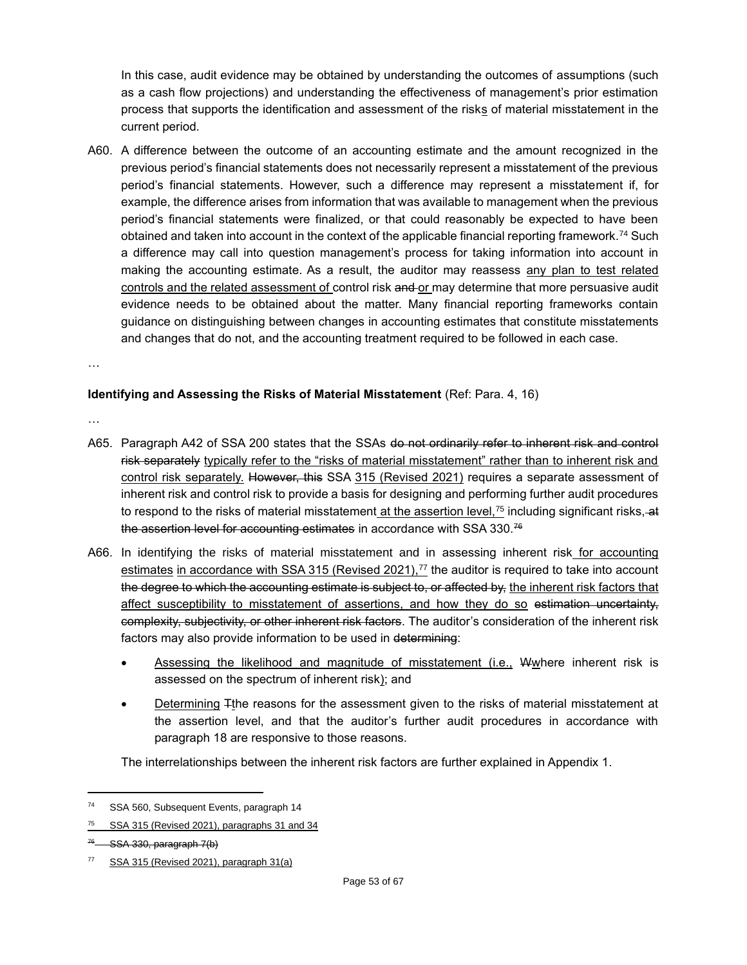In this case, audit evidence may be obtained by understanding the outcomes of assumptions (such as a cash flow projections) and understanding the effectiveness of management's prior estimation process that supports the identification and assessment of the risks of material misstatement in the current period.

A60. A difference between the outcome of an accounting estimate and the amount recognized in the previous period's financial statements does not necessarily represent a misstatement of the previous period's financial statements. However, such a difference may represent a misstatement if, for example, the difference arises from information that was available to management when the previous period's financial statements were finalized, or that could reasonably be expected to have been obtained and taken into account in the context of the applicable financial reporting framework.<sup>74</sup> Such a difference may call into question management's process for taking information into account in making the accounting estimate. As a result, the auditor may reassess any plan to test related controls and the related assessment of control risk and or may determine that more persuasive audit evidence needs to be obtained about the matter. Many financial reporting frameworks contain guidance on distinguishing between changes in accounting estimates that constitute misstatements and changes that do not, and the accounting treatment required to be followed in each case.

…

#### **Identifying and Assessing the Risks of Material Misstatement** (Ref: Para. 4, 16)

…

- A65. Paragraph A42 of SSA 200 states that the SSAs do not ordinarily refer to inherent risk and control risk separately typically refer to the "risks of material misstatement" rather than to inherent risk and control risk separately. However, this SSA 315 (Revised 2021) requires a separate assessment of inherent risk and control risk to provide a basis for designing and performing further audit procedures to respond to the risks of material misstatement at the assertion level, $75$  including significant risks,  $-4$ the assertion level for accounting estimates in accordance with SSA 330. $76$
- A66. In identifying the risks of material misstatement and in assessing inherent risk for accounting estimates in accordance with SSA 315 (Revised 2021),<sup>77</sup> the auditor is required to take into account the degree to which the accounting estimate is subject to, or affected by, the inherent risk factors that affect susceptibility to misstatement of assertions, and how they do so estimation uncertainty, complexity, subjectivity, or other inherent risk factors. The auditor's consideration of the inherent risk factors may also provide information to be used in determining:
	- Assessing the likelihood and magnitude of misstatement (i.e., Wwhere inherent risk is assessed on the spectrum of inherent risk); and
	- Determining Tthe reasons for the assessment given to the risks of material misstatement at the assertion level, and that the auditor's further audit procedures in accordance with paragraph 18 are responsive to those reasons.

The interrelationships between the inherent risk factors are further explained in Appendix 1.

<sup>&</sup>lt;sup>74</sup> SSA 560, Subsequent Events, paragraph 14

<sup>&</sup>lt;sup>75</sup> SSA 315 (Revised 2021), paragraphs 31 and 34

SSA 330, paragraph 7(b)

 $77$  SSA 315 (Revised 2021), paragraph 31(a)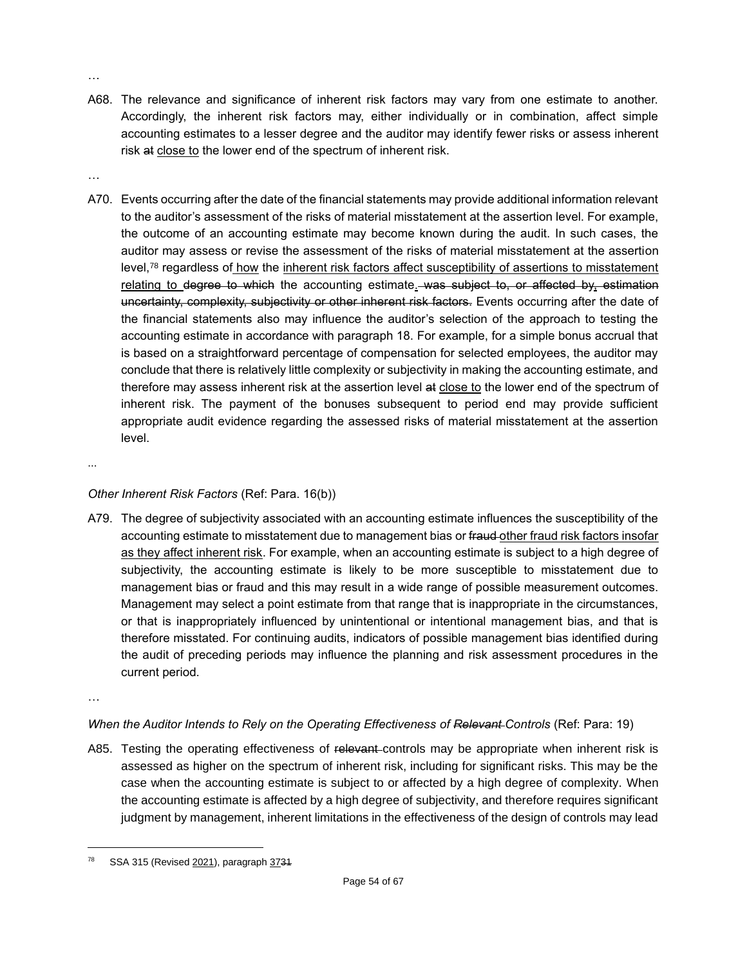- A68. The relevance and significance of inherent risk factors may vary from one estimate to another. Accordingly, the inherent risk factors may, either individually or in combination, affect simple accounting estimates to a lesser degree and the auditor may identify fewer risks or assess inherent risk at close to the lower end of the spectrum of inherent risk.
- …

…

A70. Events occurring after the date of the financial statements may provide additional information relevant to the auditor's assessment of the risks of material misstatement at the assertion level. For example, the outcome of an accounting estimate may become known during the audit. In such cases, the auditor may assess or revise the assessment of the risks of material misstatement at the assertion level,<sup>78</sup> regardless of how the inherent risk factors affect susceptibility of assertions to misstatement relating to degree to which the accounting estimate. was subject to, or affected by, estimation uncertainty, complexity, subjectivity or other inherent risk factors. Events occurring after the date of the financial statements also may influence the auditor's selection of the approach to testing the accounting estimate in accordance with paragraph 18. For example, for a simple bonus accrual that is based on a straightforward percentage of compensation for selected employees, the auditor may conclude that there is relatively little complexity or subjectivity in making the accounting estimate, and therefore may assess inherent risk at the assertion level at close to the lower end of the spectrum of inherent risk. The payment of the bonuses subsequent to period end may provide sufficient appropriate audit evidence regarding the assessed risks of material misstatement at the assertion level.

...

## *Other Inherent Risk Factors* (Ref: Para. 16(b))

A79. The degree of subjectivity associated with an accounting estimate influences the susceptibility of the accounting estimate to misstatement due to management bias or fraud other fraud risk factors insofar as they affect inherent risk. For example, when an accounting estimate is subject to a high degree of subjectivity, the accounting estimate is likely to be more susceptible to misstatement due to management bias or fraud and this may result in a wide range of possible measurement outcomes. Management may select a point estimate from that range that is inappropriate in the circumstances, or that is inappropriately influenced by unintentional or intentional management bias, and that is therefore misstated. For continuing audits, indicators of possible management bias identified during the audit of preceding periods may influence the planning and risk assessment procedures in the current period.

…

## *When the Auditor Intends to Rely on the Operating Effectiveness of Relevant Controls* (Ref: Para: 19)

A85. Testing the operating effectiveness of relevant-controls may be appropriate when inherent risk is assessed as higher on the spectrum of inherent risk, including for significant risks. This may be the case when the accounting estimate is subject to or affected by a high degree of complexity. When the accounting estimate is affected by a high degree of subjectivity, and therefore requires significant judgment by management, inherent limitations in the effectiveness of the design of controls may lead

<sup>&</sup>lt;sup>78</sup> SSA 315 (Revised 2021), paragraph 3734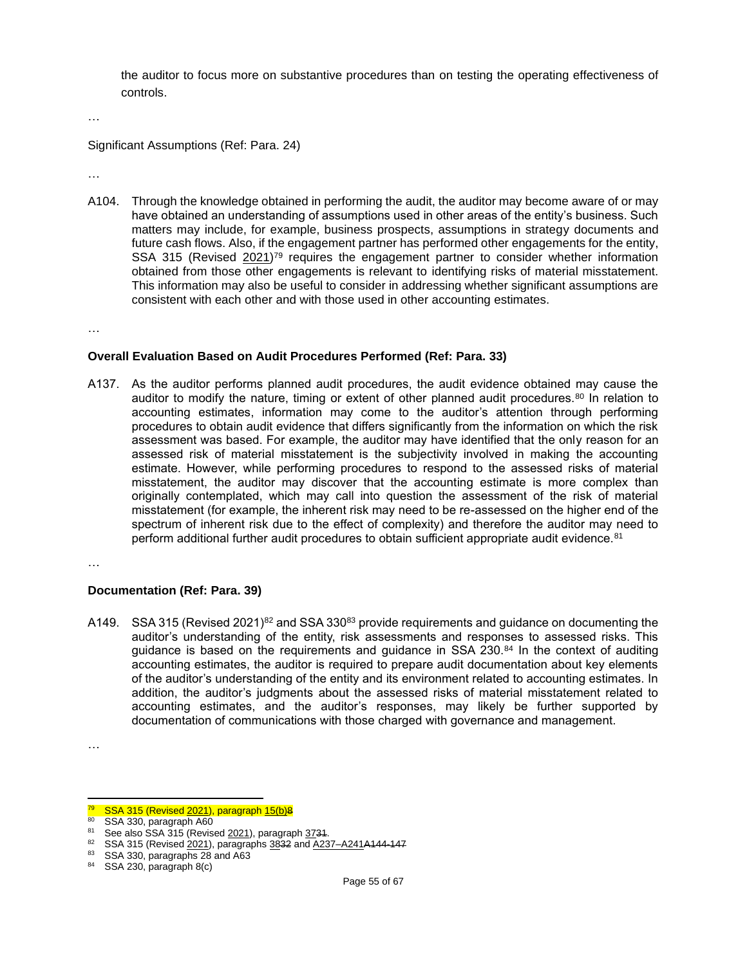the auditor to focus more on substantive procedures than on testing the operating effectiveness of controls.

…

#### Significant Assumptions (Ref: Para. 24)

…

A104. Through the knowledge obtained in performing the audit, the auditor may become aware of or may have obtained an understanding of assumptions used in other areas of the entity's business. Such matters may include, for example, business prospects, assumptions in strategy documents and future cash flows. Also, if the engagement partner has performed other engagements for the entity, SSA 315 (Revised 2021)<sup>79</sup> requires the engagement partner to consider whether information obtained from those other engagements is relevant to identifying risks of material misstatement. This information may also be useful to consider in addressing whether significant assumptions are consistent with each other and with those used in other accounting estimates.

…

#### **Overall Evaluation Based on Audit Procedures Performed (Ref: Para. 33)**

A137. As the auditor performs planned audit procedures, the audit evidence obtained may cause the auditor to modify the nature, timing or extent of other planned audit procedures.<sup>80</sup> In relation to accounting estimates, information may come to the auditor's attention through performing procedures to obtain audit evidence that differs significantly from the information on which the risk assessment was based. For example, the auditor may have identified that the only reason for an assessed risk of material misstatement is the subjectivity involved in making the accounting estimate. However, while performing procedures to respond to the assessed risks of material misstatement, the auditor may discover that the accounting estimate is more complex than originally contemplated, which may call into question the assessment of the risk of material misstatement (for example, the inherent risk may need to be re-assessed on the higher end of the spectrum of inherent risk due to the effect of complexity) and therefore the auditor may need to perform additional further audit procedures to obtain sufficient appropriate audit evidence.<sup>81</sup>

…

#### **Documentation (Ref: Para. 39)**

A149. SSA 315 (Revised 2021)<sup>82</sup> and SSA 330<sup>83</sup> provide requirements and guidance on documenting the auditor's understanding of the entity, risk assessments and responses to assessed risks. This quidance is based on the requirements and quidance in SSA 230. $84$  In the context of auditing accounting estimates, the auditor is required to prepare audit documentation about key elements of the auditor's understanding of the entity and its environment related to accounting estimates. In addition, the auditor's judgments about the assessed risks of material misstatement related to accounting estimates, and the auditor's responses, may likely be further supported by documentation of communications with those charged with governance and management.

<sup>&</sup>lt;sup>79</sup> SSA 315 (Revised 2021), paragraph 15(b)8

<sup>80</sup> SSA 330, paragraph A60

 $81$  See also SSA 315 (Revised 2021), paragraph 3734.

<sup>82</sup> SSA 315 (Revised 2021), paragraphs 3832 and A237-A241A144-147

<sup>83</sup> SSA 330, paragraphs 28 and A63

<sup>84</sup> SSA 230, paragraph 8(c)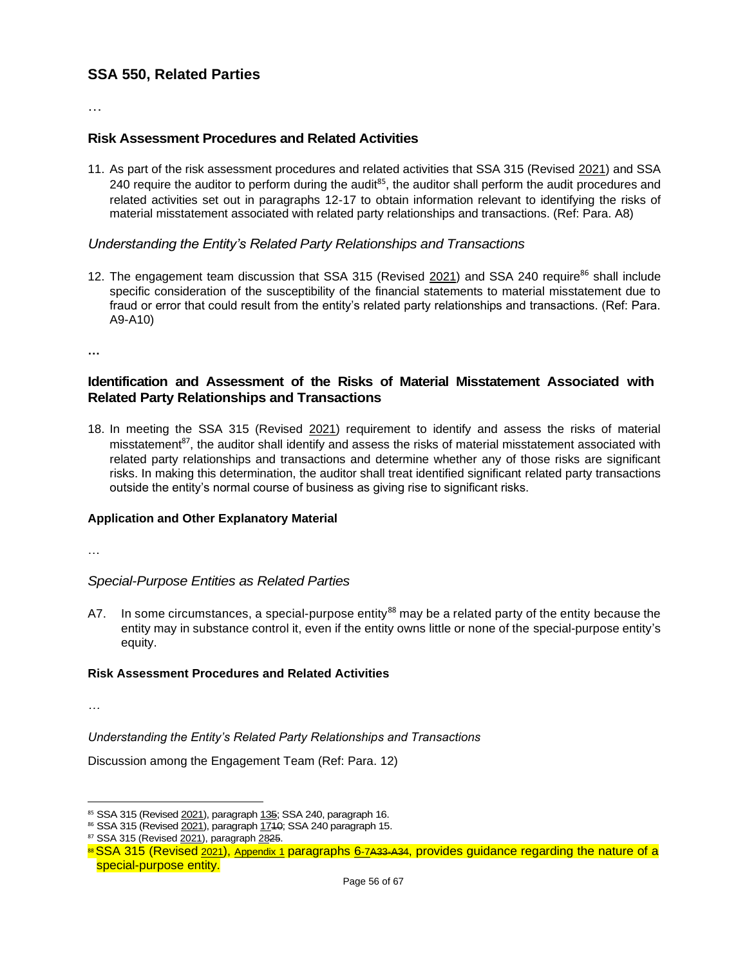## **SSA 550, Related Parties**

…

#### **Risk Assessment Procedures and Related Activities**

11. As part of the risk assessment procedures and related activities that SSA 315 (Revised 2021) and SSA 240 require the auditor to perform during the audit<sup>85</sup>, the auditor shall perform the audit procedures and related activities set out in paragraphs 12-17 to obtain information relevant to identifying the risks of material misstatement associated with related party relationships and transactions. (Ref: Para. A8)

#### *Understanding the Entity's Related Party Relationships and Transactions*

12. The engagement team discussion that SSA 315 (Revised 2021) and SSA 240 require<sup>86</sup> shall include specific consideration of the susceptibility of the financial statements to material misstatement due to fraud or error that could result from the entity's related party relationships and transactions. (Ref: Para. A9-A10)

**…**

### **Identification and Assessment of the Risks of Material Misstatement Associated with Related Party Relationships and Transactions**

18. In meeting the SSA 315 (Revised 2021) requirement to identify and assess the risks of material misstatement<sup>87</sup>, the auditor shall identify and assess the risks of material misstatement associated with related party relationships and transactions and determine whether any of those risks are significant risks. In making this determination, the auditor shall treat identified significant related party transactions outside the entity's normal course of business as giving rise to significant risks.

#### **Application and Other Explanatory Material**

…

#### *Special-Purpose Entities as Related Parties*

A7. In some circumstances, a special-purpose entity<sup>88</sup> may be a related party of the entity because the entity may in substance control it, even if the entity owns little or none of the special-purpose entity's equity.

#### **Risk Assessment Procedures and Related Activities**

*…*

*Understanding the Entity's Related Party Relationships and Transactions*

Discussion among the Engagement Team (Ref: Para. 12)

<sup>85</sup> SSA 315 (Revised 2021), paragraph 135; SSA 240, paragraph 16.

<sup>86</sup> SSA 315 (Revised 2021), paragraph 1740; SSA 240 paragraph 15.

<sup>87</sup> SSA 315 (Revised 2021), paragraph 2825.

<sup>88</sup>SA 315 (Revised 2021), Appendix 1 paragraphs 6-7A33-A34, provides guidance regarding the nature of a special-purpose entity.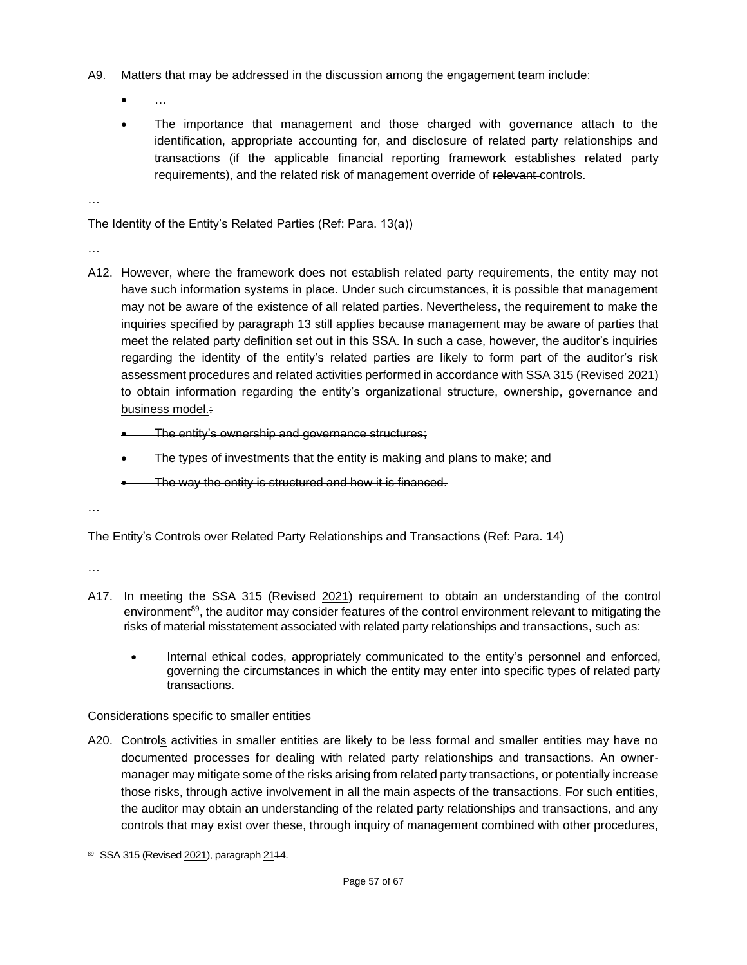- A9. Matters that may be addressed in the discussion among the engagement team include:
	- …
	- The importance that management and those charged with governance attach to the identification, appropriate accounting for, and disclosure of related party relationships and transactions (if the applicable financial reporting framework establishes related party requirements), and the related risk of management override of relevant controls.

The Identity of the Entity's Related Parties (Ref: Para. 13(a))

…

…

- A12. However, where the framework does not establish related party requirements, the entity may not have such information systems in place. Under such circumstances, it is possible that management may not be aware of the existence of all related parties. Nevertheless, the requirement to make the inquiries specified by paragraph 13 still applies because management may be aware of parties that meet the related party definition set out in this SSA. In such a case, however, the auditor's inquiries regarding the identity of the entity's related parties are likely to form part of the auditor's risk assessment procedures and related activities performed in accordance with SSA 315 (Revised 2021) to obtain information regarding the entity's organizational structure, ownership, governance and business model.:
	- The entity's ownership and governance structures;
	- **The types of investments that the entity is making and plans to make; and**
	- The way the entity is structured and how it is financed.

…

The Entity's Controls over Related Party Relationships and Transactions (Ref: Para. 14)

…

- A17. In meeting the SSA 315 (Revised 2021) requirement to obtain an understanding of the control environment<sup>89</sup>, the auditor may consider features of the control environment relevant to mitigating the risks of material misstatement associated with related party relationships and transactions, such as:
	- Internal ethical codes, appropriately communicated to the entity's personnel and enforced, governing the circumstances in which the entity may enter into specific types of related party transactions.

Considerations specific to smaller entities

A20. Controls activities in smaller entities are likely to be less formal and smaller entities may have no documented processes for dealing with related party relationships and transactions. An ownermanager may mitigate some of the risks arising from related party transactions, or potentially increase those risks, through active involvement in all the main aspects of the transactions. For such entities, the auditor may obtain an understanding of the related party relationships and transactions, and any controls that may exist over these, through inquiry of management combined with other procedures,

<sup>89</sup> SSA 315 (Revised 2021), paragraph 2144.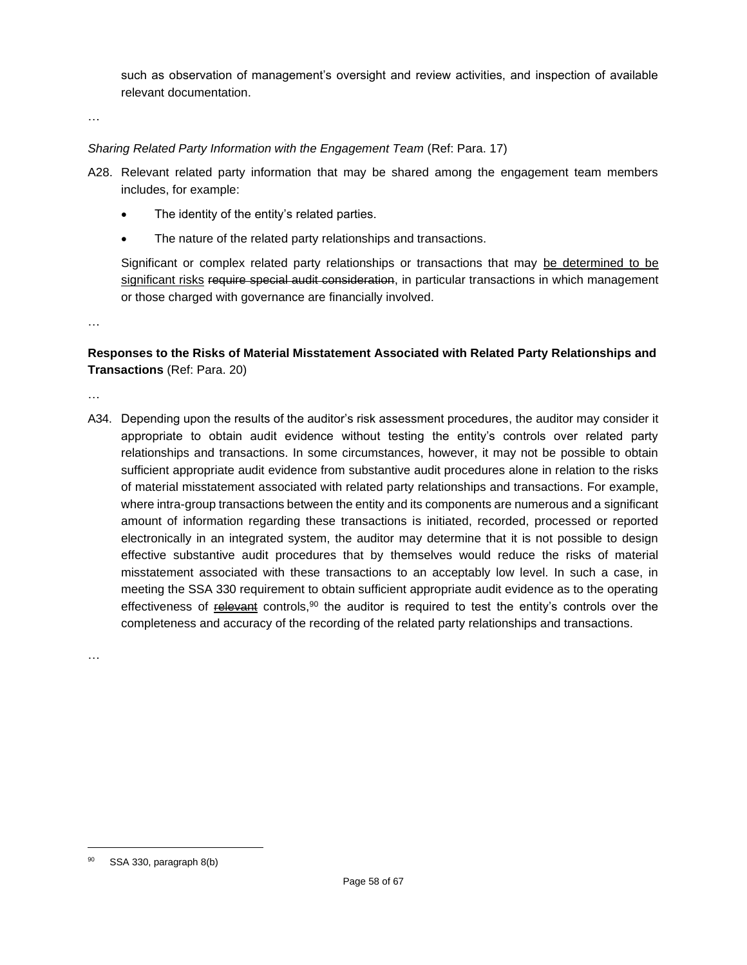such as observation of management's oversight and review activities, and inspection of available relevant documentation.

…

#### *Sharing Related Party Information with the Engagement Team (Ref: Para. 17)*

- A28. Relevant related party information that may be shared among the engagement team members includes, for example:
	- The identity of the entity's related parties.
	- The nature of the related party relationships and transactions.

Significant or complex related party relationships or transactions that may be determined to be significant risks require special audit consideration, in particular transactions in which management or those charged with governance are financially involved.

…

## **Responses to the Risks of Material Misstatement Associated with Related Party Relationships and Transactions** (Ref: Para. 20)

A34. Depending upon the results of the auditor's risk assessment procedures, the auditor may consider it appropriate to obtain audit evidence without testing the entity's controls over related party relationships and transactions. In some circumstances, however, it may not be possible to obtain sufficient appropriate audit evidence from substantive audit procedures alone in relation to the risks of material misstatement associated with related party relationships and transactions. For example, where intra-group transactions between the entity and its components are numerous and a significant amount of information regarding these transactions is initiated, recorded, processed or reported electronically in an integrated system, the auditor may determine that it is not possible to design effective substantive audit procedures that by themselves would reduce the risks of material misstatement associated with these transactions to an acceptably low level. In such a case, in meeting the SSA 330 requirement to obtain sufficient appropriate audit evidence as to the operating effectiveness of relevant controls,<sup>90</sup> the auditor is required to test the entity's controls over the completeness and accuracy of the recording of the related party relationships and transactions.

<sup>90</sup> SSA 330, paragraph 8(b)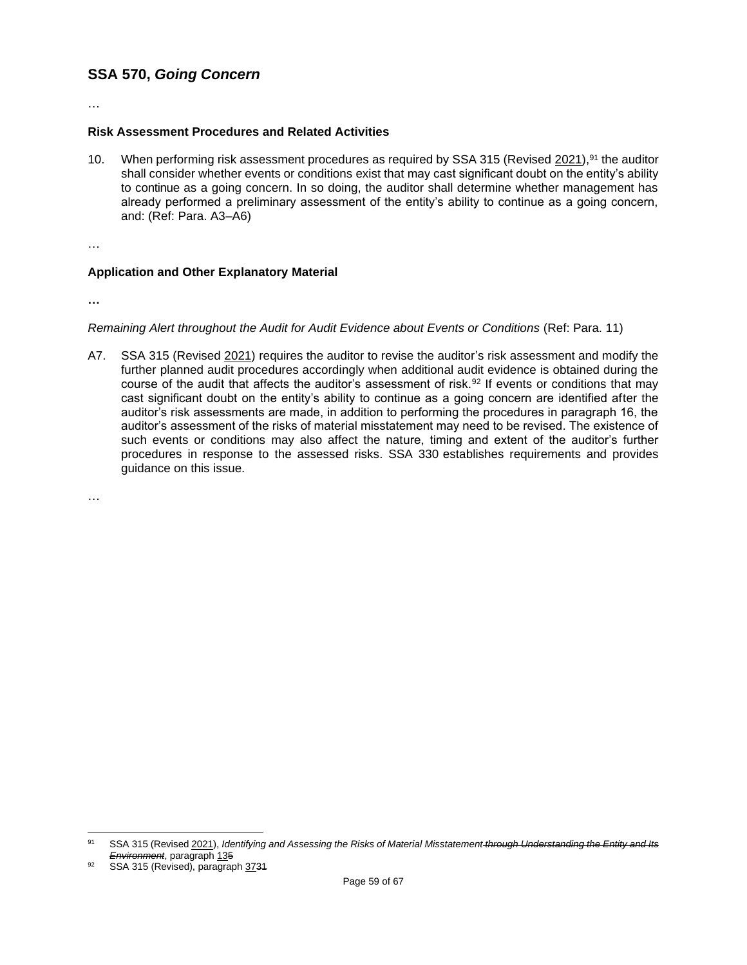## **SSA 570,** *Going Concern*

…

#### **Risk Assessment Procedures and Related Activities**

10. When performing risk assessment procedures as required by SSA 315 (Revised 2021),<sup>91</sup> the auditor shall consider whether events or conditions exist that may cast significant doubt on the entity's ability to continue as a going concern. In so doing, the auditor shall determine whether management has already performed a preliminary assessment of the entity's ability to continue as a going concern, and: (Ref: Para. A3–A6)

…

#### **Application and Other Explanatory Material**

**…**

…

#### *Remaining Alert throughout the Audit for Audit Evidence about Events or Conditions (Ref: Para. 11)*

A7. SSA 315 (Revised 2021) requires the auditor to revise the auditor's risk assessment and modify the further planned audit procedures accordingly when additional audit evidence is obtained during the course of the audit that affects the auditor's assessment of risk.<sup>92</sup> If events or conditions that may cast significant doubt on the entity's ability to continue as a going concern are identified after the auditor's risk assessments are made, in addition to performing the procedures in paragraph 16, the auditor's assessment of the risks of material misstatement may need to be revised. The existence of such events or conditions may also affect the nature, timing and extent of the auditor's further procedures in response to the assessed risks. SSA 330 establishes requirements and provides guidance on this issue.

<sup>91</sup> SSA 315 (Revised 2021), *Identifying and Assessing the Risks of Material Misstatement through Understanding the Entity and Its Environment*, paragraph 135

<sup>92</sup> SSA 315 (Revised), paragraph 3731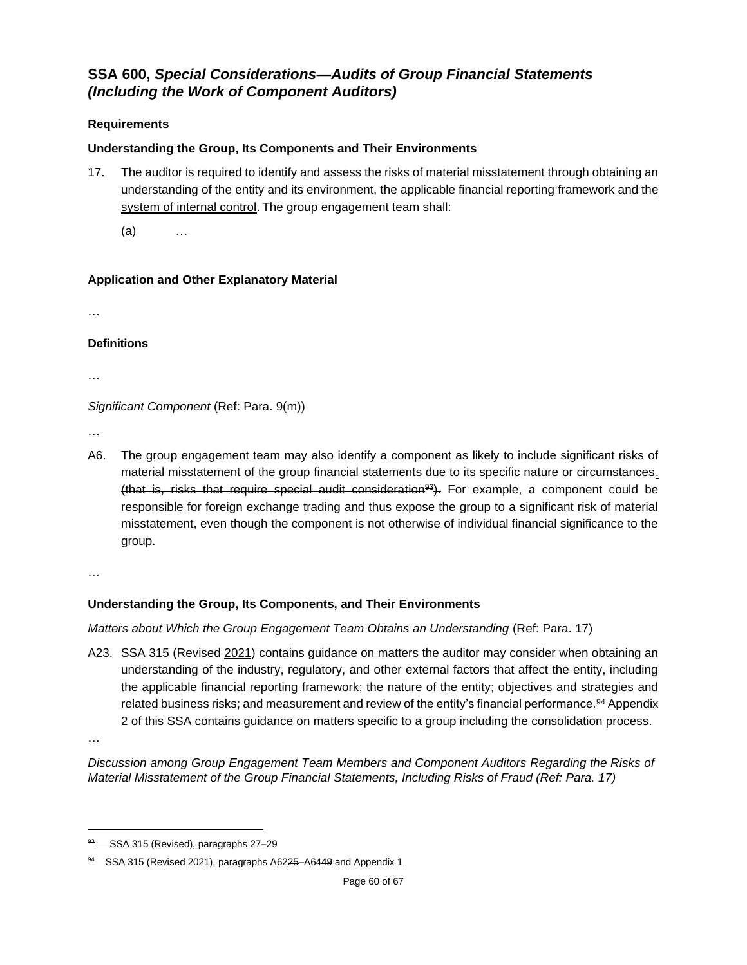# **SSA 600,** *Special Considerations—Audits of Group Financial Statements (Including the Work of Component Auditors)*

### **Requirements**

#### **Understanding the Group, Its Components and Their Environments**

- 17. The auditor is required to identify and assess the risks of material misstatement through obtaining an understanding of the entity and its environment, the applicable financial reporting framework and the system of internal control. The group engagement team shall:
	- (a) …

#### **Application and Other Explanatory Material**

…

#### **Definitions**

…

### *Significant Component* (Ref: Para. 9(m))

…

A6. The group engagement team may also identify a component as likely to include significant risks of material misstatement of the group financial statements due to its specific nature or circumstances. (that is, risks that require special audit consideration<sup>93</sup>). For example, a component could be responsible for foreign exchange trading and thus expose the group to a significant risk of material misstatement, even though the component is not otherwise of individual financial significance to the group.

…

## **Understanding the Group, Its Components, and Their Environments**

#### *Matters about Which the Group Engagement Team Obtains an Understanding (Ref: Para. 17)*

A23. SSA 315 (Revised 2021) contains guidance on matters the auditor may consider when obtaining an understanding of the industry, regulatory, and other external factors that affect the entity, including the applicable financial reporting framework; the nature of the entity; objectives and strategies and related business risks; and measurement and review of the entity's financial performance.<sup>94</sup> Appendix 2 of this SSA contains guidance on matters specific to a group including the consolidation process.

…

*Discussion among Group Engagement Team Members and Component Auditors Regarding the Risks of Material Misstatement of the Group Financial Statements, Including Risks of Fraud (Ref: Para. 17)*

<sup>93</sup> SSA 315 (Revised), paragraphs 27-29

<sup>&</sup>lt;sup>94</sup> SSA 315 (Revised 2021), paragraphs A6225-A6449 and Appendix 1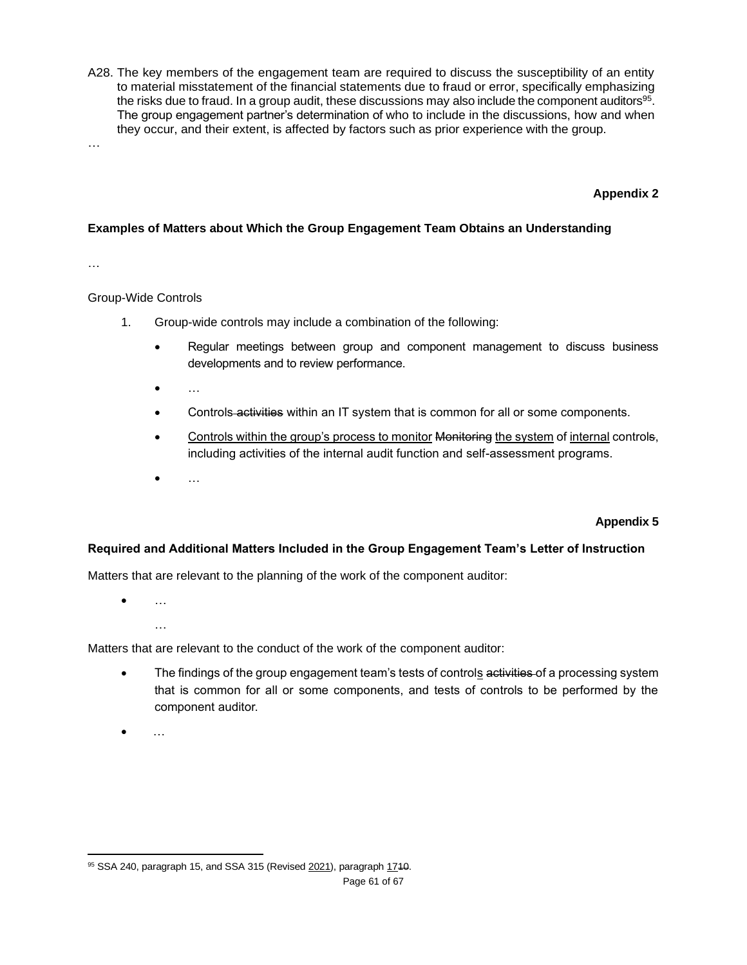A28. The key members of the engagement team are required to discuss the susceptibility of an entity to material misstatement of the financial statements due to fraud or error, specifically emphasizing the risks due to fraud. In a group audit, these discussions may also include the component auditors $\rm{^{95}}$ . The group engagement partner's determination of who to include in the discussions, how and when they occur, and their extent, is affected by factors such as prior experience with the group.

…

#### **Appendix 2**

#### **Examples of Matters about Which the Group Engagement Team Obtains an Understanding**

…

#### Group-Wide Controls

- 1. Group-wide controls may include a combination of the following:
	- Regular meetings between group and component management to discuss business developments and to review performance.
	- $\ddot{\phantom{0}}$
	- Controls-activities within an IT system that is common for all or some components.
	- Controls within the group's process to monitor Monitoring the system of internal controls, including activities of the internal audit function and self-assessment programs.
	- …

#### **Appendix 5**

#### **Required and Additional Matters Included in the Group Engagement Team's Letter of Instruction**

Matters that are relevant to the planning of the work of the component auditor:

- $\bullet$  …
	- …

Matters that are relevant to the conduct of the work of the component auditor:

- The findings of the group engagement team's tests of controls activities of a processing system that is common for all or some components, and tests of controls to be performed by the component auditor.
- $\bullet$  …

<sup>95</sup> SSA 240, paragraph 15, and SSA 315 (Revised 2021), paragraph 1740.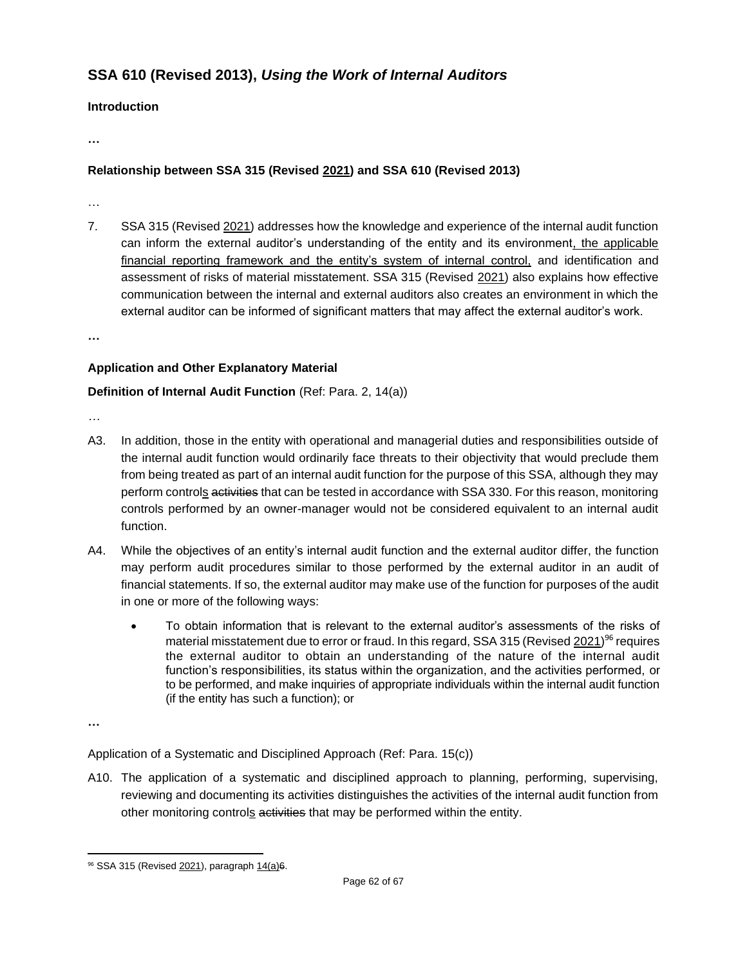# **SSA 610 (Revised 2013),** *Using the Work of Internal Auditors*

### **Introduction**

**……** 

## **Relationship between SSA 315 (Revised 2021) and SSA 610 (Revised 2013)**

…

7. SSA 315 (Revised 2021) addresses how the knowledge and experience of the internal audit function can inform the external auditor's understanding of the entity and its environment, the applicable financial reporting framework and the entity's system of internal control, and identification and assessment of risks of material misstatement. SSA 315 (Revised 2021) also explains how effective communication between the internal and external auditors also creates an environment in which the external auditor can be informed of significant matters that may affect the external auditor's work.

**…**

## **Application and Other Explanatory Material**

## **Definition of Internal Audit Function** (Ref: Para. 2, 14(a))

*…*

- A3. In addition, those in the entity with operational and managerial duties and responsibilities outside of the internal audit function would ordinarily face threats to their objectivity that would preclude them from being treated as part of an internal audit function for the purpose of this SSA, although they may perform controls activities that can be tested in accordance with SSA 330. For this reason, monitoring controls performed by an owner-manager would not be considered equivalent to an internal audit function.
- A4. While the objectives of an entity's internal audit function and the external auditor differ, the function may perform audit procedures similar to those performed by the external auditor in an audit of financial statements. If so, the external auditor may make use of the function for purposes of the audit in one or more of the following ways:
	- To obtain information that is relevant to the external auditor's assessments of the risks of material misstatement due to error or fraud. In this regard, SSA 315 (Revised 2021)<sup>96</sup> requires the external auditor to obtain an understanding of the nature of the internal audit function's responsibilities, its status within the organization, and the activities performed, or to be performed, and make inquiries of appropriate individuals within the internal audit function (if the entity has such a function); or

**…**

Application of a Systematic and Disciplined Approach (Ref: Para. 15(c))

A10. The application of a systematic and disciplined approach to planning, performing, supervising, reviewing and documenting its activities distinguishes the activities of the internal audit function from other monitoring controls activities that may be performed within the entity.

<sup>96</sup> SSA 315 (Revised 2021), paragraph 14(a)6.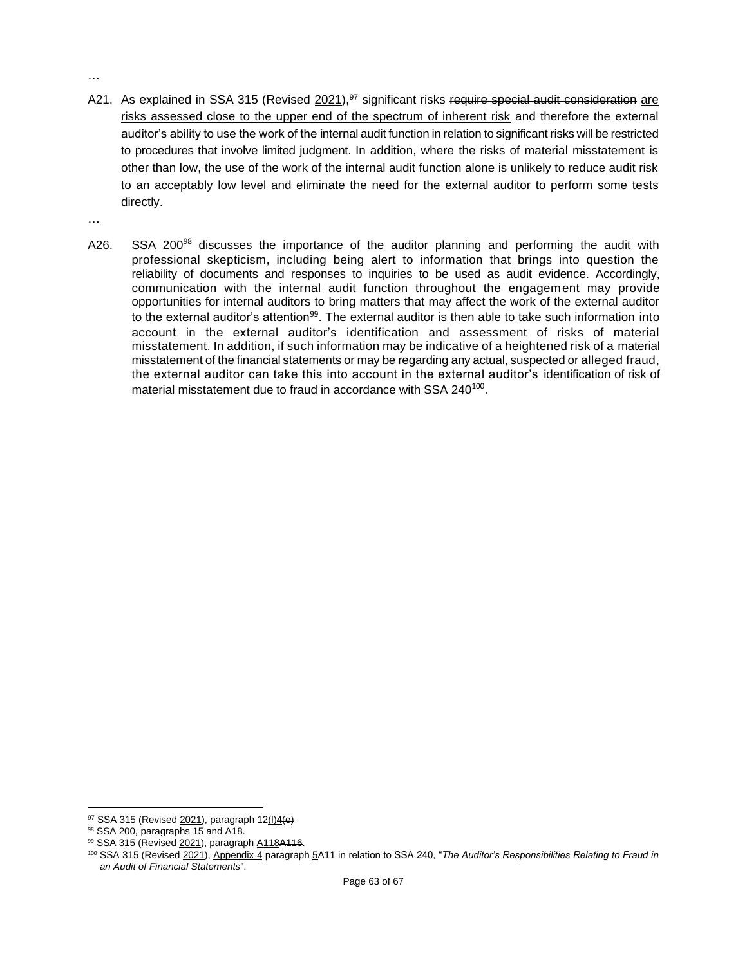- …
- A21. As explained in SSA 315 (Revised 2021),<sup>97</sup> significant risks require special audit consideration are risks assessed close to the upper end of the spectrum of inherent risk and therefore the external auditor's ability to use the work of the internal audit function in relation to significant risks will be restricted to procedures that involve limited judgment. In addition, where the risks of material misstatement is other than low, the use of the work of the internal audit function alone is unlikely to reduce audit risk to an acceptably low level and eliminate the need for the external auditor to perform some tests directly.

…

A26. SSA 200<sup>98</sup> discusses the importance of the auditor planning and performing the audit with professional skepticism, including being alert to information that brings into question the reliability of documents and responses to inquiries to be used as audit evidence. Accordingly, communication with the internal audit function throughout the engagement may provide opportunities for internal auditors to bring matters that may affect the work of the external auditor to the external auditor's attention<sup>99</sup>. The external auditor is then able to take such information into account in the external auditor's identification and assessment of risks of material misstatement. In addition, if such information may be indicative of a heightened risk of a material misstatement of the financial statements or may be regarding any actual, suspected or alleged fraud, the external auditor can take this into account in the external auditor's identification of risk of material misstatement due to fraud in accordance with SSA 240<sup>100</sup>.

 $97$  SSA 315 (Revised 2021), paragraph 12(I) $4(e)$ 

<sup>98</sup> SSA 200, paragraphs 15 and A18.

<sup>99</sup> SSA 315 (Revised 2021), paragraph A118A116.

<sup>100</sup> SSA 315 (Revised 2021), Appendix 4 paragraph 5A11 in relation to SSA 240, "*The Auditor's Responsibilities Relating to Fraud in an Audit of Financial Statements*".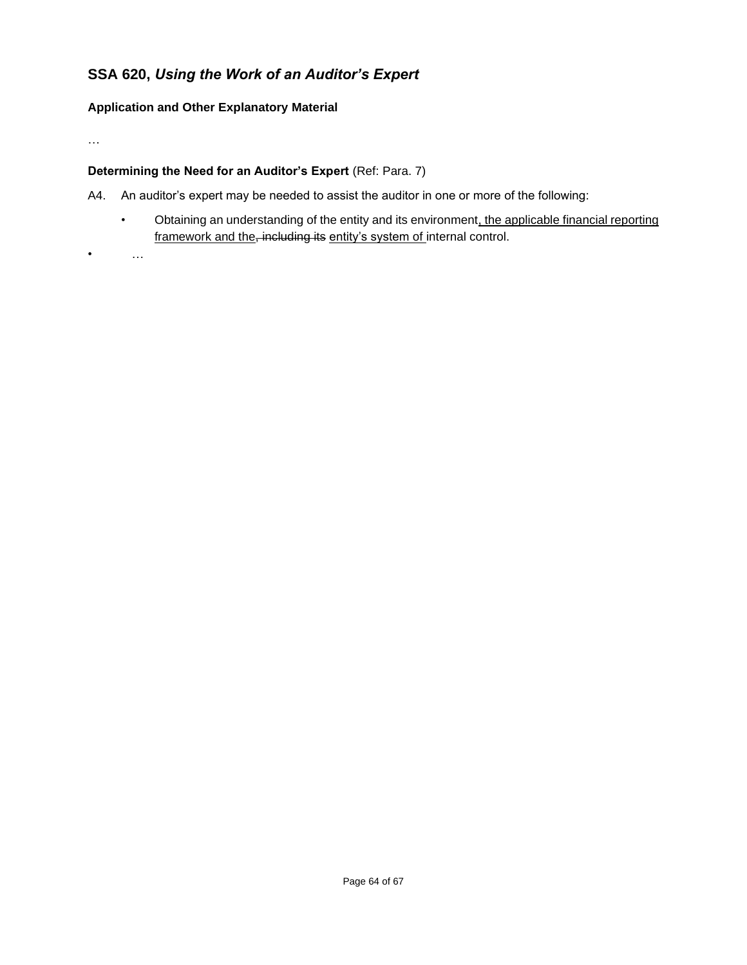# **SSA 620,** *Using the Work of an Auditor's Expert*

## **Application and Other Explanatory Material**

…

### **Determining the Need for an Auditor's Expert (Ref: Para. 7)**

- A4. An auditor's expert may be needed to assist the auditor in one or more of the following:
	- Obtaining an understanding of the entity and its environment, the applicable financial reporting framework and the, including its entity's system of internal control.
- $\bullet$  … … …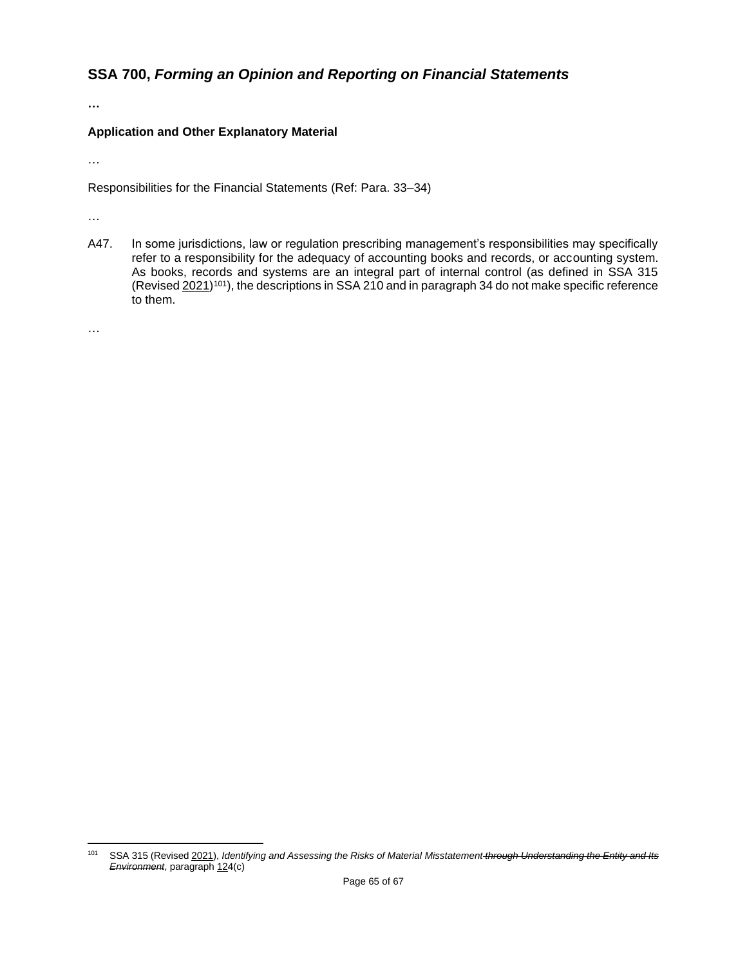## **SSA 700,** *Forming an Opinion and Reporting on Financial Statements*

**…**

#### **Application and Other Explanatory Material**

…

Responsibilities for the Financial Statements (Ref: Para. 33–34)

…

A47. In some jurisdictions, law or regulation prescribing management's responsibilities may specifically refer to a responsibility for the adequacy of accounting books and records, or accounting system. As books, records and systems are an integral part of internal control (as defined in SSA 315 (Revised  $2021$ )<sup>101</sup>), the descriptions in SSA 210 and in paragraph 34 do not make specific reference to them.

<sup>101</sup> SSA 315 (Revised 2021), *Identifying and Assessing the Risks of Material Misstatement through Understanding the Entity and Its Environment*, paragraph 124(c)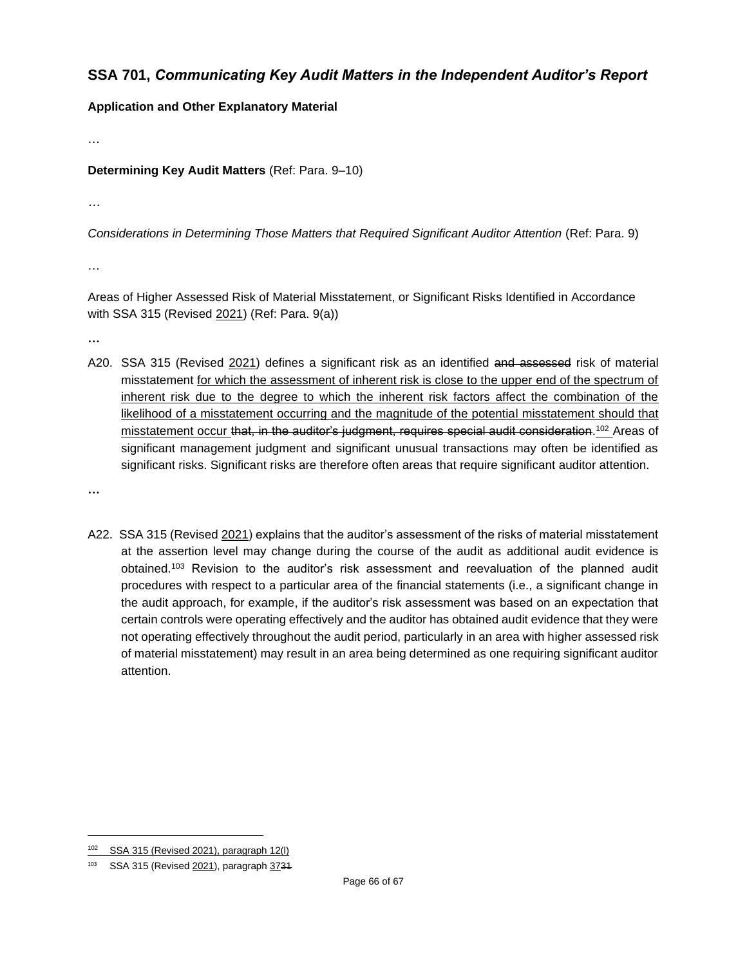# **SSA 701,** *Communicating Key Audit Matters in the Independent Auditor's Report*

### **Application and Other Explanatory Material**

…

**Determining Key Audit Matters** (Ref: Para. 9–10)

*…*

*Considerations in Determining Those Matters that Required Significant Auditor Attention* (Ref: Para. 9)

…

Areas of Higher Assessed Risk of Material Misstatement, or Significant Risks Identified in Accordance with SSA 315 (Revised 2021) (Ref: Para. 9(a))

**…**

A20. SSA 315 (Revised 2021) defines a significant risk as an identified and assessed risk of material misstatement for which the assessment of inherent risk is close to the upper end of the spectrum of inherent risk due to the degree to which the inherent risk factors affect the combination of the likelihood of a misstatement occurring and the magnitude of the potential misstatement should that <u>misstatement occur that, in the auditor's judgment, requires special audit consideration.<sup>102</sup> Areas of</u> significant management judgment and significant unusual transactions may often be identified as significant risks. Significant risks are therefore often areas that require significant auditor attention.

**…**

A22. SSA 315 (Revised 2021) explains that the auditor's assessment of the risks of material misstatement at the assertion level may change during the course of the audit as additional audit evidence is obtained.<sup>103</sup> Revision to the auditor's risk assessment and reevaluation of the planned audit procedures with respect to a particular area of the financial statements (i.e., a significant change in the audit approach, for example, if the auditor's risk assessment was based on an expectation that certain controls were operating effectively and the auditor has obtained audit evidence that they were not operating effectively throughout the audit period, particularly in an area with higher assessed risk of material misstatement) may result in an area being determined as one requiring significant auditor attention.

<sup>102</sup> SSA 315 (Revised 2021), paragraph 12(I)

<sup>103</sup> SSA 315 (Revised 2021), paragraph 3734